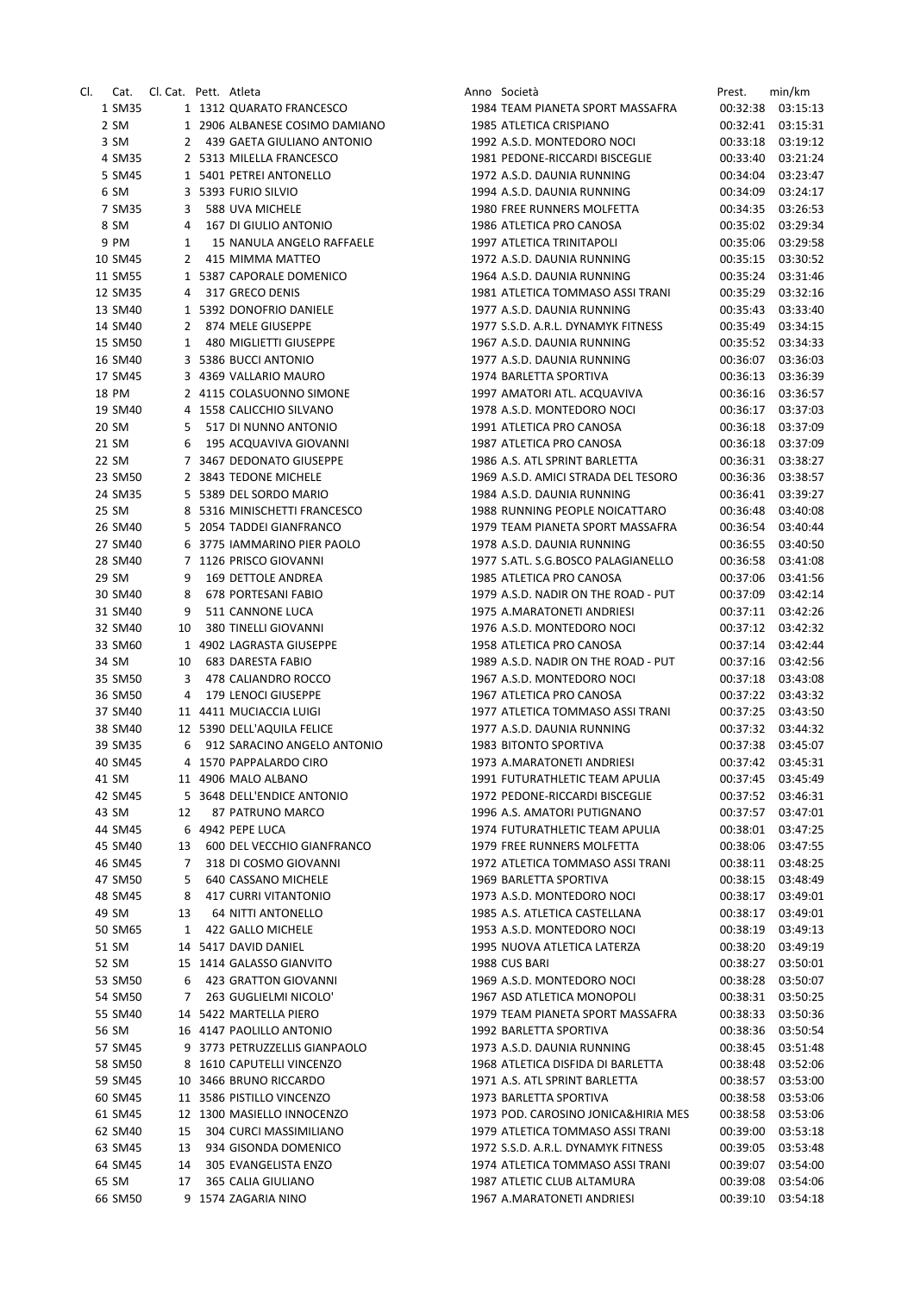| CI. | Cat.    | Cl. Cat. Pett. Atleta |   |                                | Anno Società                        | Prest.   | min/km   |
|-----|---------|-----------------------|---|--------------------------------|-------------------------------------|----------|----------|
|     | 1 SM35  |                       |   | 1 1312 QUARATO FRANCESCO       | 1984 TEAM PIANETA SPORT MASSAFRA    | 00:32:38 | 03:15:13 |
|     | 2 SM    |                       |   | 1 2906 ALBANESE COSIMO DAMIANO | 1985 ATLETICA CRISPIANO             | 00:32:41 | 03:15:31 |
|     | 3 SM    |                       |   | 2 439 GAETA GIULIANO ANTONIO   | 1992 A.S.D. MONTEDORO NOCI          | 00:33:18 | 03:19:12 |
|     | 4 SM35  |                       |   | 2 5313 MILELLA FRANCESCO       | 1981 PEDONE-RICCARDI BISCEGLIE      | 00:33:40 | 03:21:24 |
|     | 5 SM45  |                       |   | 1 5401 PETREI ANTONELLO        | 1972 A.S.D. DAUNIA RUNNING          | 00:34:04 | 03:23:47 |
|     | 6 SM    |                       |   | 3 5393 FURIO SILVIO            | 1994 A.S.D. DAUNIA RUNNING          | 00:34:09 | 03:24:17 |
|     | 7 SM35  |                       |   |                                | 1980 FREE RUNNERS MOLFETTA          |          |          |
|     |         |                       | 3 | 588 UVA MICHELE                |                                     | 00:34:35 | 03:26:53 |
|     | 8 SM    | 4                     |   | 167 DI GIULIO ANTONIO          | 1986 ATLETICA PRO CANOSA            | 00:35:02 | 03:29:34 |
|     | 9 PM    | $\mathbf{1}$          |   | 15 NANULA ANGELO RAFFAELE      | 1997 ATLETICA TRINITAPOLI           | 00:35:06 | 03:29:58 |
|     | 10 SM45 |                       |   | 2 415 MIMMA MATTEO             | 1972 A.S.D. DAUNIA RUNNING          | 00:35:15 | 03:30:52 |
|     | 11 SM55 |                       |   | 1 5387 CAPORALE DOMENICO       | 1964 A.S.D. DAUNIA RUNNING          | 00:35:24 | 03:31:46 |
|     | 12 SM35 |                       | 4 | 317 GRECO DENIS                | 1981 ATLETICA TOMMASO ASSI TRANI    | 00:35:29 | 03:32:16 |
|     | 13 SM40 |                       |   | 1 5392 DONOFRIO DANIELE        | 1977 A.S.D. DAUNIA RUNNING          | 00:35:43 | 03:33:40 |
|     | 14 SM40 |                       |   | 2 874 MELE GIUSEPPE            | 1977 S.S.D. A.R.L. DYNAMYK FITNESS  | 00:35:49 | 03:34:15 |
|     | 15 SM50 |                       |   | 1 480 MIGLIETTI GIUSEPPE       | 1967 A.S.D. DAUNIA RUNNING          | 00:35:52 | 03:34:33 |
|     | 16 SM40 |                       |   | 3 5386 BUCCI ANTONIO           | 1977 A.S.D. DAUNIA RUNNING          | 00:36:07 | 03:36:03 |
|     | 17 SM45 |                       |   | 3 4369 VALLARIO MAURO          | 1974 BARLETTA SPORTIVA              | 00:36:13 | 03:36:39 |
|     | 18 PM   |                       |   | 2 4115 COLASUONNO SIMONE       | 1997 AMATORI ATL. ACQUAVIVA         | 00:36:16 | 03:36:57 |
|     |         |                       |   |                                |                                     |          |          |
|     | 19 SM40 |                       |   | 4 1558 CALICCHIO SILVANO       | 1978 A.S.D. MONTEDORO NOCI          | 00:36:17 | 03:37:03 |
|     | 20 SM   | 5                     |   | 517 DI NUNNO ANTONIO           | 1991 ATLETICA PRO CANOSA            | 00:36:18 | 03:37:09 |
|     | 21 SM   | 6                     |   | 195 ACQUAVIVA GIOVANNI         | 1987 ATLETICA PRO CANOSA            | 00:36:18 | 03:37:09 |
|     | 22 SM   |                       |   | 7 3467 DEDONATO GIUSEPPE       | 1986 A.S. ATL SPRINT BARLETTA       | 00:36:31 | 03:38:27 |
|     | 23 SM50 |                       |   | 2 3843 TEDONE MICHELE          | 1969 A.S.D. AMICI STRADA DEL TESORO | 00:36:36 | 03:38:57 |
|     | 24 SM35 |                       |   | 5 5389 DEL SORDO MARIO         | 1984 A.S.D. DAUNIA RUNNING          | 00:36:41 | 03:39:27 |
|     | 25 SM   |                       |   | 8 5316 MINISCHETTI FRANCESCO   | 1988 RUNNING PEOPLE NOICATTARO      | 00:36:48 | 03:40:08 |
|     | 26 SM40 |                       |   | 5 2054 TADDEI GIANFRANCO       | 1979 TEAM PIANETA SPORT MASSAFRA    | 00:36:54 | 03:40:44 |
|     | 27 SM40 |                       |   | 6 3775 IAMMARINO PIER PAOLO    | 1978 A.S.D. DAUNIA RUNNING          | 00:36:55 | 03:40:50 |
|     | 28 SM40 |                       |   | 7 1126 PRISCO GIOVANNI         | 1977 S.ATL. S.G.BOSCO PALAGIANELLO  | 00:36:58 | 03:41:08 |
|     | 29 SM   | 9                     |   | 169 DETTOLE ANDREA             | 1985 ATLETICA PRO CANOSA            | 00:37:06 | 03:41:56 |
|     |         |                       |   |                                |                                     |          |          |
|     | 30 SM40 | 8                     |   | 678 PORTESANI FABIO            | 1979 A.S.D. NADIR ON THE ROAD - PUT | 00:37:09 | 03:42:14 |
|     | 31 SM40 | 9                     |   | 511 CANNONE LUCA               | 1975 A.MARATONETI ANDRIESI          | 00:37:11 | 03:42:26 |
|     | 32 SM40 | 10                    |   | <b>380 TINELLI GIOVANNI</b>    | 1976 A.S.D. MONTEDORO NOCI          | 00:37:12 | 03:42:32 |
|     | 33 SM60 |                       |   | 1 4902 LAGRASTA GIUSEPPE       | 1958 ATLETICA PRO CANOSA            | 00:37:14 | 03:42:44 |
|     | 34 SM   | 10                    |   | 683 DARESTA FABIO              | 1989 A.S.D. NADIR ON THE ROAD - PUT | 00:37:16 | 03:42:56 |
|     | 35 SM50 | 3                     |   | 478 CALIANDRO ROCCO            | 1967 A.S.D. MONTEDORO NOCI          | 00:37:18 | 03:43:08 |
|     | 36 SM50 | 4                     |   | 179 LENOCI GIUSEPPE            | 1967 ATLETICA PRO CANOSA            | 00:37:22 | 03:43:32 |
|     | 37 SM40 |                       |   | 11 4411 MUCIACCIA LUIGI        | 1977 ATLETICA TOMMASO ASSI TRANI    | 00:37:25 | 03:43:50 |
|     | 38 SM40 |                       |   | 12 5390 DELL'AQUILA FELICE     | 1977 A.S.D. DAUNIA RUNNING          | 00:37:32 | 03:44:32 |
|     | 39 SM35 | 6                     |   | 912 SARACINO ANGELO ANTONIO    | 1983 BITONTO SPORTIVA               | 00:37:38 | 03:45:07 |
|     | 40 SM45 |                       |   | 4 1570 PAPPALARDO CIRO         | 1973 A.MARATONETI ANDRIESI          | 00:37:42 | 03:45:31 |
|     |         |                       |   |                                |                                     |          |          |
|     | 41 SM   |                       |   | 11 4906 MALO ALBANO            | 1991 FUTURATHLETIC TEAM APULIA      | 00:37:45 | 03:45:49 |
|     | 42 SM45 |                       |   | 5 3648 DELL'ENDICE ANTONIO     | 1972 PEDONE-RICCARDI BISCEGLIE      | 00:37:52 | 03:46:31 |
|     | 43 SM   | 12                    |   | 87 PATRUNO MARCO               | 1996 A.S. AMATORI PUTIGNANO         | 00:37:57 | 03:47:01 |
|     | 44 SM45 |                       |   | 6 4942 PEPE LUCA               | 1974 FUTURATHLETIC TEAM APULIA      | 00:38:01 | 03:47:25 |
|     | 45 SM40 | 13                    |   | 600 DEL VECCHIO GIANFRANCO     | 1979 FREE RUNNERS MOLFETTA          | 00:38:06 | 03:47:55 |
|     | 46 SM45 | 7                     |   | 318 DI COSMO GIOVANNI          | 1972 ATLETICA TOMMASO ASSI TRANI    | 00:38:11 | 03:48:25 |
|     | 47 SM50 | 5                     |   | 640 CASSANO MICHELE            | 1969 BARLETTA SPORTIVA              | 00:38:15 | 03:48:49 |
|     | 48 SM45 | 8                     |   | <b>417 CURRI VITANTONIO</b>    | 1973 A.S.D. MONTEDORO NOCI          | 00:38:17 | 03:49:01 |
|     | 49 SM   | 13                    |   | 64 NITTI ANTONELLO             | 1985 A.S. ATLETICA CASTELLANA       | 00:38:17 | 03:49:01 |
|     | 50 SM65 | $\mathbf{1}$          |   | 422 GALLO MICHELE              | 1953 A.S.D. MONTEDORO NOCI          | 00:38:19 | 03:49:13 |
|     | 51 SM   |                       |   | 14 5417 DAVID DANIEL           | 1995 NUOVA ATLETICA LATERZA         | 00:38:20 | 03:49:19 |
|     |         |                       |   |                                |                                     |          |          |
|     | 52 SM   |                       |   | 15 1414 GALASSO GIANVITO       | 1988 CUS BARI                       | 00:38:27 | 03:50:01 |
|     | 53 SM50 | 6                     |   | 423 GRATTON GIOVANNI           | 1969 A.S.D. MONTEDORO NOCI          | 00:38:28 | 03:50:07 |
|     | 54 SM50 | 7                     |   | 263 GUGLIELMI NICOLO'          | 1967 ASD ATLETICA MONOPOLI          | 00:38:31 | 03:50:25 |
|     | 55 SM40 |                       |   | 14 5422 MARTELLA PIERO         | 1979 TEAM PIANETA SPORT MASSAFRA    | 00:38:33 | 03:50:36 |
|     | 56 SM   |                       |   | 16 4147 PAOLILLO ANTONIO       | 1992 BARLETTA SPORTIVA              | 00:38:36 | 03:50:54 |
|     | 57 SM45 |                       |   | 9 3773 PETRUZZELLIS GIANPAOLO  | 1973 A.S.D. DAUNIA RUNNING          | 00:38:45 | 03:51:48 |
|     | 58 SM50 |                       |   | 8 1610 CAPUTELLI VINCENZO      | 1968 ATLETICA DISFIDA DI BARLETTA   | 00:38:48 | 03:52:06 |
|     | 59 SM45 |                       |   | 10 3466 BRUNO RICCARDO         | 1971 A.S. ATL SPRINT BARLETTA       | 00:38:57 | 03:53:00 |
|     | 60 SM45 |                       |   | 11 3586 PISTILLO VINCENZO      | 1973 BARLETTA SPORTIVA              | 00:38:58 | 03:53:06 |
|     | 61 SM45 |                       |   | 12 1300 MASIELLO INNOCENZO     | 1973 POD. CAROSINO JONICA&HIRIA MES | 00:38:58 | 03:53:06 |
|     | 62 SM40 | 15                    |   | 304 CURCI MASSIMILIANO         | 1979 ATLETICA TOMMASO ASSI TRANI    | 00:39:00 | 03:53:18 |
|     |         |                       |   |                                |                                     |          |          |
|     | 63 SM45 | 13                    |   | 934 GISONDA DOMENICO           | 1972 S.S.D. A.R.L. DYNAMYK FITNESS  | 00:39:05 | 03:53:48 |
|     | 64 SM45 | 14                    |   | 305 EVANGELISTA ENZO           | 1974 ATLETICA TOMMASO ASSI TRANI    | 00:39:07 | 03:54:00 |
|     | 65 SM   | 17                    |   | 365 CALIA GIULIANO             | 1987 ATLETIC CLUB ALTAMURA          | 00:39:08 | 03:54:06 |
|     | 66 SM50 |                       |   | 9 1574 ZAGARIA NINO            | 1967 A.MARATONETI ANDRIESI          | 00:39:10 | 03:54:18 |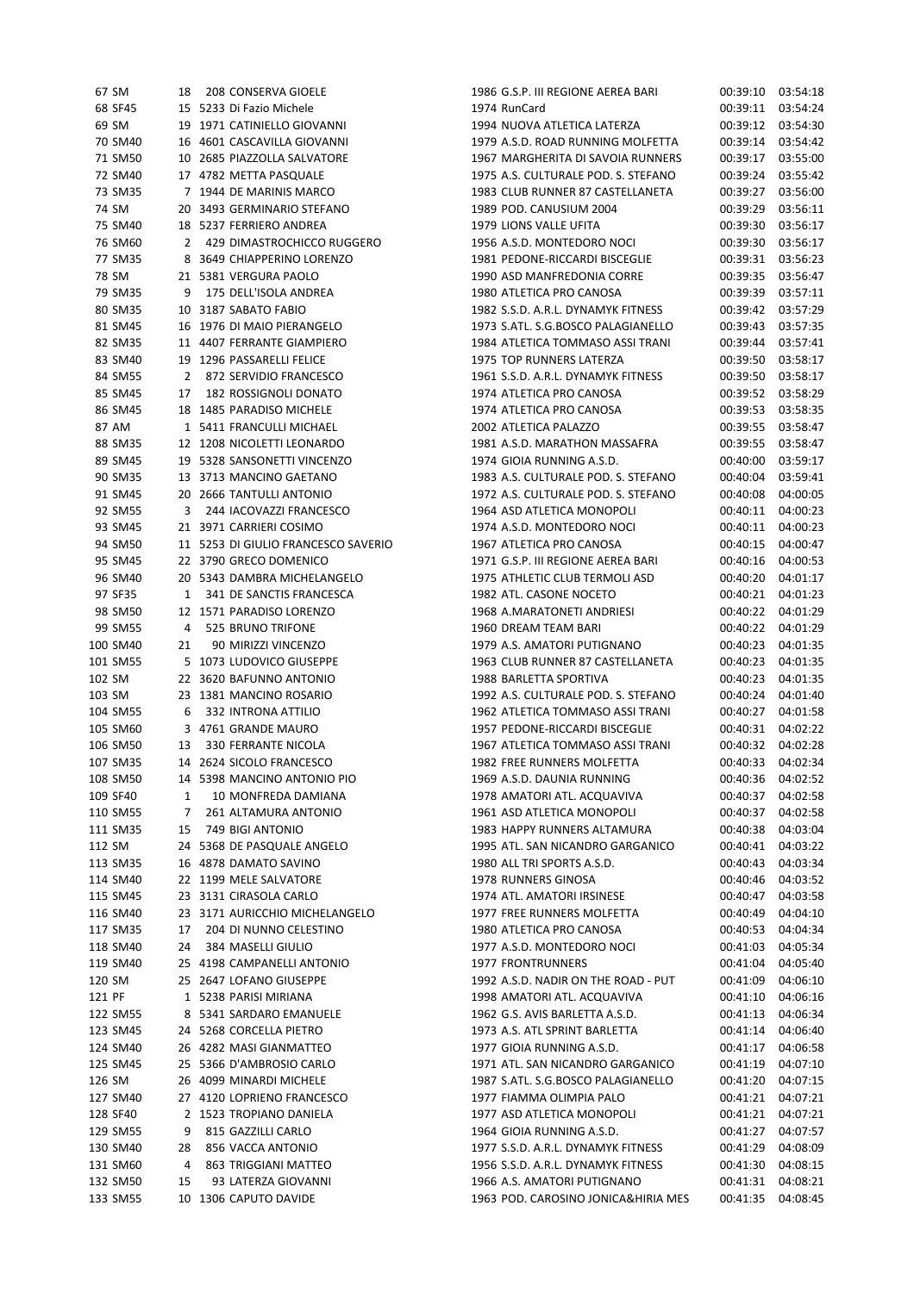| 67 SM    | 18 | 208 CONSERVA GIOELE                 | 1986 G.S.P. III REGIONE AEREA BARI  | 00:39:10 03:54:18 |          |
|----------|----|-------------------------------------|-------------------------------------|-------------------|----------|
| 68 SF45  |    | 15 5233 Di Fazio Michele            | 1974 RunCard                        | 00:39:11          | 03:54:24 |
| 69 SM    |    | 19 1971 CATINIELLO GIOVANNI         | 1994 NUOVA ATLETICA LATERZA         | 00:39:12          | 03:54:30 |
| 70 SM40  |    | 16 4601 CASCAVILLA GIOVANNI         | 1979 A.S.D. ROAD RUNNING MOLFETTA   | 00:39:14          | 03:54:42 |
| 71 SM50  |    | 10 2685 PIAZZOLLA SALVATORE         | 1967 MARGHERITA DI SAVOIA RUNNERS   | 00:39:17          | 03:55:00 |
| 72 SM40  |    | 17 4782 METTA PASQUALE              | 1975 A.S. CULTURALE POD. S. STEFANO | 00:39:24          | 03:55:42 |
| 73 SM35  |    | 7 1944 DE MARINIS MARCO             | 1983 CLUB RUNNER 87 CASTELLANETA    | 00:39:27          | 03:56:00 |
|          |    | 20 3493 GERMINARIO STEFANO          |                                     |                   |          |
| 74 SM    |    |                                     | 1989 POD. CANUSIUM 2004             | 00:39:29          | 03:56:11 |
| 75 SM40  |    | 18 5237 FERRIERO ANDREA             | 1979 LIONS VALLE UFITA              | 00:39:30          | 03:56:17 |
| 76 SM60  | 2  | 429 DIMASTROCHICCO RUGGERO          | 1956 A.S.D. MONTEDORO NOCI          | 00:39:30          | 03:56:17 |
| 77 SM35  |    | 8 3649 CHIAPPERINO LORENZO          | 1981 PEDONE-RICCARDI BISCEGLIE      | 00:39:31          | 03:56:23 |
| 78 SM    |    | 21 5381 VERGURA PAOLO               | 1990 ASD MANFREDONIA CORRE          | 00:39:35          | 03:56:47 |
| 79 SM35  | 9  | 175 DELL'ISOLA ANDREA               | 1980 ATLETICA PRO CANOSA            | 00:39:39          | 03:57:11 |
| 80 SM35  |    | 10 3187 SABATO FABIO                | 1982 S.S.D. A.R.L. DYNAMYK FITNESS  | 00:39:42          | 03:57:29 |
| 81 SM45  |    | 16 1976 DI MAIO PIERANGELO          | 1973 S.ATL. S.G.BOSCO PALAGIANELLO  | 00:39:43          | 03:57:35 |
| 82 SM35  |    | 11 4407 FERRANTE GIAMPIERO          | 1984 ATLETICA TOMMASO ASSI TRANI    | 00:39:44          | 03:57:41 |
| 83 SM40  |    | 19 1296 PASSARELLI FELICE           | 1975 TOP RUNNERS LATERZA            | 00:39:50          | 03:58:17 |
| 84 SM55  | 2  | 872 SERVIDIO FRANCESCO              | 1961 S.S.D. A.R.L. DYNAMYK FITNESS  | 00:39:50          | 03:58:17 |
| 85 SM45  | 17 | 182 ROSSIGNOLI DONATO               | 1974 ATLETICA PRO CANOSA            | 00:39:52          | 03:58:29 |
| 86 SM45  |    | 18 1485 PARADISO MICHELE            | 1974 ATLETICA PRO CANOSA            | 00:39:53          | 03:58:35 |
| 87 AM    |    | 1 5411 FRANCULLI MICHAEL            | 2002 ATLETICA PALAZZO               | 00:39:55          | 03:58:47 |
| 88 SM35  |    | 12 1208 NICOLETTI LEONARDO          | 1981 A.S.D. MARATHON MASSAFRA       | 00:39:55          | 03:58:47 |
| 89 SM45  |    | 19 5328 SANSONETTI VINCENZO         | 1974 GIOIA RUNNING A.S.D.           |                   | 03:59:17 |
|          |    |                                     |                                     | 00:40:00          |          |
| 90 SM35  |    | 13 3713 MANCINO GAETANO             | 1983 A.S. CULTURALE POD. S. STEFANO | 00:40:04          | 03:59:41 |
| 91 SM45  |    | 20 2666 TANTULLI ANTONIO            | 1972 A.S. CULTURALE POD. S. STEFANO | 00:40:08          | 04:00:05 |
| 92 SM55  | 3  | 244 IACOVAZZI FRANCESCO             | 1964 ASD ATLETICA MONOPOLI          | 00:40:11          | 04:00:23 |
| 93 SM45  |    | 21 3971 CARRIERI COSIMO             | 1974 A.S.D. MONTEDORO NOCI          | 00:40:11          | 04:00:23 |
| 94 SM50  |    | 11 5253 DI GIULIO FRANCESCO SAVERIO | 1967 ATLETICA PRO CANOSA            | 00:40:15          | 04:00:47 |
| 95 SM45  |    | 22 3790 GRECO DOMENICO              | 1971 G.S.P. III REGIONE AEREA BARI  | 00:40:16          | 04:00:53 |
| 96 SM40  |    | 20 5343 DAMBRA MICHELANGELO         | 1975 ATHLETIC CLUB TERMOLI ASD      | 00:40:20          | 04:01:17 |
| 97 SF35  | 1  | 341 DE SANCTIS FRANCESCA            | 1982 ATL. CASONE NOCETO             | 00:40:21          | 04:01:23 |
| 98 SM50  |    | 12 1571 PARADISO LORENZO            | 1968 A.MARATONETI ANDRIESI          | 00:40:22          | 04:01:29 |
| 99 SM55  | 4  | 525 BRUNO TRIFONE                   | 1960 DREAM TEAM BARI                | 00:40:22          | 04:01:29 |
| 100 SM40 | 21 | 90 MIRIZZI VINCENZO                 | 1979 A.S. AMATORI PUTIGNANO         | 00:40:23          | 04:01:35 |
| 101 SM55 |    | 5 1073 LUDOVICO GIUSEPPE            | 1963 CLUB RUNNER 87 CASTELLANETA    | 00:40:23          | 04:01:35 |
| 102 SM   |    | 22 3620 BAFUNNO ANTONIO             | 1988 BARLETTA SPORTIVA              | 00:40:23          | 04:01:35 |
| 103 SM   |    | 23 1381 MANCINO ROSARIO             | 1992 A.S. CULTURALE POD. S. STEFANO | 00:40:24          | 04:01:40 |
| 104 SM55 | 6  | 332 INTRONA ATTILIO                 | 1962 ATLETICA TOMMASO ASSI TRANI    | 00:40:27          | 04:01:58 |
| 105 SM60 |    | 3 4761 GRANDE MAURO                 | 1957 PEDONE-RICCARDI BISCEGLIE      | 00:40:31          | 04:02:22 |
| 106 SM50 | 13 | 330 FERRANTE NICOLA                 | 1967 ATLETICA TOMMASO ASSI TRANI    | 00:40:32          | 04:02:28 |
|          |    |                                     |                                     |                   |          |
| 107 SM35 |    | 14 2624 SICOLO FRANCESCO            | 1982 FREE RUNNERS MOLFETTA          | 00:40:33          | 04:02:34 |
| 108 SM50 |    | 14 5398 MANCINO ANTONIO PIO         | 1969 A.S.D. DAUNIA RUNNING          | 00:40:36          | 04:02:52 |
| 109 SF40 | 1  | 10 MONFREDA DAMIANA                 | 1978 AMATORI ATL. ACQUAVIVA         | 00:40:37          | 04:02:58 |
| 110 SM55 | 7  | 261 ALTAMURA ANTONIO                | 1961 ASD ATLETICA MONOPOLI          | 00:40:37          | 04:02:58 |
| 111 SM35 | 15 | 749 BIGI ANTONIO                    | 1983 HAPPY RUNNERS ALTAMURA         | 00:40:38          | 04:03:04 |
| 112 SM   |    | 24 5368 DE PASQUALE ANGELO          | 1995 ATL. SAN NICANDRO GARGANICO    | 00:40:41          | 04:03:22 |
| 113 SM35 |    | 16 4878 DAMATO SAVINO               | 1980 ALL TRI SPORTS A.S.D.          | 00:40:43          | 04:03:34 |
| 114 SM40 |    | 22 1199 MELE SALVATORE              | 1978 RUNNERS GINOSA                 | 00:40:46          | 04:03:52 |
| 115 SM45 |    | 23 3131 CIRASOLA CARLO              | 1974 ATL. AMATORI IRSINESE          | 00:40:47          | 04:03:58 |
| 116 SM40 |    | 23 3171 AURICCHIO MICHELANGELO      | 1977 FREE RUNNERS MOLFETTA          | 00:40:49          | 04:04:10 |
| 117 SM35 | 17 | 204 DI NUNNO CELESTINO              | 1980 ATLETICA PRO CANOSA            | 00:40:53          | 04:04:34 |
| 118 SM40 | 24 | 384 MASELLI GIULIO                  | 1977 A.S.D. MONTEDORO NOCI          | 00:41:03          | 04:05:34 |
| 119 SM40 |    | 25 4198 CAMPANELLI ANTONIO          | 1977 FRONTRUNNERS                   | 00:41:04          | 04:05:40 |
| 120 SM   |    | 25 2647 LOFANO GIUSEPPE             | 1992 A.S.D. NADIR ON THE ROAD - PUT | 00:41:09          | 04:06:10 |
| 121 PF   |    | 1 5238 PARISI MIRIANA               | 1998 AMATORI ATL. ACQUAVIVA         | 00:41:10          | 04:06:16 |
| 122 SM55 |    | 8 5341 SARDARO EMANUELE             | 1962 G.S. AVIS BARLETTA A.S.D.      | 00:41:13          | 04:06:34 |
| 123 SM45 |    | 24 5268 CORCELLA PIETRO             | 1973 A.S. ATL SPRINT BARLETTA       | 00:41:14          | 04:06:40 |
|          |    |                                     |                                     |                   |          |
| 124 SM40 |    | 26 4282 MASI GIANMATTEO             | 1977 GIOIA RUNNING A.S.D.           | 00:41:17          | 04:06:58 |
| 125 SM45 |    | 25 5366 D'AMBROSIO CARLO            | 1971 ATL. SAN NICANDRO GARGANICO    | 00:41:19          | 04:07:10 |
| 126 SM   |    | 26 4099 MINARDI MICHELE             | 1987 S.ATL. S.G.BOSCO PALAGIANELLO  | 00:41:20          | 04:07:15 |
| 127 SM40 |    | 27 4120 LOPRIENO FRANCESCO          | 1977 FIAMMA OLIMPIA PALO            | 00:41:21          | 04:07:21 |
| 128 SF40 |    | 2 1523 TROPIANO DANIELA             | 1977 ASD ATLETICA MONOPOLI          | 00:41:21          | 04:07:21 |
| 129 SM55 | 9  | 815 GAZZILLI CARLO                  | 1964 GIOIA RUNNING A.S.D.           | 00:41:27          | 04:07:57 |
| 130 SM40 | 28 | 856 VACCA ANTONIO                   | 1977 S.S.D. A.R.L. DYNAMYK FITNESS  | 00:41:29          | 04:08:09 |
| 131 SM60 | 4  | 863 TRIGGIANI MATTEO                | 1956 S.S.D. A.R.L. DYNAMYK FITNESS  | 00:41:30          | 04:08:15 |
| 132 SM50 | 15 | 93 LATERZA GIOVANNI                 | 1966 A.S. AMATORI PUTIGNANO         | 00:41:31          | 04:08:21 |
| 133 SM55 |    | 10 1306 CAPUTO DAVIDE               | 1963 POD. CAROSINO JONICA&HIRIA MES | 00:41:35          | 04:08:45 |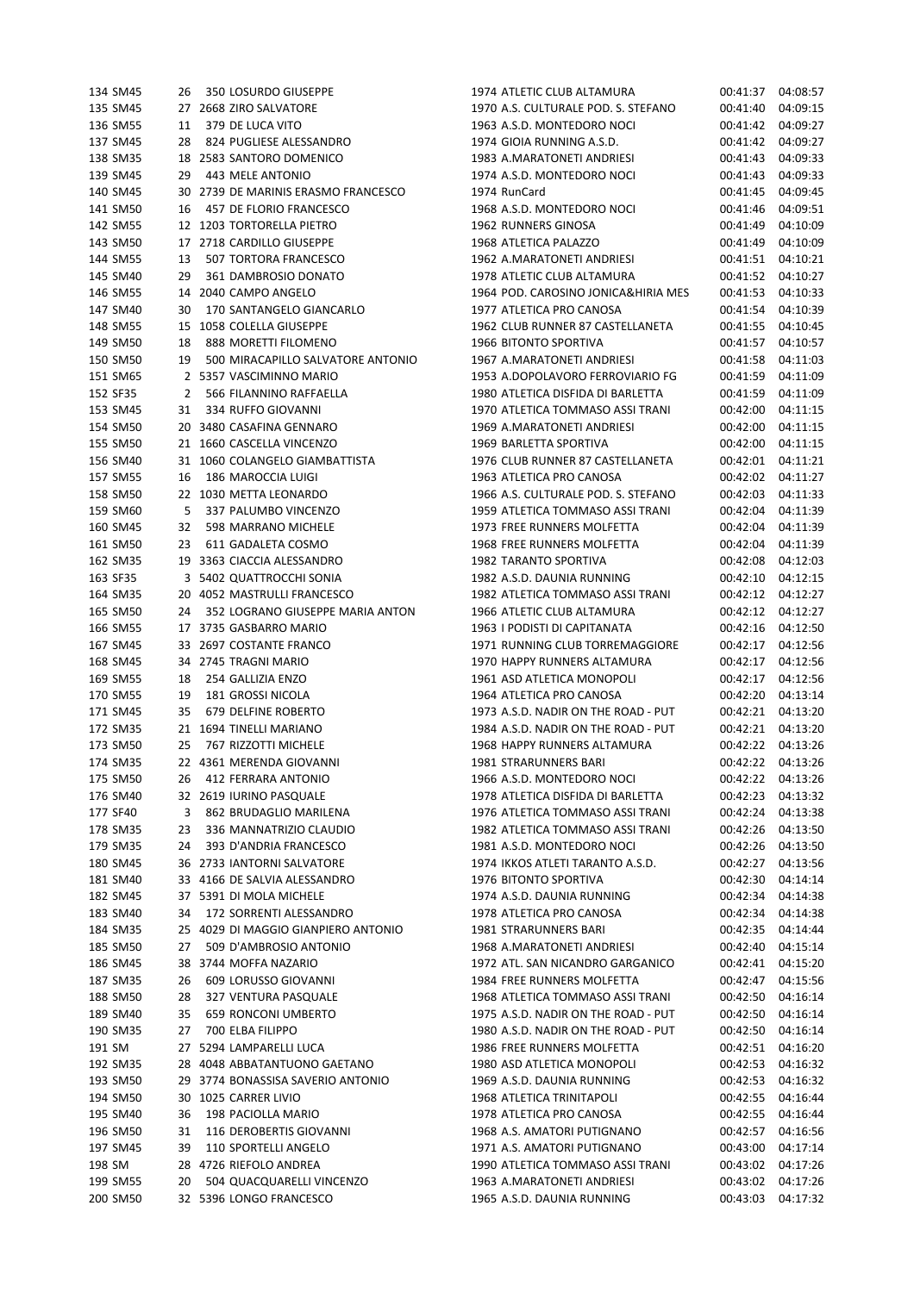| 134 SM45 | 26 | 350 LOSURDO GIUSEPPE                | 1974 ATLETIC CLUB ALTAMURA          | 00:41:37 | 04:08:57 |
|----------|----|-------------------------------------|-------------------------------------|----------|----------|
| 135 SM45 |    | 27 2668 ZIRO SALVATORE              | 1970 A.S. CULTURALE POD. S. STEFANO | 00:41:40 | 04:09:15 |
| 136 SM55 | 11 | 379 DE LUCA VITO                    | 1963 A.S.D. MONTEDORO NOCI          | 00:41:42 | 04:09:27 |
| 137 SM45 | 28 | 824 PUGLIESE ALESSANDRO             | 1974 GIOIA RUNNING A.S.D.           | 00:41:42 | 04:09:27 |
| 138 SM35 |    | 18 2583 SANTORO DOMENICO            | 1983 A.MARATONETI ANDRIESI          | 00:41:43 | 04:09:33 |
| 139 SM45 | 29 | 443 MELE ANTONIO                    | 1974 A.S.D. MONTEDORO NOCI          | 00:41:43 | 04:09:33 |
| 140 SM45 |    | 30 2739 DE MARINIS ERASMO FRANCESCO | 1974 RunCard                        | 00:41:45 | 04:09:45 |
| 141 SM50 | 16 | 457 DE FLORIO FRANCESCO             | 1968 A.S.D. MONTEDORO NOCI          | 00:41:46 | 04:09:51 |
|          |    | 12 1203 TORTORELLA PIETRO           | 1962 RUNNERS GINOSA                 |          |          |
| 142 SM55 |    |                                     |                                     | 00:41:49 | 04:10:09 |
| 143 SM50 |    | 17 2718 CARDILLO GIUSEPPE           | 1968 ATLETICA PALAZZO               | 00:41:49 | 04:10:09 |
| 144 SM55 | 13 | 507 TORTORA FRANCESCO               | 1962 A.MARATONETI ANDRIESI          | 00:41:51 | 04:10:21 |
| 145 SM40 | 29 | 361 DAMBROSIO DONATO                | 1978 ATLETIC CLUB ALTAMURA          | 00:41:52 | 04:10:27 |
| 146 SM55 | 14 | 2040 CAMPO ANGELO                   | 1964 POD. CAROSINO JONICA&HIRIA MES | 00:41:53 | 04:10:33 |
| 147 SM40 | 30 | 170 SANTANGELO GIANCARLO            | 1977 ATLETICA PRO CANOSA            | 00:41:54 | 04:10:39 |
| 148 SM55 | 15 | 1058 COLELLA GIUSEPPE               | 1962 CLUB RUNNER 87 CASTELLANETA    | 00:41:55 | 04:10:45 |
| 149 SM50 | 18 | 888 MORETTI FILOMENO                | 1966 BITONTO SPORTIVA               | 00:41:57 | 04:10:57 |
| 150 SM50 | 19 | 500 MIRACAPILLO SALVATORE ANTONIO   | 1967 A.MARATONETI ANDRIESI          | 00:41:58 | 04:11:03 |
| 151 SM65 |    | 2 5357 VASCIMINNO MARIO             | 1953 A.DOPOLAVORO FERROVIARIO FG    | 00:41:59 | 04:11:09 |
| 152 SF35 | 2  | 566 FILANNINO RAFFAELLA             | 1980 ATLETICA DISFIDA DI BARLETTA   | 00:41:59 | 04:11:09 |
| 153 SM45 | 31 | 334 RUFFO GIOVANNI                  | 1970 ATLETICA TOMMASO ASSI TRANI    | 00:42:00 | 04:11:15 |
| 154 SM50 |    | 20 3480 CASAFINA GENNARO            | 1969 A.MARATONETI ANDRIESI          | 00:42:00 | 04:11:15 |
| 155 SM50 |    | 21 1660 CASCELLA VINCENZO           | 1969 BARLETTA SPORTIVA              | 00:42:00 | 04:11:15 |
| 156 SM40 |    | 31 1060 COLANGELO GIAMBATTISTA      | 1976 CLUB RUNNER 87 CASTELLANETA    | 00:42:01 | 04:11:21 |
| 157 SM55 | 16 | 186 MAROCCIA LUIGI                  | 1963 ATLETICA PRO CANOSA            | 00:42:02 | 04:11:27 |
| 158 SM50 |    | 22 1030 METTA LEONARDO              | 1966 A.S. CULTURALE POD. S. STEFANO | 00:42:03 | 04:11:33 |
| 159 SM60 |    | 337 PALUMBO VINCENZO                | 1959 ATLETICA TOMMASO ASSI TRANI    | 00:42:04 | 04:11:39 |
|          | 5  |                                     |                                     |          |          |
| 160 SM45 | 32 | 598 MARRANO MICHELE                 | 1973 FREE RUNNERS MOLFETTA          | 00:42:04 | 04:11:39 |
| 161 SM50 | 23 | 611 GADALETA COSMO                  | 1968 FREE RUNNERS MOLFETTA          | 00:42:04 | 04:11:39 |
| 162 SM35 |    | 19 3363 CIACCIA ALESSANDRO          | 1982 TARANTO SPORTIVA               | 00:42:08 | 04:12:03 |
| 163 SF35 |    | 3 5402 QUATTROCCHI SONIA            | 1982 A.S.D. DAUNIA RUNNING          | 00:42:10 | 04:12:15 |
| 164 SM35 |    | 20 4052 MASTRULLI FRANCESCO         | 1982 ATLETICA TOMMASO ASSI TRANI    | 00:42:12 | 04:12:27 |
| 165 SM50 | 24 | 352 LOGRANO GIUSEPPE MARIA ANTON    | 1966 ATLETIC CLUB ALTAMURA          | 00:42:12 | 04:12:27 |
| 166 SM55 |    | 17 3735 GASBARRO MARIO              | 1963 I PODISTI DI CAPITANATA        | 00:42:16 | 04:12:50 |
| 167 SM45 |    | 33 2697 COSTANTE FRANCO             | 1971 RUNNING CLUB TORREMAGGIORE     | 00:42:17 | 04:12:56 |
| 168 SM45 |    | 34 2745 TRAGNI MARIO                | 1970 HAPPY RUNNERS ALTAMURA         | 00:42:17 | 04:12:56 |
| 169 SM55 | 18 | 254 GALLIZIA ENZO                   | 1961 ASD ATLETICA MONOPOLI          | 00:42:17 | 04:12:56 |
| 170 SM55 | 19 | 181 GROSSI NICOLA                   | 1964 ATLETICA PRO CANOSA            | 00:42:20 | 04:13:14 |
| 171 SM45 | 35 | 679 DELFINE ROBERTO                 | 1973 A.S.D. NADIR ON THE ROAD - PUT | 00:42:21 | 04:13:20 |
| 172 SM35 |    | 21 1694 TINELLI MARIANO             | 1984 A.S.D. NADIR ON THE ROAD - PUT | 00:42:21 | 04:13:20 |
| 173 SM50 | 25 | 767 RIZZOTTI MICHELE                | 1968 HAPPY RUNNERS ALTAMURA         | 00:42:22 | 04:13:26 |
| 174 SM35 |    | 22 4361 MERENDA GIOVANNI            | 1981 STRARUNNERS BARI               | 00:42:22 | 04:13:26 |
| 175 SM50 | 26 | 412 FERRARA ANTONIO                 | 1966 A.S.D. MONTEDORO NOCI          | 00:42:22 | 04:13:26 |
| 176 SM40 |    | 32 2619 IURINO PASQUALE             | 1978 ATLETICA DISFIDA DI BARLETTA   | 00:42:23 | 04:13:32 |
| 177 SF40 | 3  | 862 BRUDAGLIO MARILENA              | 1976 ATLETICA TOMMASO ASSI TRANI    | 00:42:24 | 04:13:38 |
| 178 SM35 | 23 | 336 MANNATRIZIO CLAUDIO             | 1982 ATLETICA TOMMASO ASSI TRANI    | 00:42:26 | 04:13:50 |
| 179 SM35 | 24 | 393 D'ANDRIA FRANCESCO              | 1981 A.S.D. MONTEDORO NOCI          | 00:42:26 | 04:13:50 |
| 180 SM45 |    | 36 2733 IANTORNI SALVATORE          | 1974 IKKOS ATLETI TARANTO A.S.D.    | 00:42:27 | 04:13:56 |
| 181 SM40 |    | 33 4166 DE SALVIA ALESSANDRO        | 1976 BITONTO SPORTIVA               | 00:42:30 | 04:14:14 |
|          |    | 37 5391 DI MOLA MICHELE             |                                     |          |          |
| 182 SM45 |    |                                     | 1974 A.S.D. DAUNIA RUNNING          | 00:42:34 | 04:14:38 |
| 183 SM40 | 34 | 172 SORRENTI ALESSANDRO             | 1978 ATLETICA PRO CANOSA            | 00:42:34 | 04:14:38 |
| 184 SM35 |    | 25 4029 DI MAGGIO GIANPIERO ANTONIO | 1981 STRARUNNERS BARI               | 00:42:35 | 04:14:44 |
| 185 SM50 | 27 | 509 D'AMBROSIO ANTONIO              | 1968 A.MARATONETI ANDRIESI          | 00:42:40 | 04:15:14 |
| 186 SM45 |    | 38 3744 MOFFA NAZARIO               | 1972 ATL. SAN NICANDRO GARGANICO    | 00:42:41 | 04:15:20 |
| 187 SM35 | 26 | 609 LORUSSO GIOVANNI                | 1984 FREE RUNNERS MOLFETTA          | 00:42:47 | 04:15:56 |
| 188 SM50 | 28 | 327 VENTURA PASQUALE                | 1968 ATLETICA TOMMASO ASSI TRANI    | 00:42:50 | 04:16:14 |
| 189 SM40 | 35 | <b>659 RONCONI UMBERTO</b>          | 1975 A.S.D. NADIR ON THE ROAD - PUT | 00:42:50 | 04:16:14 |
| 190 SM35 | 27 | 700 ELBA FILIPPO                    | 1980 A.S.D. NADIR ON THE ROAD - PUT | 00:42:50 | 04:16:14 |
| 191 SM   |    | 27 5294 LAMPARELLI LUCA             | 1986 FREE RUNNERS MOLFETTA          | 00:42:51 | 04:16:20 |
| 192 SM35 |    | 28 4048 ABBATANTUONO GAETANO        | 1980 ASD ATLETICA MONOPOLI          | 00:42:53 | 04:16:32 |
| 193 SM50 |    | 29 3774 BONASSISA SAVERIO ANTONIO   | 1969 A.S.D. DAUNIA RUNNING          | 00:42:53 | 04:16:32 |
| 194 SM50 |    | 30 1025 CARRER LIVIO                | 1968 ATLETICA TRINITAPOLI           | 00:42:55 | 04:16:44 |
| 195 SM40 | 36 | 198 PACIOLLA MARIO                  | 1978 ATLETICA PRO CANOSA            | 00:42:55 | 04:16:44 |
| 196 SM50 | 31 | 116 DEROBERTIS GIOVANNI             | 1968 A.S. AMATORI PUTIGNANO         | 00:42:57 | 04:16:56 |
| 197 SM45 | 39 | 110 SPORTELLI ANGELO                | 1971 A.S. AMATORI PUTIGNANO         | 00:43:00 | 04:17:14 |
| 198 SM   |    | 28 4726 RIEFOLO ANDREA              | 1990 ATLETICA TOMMASO ASSI TRANI    | 00:43:02 | 04:17:26 |
| 199 SM55 | 20 | 504 QUACQUARELLI VINCENZO           | 1963 A.MARATONETI ANDRIESI          | 00:43:02 | 04:17:26 |
| 200 SM50 |    | 32 5396 LONGO FRANCESCO             | 1965 A.S.D. DAUNIA RUNNING          | 00:43:03 | 04:17:32 |
|          |    |                                     |                                     |          |          |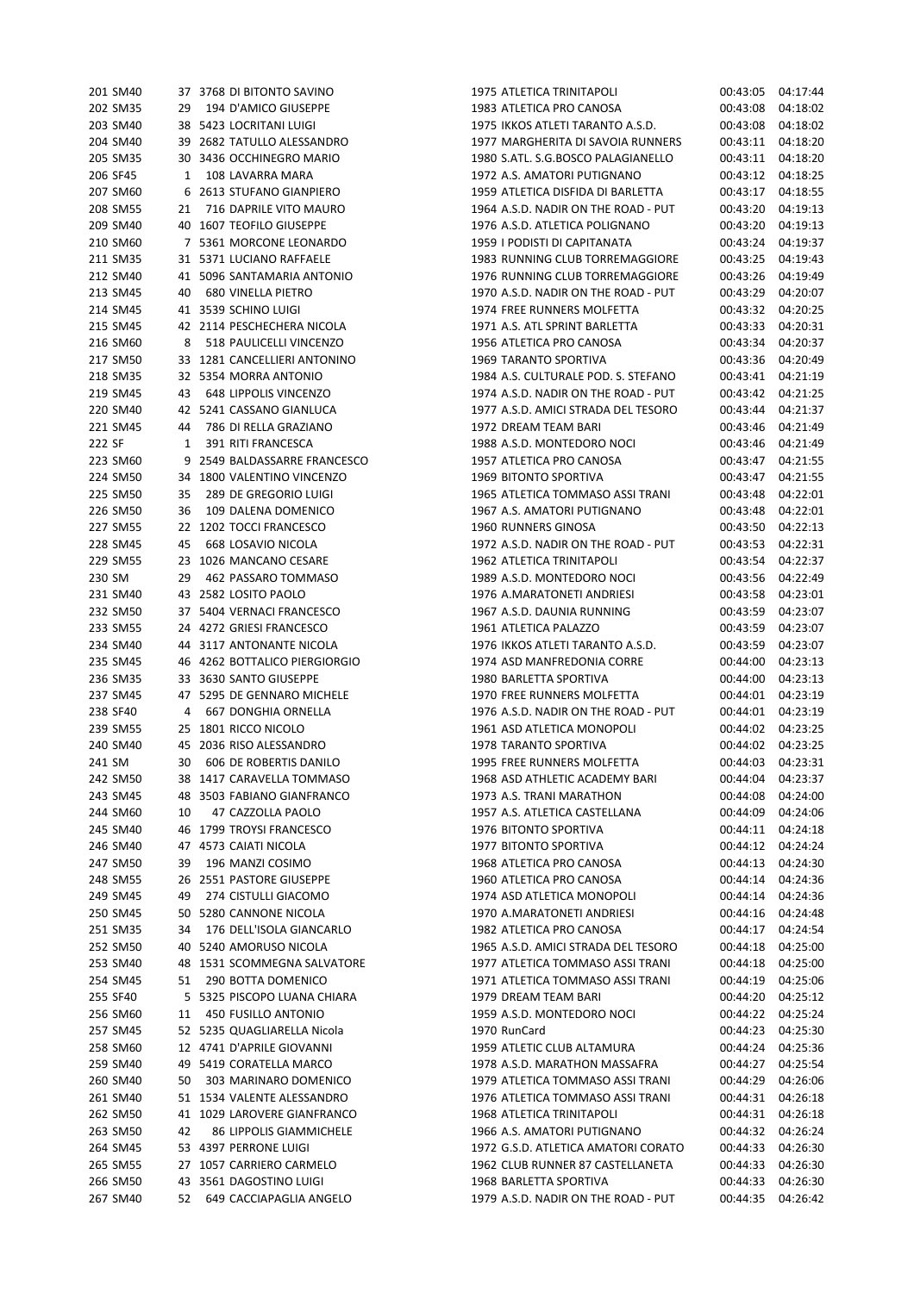| 201 SM40 |                 | 37 3768 DI BITONTO SAVINO             |
|----------|-----------------|---------------------------------------|
| 202 SM35 |                 | 29 194 D'AMICO GIUSEPPE               |
| 203 SM40 |                 | 38 5423 LOCRITANI LUIGI               |
| 204 SM40 | 39              | 2682 TATULLO ALESSANDRO               |
| 205 SM35 |                 | 30 3436 OCCHINEGRO MARIO              |
|          |                 | 1 108 LAVARRA MARA                    |
| 206 SF45 |                 |                                       |
| 207 SM60 | $6\overline{6}$ | 2613 STUFANO GIANPIERO                |
| 208 SM55 |                 | 21 716 DAPRILE VITO MAURO             |
| 209 SM40 |                 | 40 1607 TEOFILO GIUSEPPE              |
| 210 SM60 |                 | 7 5361 MORCONE LEONARDO               |
| 211 SM35 |                 | 31 5371 LUCIANO RAFFAELE              |
|          |                 |                                       |
| 212 SM40 |                 | 41 5096 SANTAMARIA ANTONIO            |
| 213 SM45 |                 | 40 680 VINELLA PIETRO                 |
| 214 SM45 | 41              | 3539 SCHINO LUIGI                     |
| 215 SM45 | 42              | 2114 PESCHECHERA NICOLA               |
| 216 SM60 |                 | 8 518 PAULICELLI VINCENZO             |
|          |                 | 217 SM50 33 1281 CANCELLIERI ANTONINO |
|          |                 |                                       |
| 218 SM35 | 32              | 5354 MORRA ANTONIO                    |
| 219 SM45 |                 | 43 648 LIPPOLIS VINCENZO              |
| 220 SM40 | 42              | 5241 CASSANO GIANLUCA                 |
| 221 SM45 |                 | 44 786 DI RELLA GRAZIANO              |
| 222 SF   |                 | 1 391 RITI FRANCESCA                  |
| 223 SM60 | 9               | 2549 BALDASSARRE FRANCESCO            |
|          |                 |                                       |
| 224 SM50 |                 | 34 1800 VALENTINO VINCENZO            |
| 225 SM50 | 35              | 289 DE GREGORIO LUIGI                 |
| 226 SM50 | 36              | 109 DALENA DOMENICO                   |
| 227 SM55 |                 | 22 1202 TOCCI FRANCESCO               |
| 228 SM45 |                 | 45 668 LOSAVIO NICOLA                 |
|          |                 | 23 1026 MANCANO CESARE                |
| 229 SM55 |                 |                                       |
| 230 SM   |                 | 29 462 PASSARO TOMMASO                |
| 231 SM40 | 43              | 2582 LOSITO PAOLO                     |
| 232 SM50 |                 | 37 5404 VERNACI FRANCESCO             |
| 233 SM55 |                 | 24 4272 GRIESI FRANCESCO              |
| 234 SM40 |                 | 44 3117 ANTONANTE NICOLA              |
| 235 SM45 |                 | 46 4262 BOTTALICO PIERGIORGIO         |
| 236 SM35 | 33              | 3630 SANTO GIUSEPPE                   |
|          | 47              | 5295 DE GENNARO MICHELE               |
| 237 SM45 |                 |                                       |
| 238 SF40 |                 | 4 667 DONGHIA ORNELLA                 |
| 239 SM55 |                 | 25 1801 RICCO NICOLO                  |
|          |                 | 240 SM40 45 2036 RISO ALESSANDRO      |
| 241 SM   |                 | 30 606 DE ROBERTIS DANILO             |
| 242 SM50 |                 | 38 1417 CARAVELLA TOMMASO             |
| 243 SM45 |                 | 48 3503 FABIANO GIANFRANCO            |
| 244 SM60 |                 | 10 47 CAZZOLLA PAOLO                  |
|          |                 | 46 1799 TROYSI FRANCESCO              |
| 245 SM40 |                 |                                       |
| 246 SM40 |                 | 47 4573 CAIATI NICOLA                 |
| 247 SM50 |                 | 39 196 MANZI COSIMO                   |
| 248 SM55 | 26              | 2551 PASTORE GIUSEPPE                 |
| 249 SM45 |                 | 49 274 CISTULLI GIACOMO               |
| 250 SM45 |                 | 50 5280 CANNONE NICOLA                |
| 251 SM35 |                 | 34 176 DELL'ISOLA GIANCARLO           |
| 252 SM50 |                 | 5240 AMORUSO NICOLA                   |
|          | 40              |                                       |
| 253 SM40 | 48              | 1531 SCOMMEGNA SALVATORE              |
| 254 SM45 | 51              | 290 BOTTA DOMENICO                    |
| 255 SF40 |                 | 5 5325 PISCOPO LUANA CHIARA           |
| 256 SM60 |                 | 11 450 FUSILLO ANTONIO                |
| 257 SM45 |                 | 52 5235 QUAGLIARELLA Nicola           |
| 258 SM60 |                 | 12 4741 D'APRILE GIOVANNI             |
| 259 SM40 | 49              | 5419 CORATELLA MARCO                  |
|          |                 | 50 303 MARINARO DOMENICO              |
| 260 SM40 |                 |                                       |
| 261 SM40 |                 | 51 1534 VALENTE ALESSANDRO            |
| 262 SM50 |                 | 41 1029 LAROVERE GIANFRANCO           |
| 263 SM50 | 42              | 86 LIPPOLIS GIAMMICHELE               |
| 264 SM45 |                 | 53 4397 PERRONE LUIGI                 |
| 265 SM55 |                 | 27 1057 CARRIERO CARMELO              |
| 266 SM50 |                 | 43 3561 DAGOSTINO LUIGI               |
|          |                 |                                       |
| 267 SM40 |                 | 52 649 CACCIAPAGLIA ANGELO            |

| 201 SM40             |    | 37 3768 DI BITONTO SAVINO                               | 1975 ATLETICA TRINITAPOLI                                         | 00:43:05 | 04:17:44 |
|----------------------|----|---------------------------------------------------------|-------------------------------------------------------------------|----------|----------|
| 202 SM35             |    | 29 194 D'AMICO GIUSEPPE                                 | 1983 ATLETICA PRO CANOSA                                          | 00:43:08 | 04:18:02 |
| 203 SM40             |    | 38 5423 LOCRITANI LUIGI                                 | 1975 IKKOS ATLETI TARANTO A.S.D.                                  | 00:43:08 | 04:18:02 |
| 204 SM40             |    | 39 2682 TATULLO ALESSANDRO                              | 1977 MARGHERITA DI SAVOIA RUNNERS                                 | 00:43:11 | 04:18:20 |
| 205 SM35             |    | 30 3436 OCCHINEGRO MARIO                                | 1980 S.ATL. S.G.BOSCO PALAGIANELLO                                | 00:43:11 | 04:18:20 |
| 206 SF45             | 1  | 108 LAVARRA MARA                                        | 1972 A.S. AMATORI PUTIGNANO                                       | 00:43:12 | 04:18:25 |
| 207 SM60             |    | 6 2613 STUFANO GIANPIERO                                | 1959 ATLETICA DISFIDA DI BARLETTA                                 | 00:43:17 | 04:18:55 |
| 208 SM55             | 21 | 716 DAPRILE VITO MAURO                                  | 1964 A.S.D. NADIR ON THE ROAD - PUT                               | 00:43:20 | 04:19:13 |
| 209 SM40             |    | 40 1607 TEOFILO GIUSEPPE                                | 1976 A.S.D. ATLETICA POLIGNANO                                    | 00:43:20 | 04:19:13 |
| 210 SM60             |    | 7 5361 MORCONE LEONARDO                                 | 1959 I PODISTI DI CAPITANATA                                      | 00:43:24 | 04:19:37 |
| 211 SM35             |    | 31 5371 LUCIANO RAFFAELE                                | 1983 RUNNING CLUB TORREMAGGIORE                                   | 00:43:25 | 04:19:43 |
| 212 SM40             |    | 41 5096 SANTAMARIA ANTONIO                              | 1976 RUNNING CLUB TORREMAGGIORE                                   | 00:43:26 | 04:19:49 |
| 213 SM45             |    | 40 680 VINELLA PIETRO                                   | 1970 A.S.D. NADIR ON THE ROAD - PUT                               | 00:43:29 | 04:20:07 |
| 214 SM45             |    | 41 3539 SCHINO LUIGI                                    | 1974 FREE RUNNERS MOLFETTA                                        | 00:43:32 | 04:20:25 |
| 215 SM45             |    | 42 2114 PESCHECHERA NICOLA                              | 1971 A.S. ATL SPRINT BARLETTA                                     | 00:43:33 | 04:20:31 |
| 216 SM60             | 8  | 518 PAULICELLI VINCENZO                                 | 1956 ATLETICA PRO CANOSA                                          | 00:43:34 | 04:20:37 |
| 217 SM50             |    | 33 1281 CANCELLIERI ANTONINO                            | 1969 TARANTO SPORTIVA                                             | 00:43:36 | 04:20:49 |
| 218 SM35             |    | 32 5354 MORRA ANTONIO                                   | 1984 A.S. CULTURALE POD. S. STEFANO                               | 00:43:41 | 04:21:19 |
| 219 SM45             |    | 43 648 LIPPOLIS VINCENZO                                | 1974 A.S.D. NADIR ON THE ROAD - PUT                               | 00:43:42 | 04:21:25 |
| 220 SM40             |    | 42 5241 CASSANO GIANLUCA                                | 1977 A.S.D. AMICI STRADA DEL TESORO                               | 00:43:44 | 04:21:37 |
| 221 SM45             | 44 | 786 DI RELLA GRAZIANO                                   | 1972 DREAM TEAM BARI                                              | 00:43:46 | 04:21:49 |
| 222 SF               | 1  | 391 RITI FRANCESCA                                      | 1988 A.S.D. MONTEDORO NOCI                                        | 00:43:46 | 04:21:49 |
| 223 SM60             |    | 9 2549 BALDASSARRE FRANCESCO                            | 1957 ATLETICA PRO CANOSA                                          | 00:43:47 | 04:21:55 |
| 224 SM50             |    | 34 1800 VALENTINO VINCENZO                              | 1969 BITONTO SPORTIVA                                             | 00:43:47 | 04:21:55 |
| 225 SM50             | 35 | 289 DE GREGORIO LUIGI                                   | 1965 ATLETICA TOMMASO ASSI TRANI                                  | 00:43:48 | 04:22:01 |
| 226 SM50             | 36 | 109 DALENA DOMENICO                                     | 1967 A.S. AMATORI PUTIGNANO                                       | 00:43:48 | 04:22:01 |
| 227 SM55             |    | 22 1202 TOCCI FRANCESCO                                 | 1960 RUNNERS GINOSA                                               | 00:43:50 | 04:22:13 |
| 228 SM45             | 45 | 668 LOSAVIO NICOLA                                      | 1972 A.S.D. NADIR ON THE ROAD - PUT                               | 00:43:53 | 04:22:31 |
| 229 SM55             |    | 23 1026 MANCANO CESARE                                  | 1962 ATLETICA TRINITAPOLI                                         | 00:43:54 | 04:22:37 |
| 230 SM               | 29 | 462 PASSARO TOMMASO                                     | 1989 A.S.D. MONTEDORO NOCI                                        | 00:43:56 | 04:22:49 |
| 231 SM40             |    | 43 2582 LOSITO PAOLO                                    | 1976 A.MARATONETI ANDRIESI                                        | 00:43:58 | 04:23:01 |
| 232 SM50             |    | 37 5404 VERNACI FRANCESCO                               | 1967 A.S.D. DAUNIA RUNNING                                        | 00:43:59 | 04:23:07 |
|                      |    | 24 4272 GRIESI FRANCESCO                                | 1961 ATLETICA PALAZZO                                             |          | 04:23:07 |
| 233 SM55<br>234 SM40 |    | 44 3117 ANTONANTE NICOLA                                | 1976 IKKOS ATLETI TARANTO A.S.D.                                  | 00:43:59 |          |
| 235 SM45             |    |                                                         | 1974 ASD MANFREDONIA CORRE                                        | 00:43:59 | 04:23:07 |
| 236 SM35             |    | 46 4262 BOTTALICO PIERGIORGIO<br>33 3630 SANTO GIUSEPPE |                                                                   | 00:44:00 | 04:23:13 |
|                      |    |                                                         | 1980 BARLETTA SPORTIVA                                            | 00:44:00 | 04:23:13 |
| 237 SM45             |    | 47 5295 DE GENNARO MICHELE                              | 1970 FREE RUNNERS MOLFETTA<br>1976 A.S.D. NADIR ON THE ROAD - PUT | 00:44:01 | 04:23:19 |
| 238 SF40<br>239 SM55 | 4  | 667 DONGHIA ORNELLA                                     |                                                                   | 00:44:01 | 04:23:19 |
|                      |    | 25 1801 RICCO NICOLO                                    | 1961 ASD ATLETICA MONOPOLI                                        | 00:44:02 | 04:23:25 |
| 240 SM40             |    | 45 2036 RISO ALESSANDRO                                 | 1978 TARANTO SPORTIVA                                             | 00:44:02 | 04:23:25 |
| 241 SM               | 30 | 606 DE ROBERTIS DANILO                                  | 1995 FREE RUNNERS MOLFETTA                                        | 00:44:03 | 04:23:31 |
| 242 SM50             |    | 38 1417 CARAVELLA TOMMASO                               | 1968 ASD ATHLETIC ACADEMY BARI                                    | 00:44:04 | 04:23:37 |
| 243 SM45             |    | 48 3503 FABIANO GIANFRANCO                              | 1973 A.S. TRANI MARATHON                                          | 00:44:08 | 04:24:00 |
| 244 SM60             | 10 | 47 CAZZOLLA PAOLO                                       | 1957 A.S. ATLETICA CASTELLANA                                     | 00:44:09 | 04:24:06 |
| 245 SM40             |    | 46 1799 TROYSI FRANCESCO                                | 1976 BITONTO SPORTIVA                                             | 00:44:11 | 04:24:18 |
| 246 SM40             |    | 47 4573 CAIATI NICOLA                                   | 1977 BITONTO SPORTIVA                                             | 00:44:12 | 04:24:24 |
| 247 SM50             | 39 | 196 MANZI COSIMO                                        | 1968 ATLETICA PRO CANOSA                                          | 00:44:13 | 04:24:30 |
| 248 SM55             |    | 26 2551 PASTORE GIUSEPPE                                | 1960 ATLETICA PRO CANOSA                                          | 00:44:14 | 04:24:36 |
| 249 SM45             | 49 | 274 CISTULLI GIACOMO                                    | 1974 ASD ATLETICA MONOPOLI                                        | 00:44:14 | 04:24:36 |
| 250 SM45             |    | 50 5280 CANNONE NICOLA                                  | 1970 A.MARATONETI ANDRIESI                                        | 00:44:16 | 04:24:48 |
| 251 SM35             | 34 | 176 DELL'ISOLA GIANCARLO                                | 1982 ATLETICA PRO CANOSA                                          | 00:44:17 | 04:24:54 |
| 252 SM50             |    | 40 5240 AMORUSO NICOLA                                  | 1965 A.S.D. AMICI STRADA DEL TESORO                               | 00:44:18 | 04:25:00 |
| 253 SM40             |    | 48 1531 SCOMMEGNA SALVATORE                             | 1977 ATLETICA TOMMASO ASSI TRANI                                  | 00:44:18 | 04:25:00 |
| 254 SM45             | 51 | 290 BOTTA DOMENICO                                      | 1971 ATLETICA TOMMASO ASSI TRANI                                  | 00:44:19 | 04:25:06 |
| 255 SF40             |    | 5 5325 PISCOPO LUANA CHIARA                             | 1979 DREAM TEAM BARI                                              | 00:44:20 | 04:25:12 |
| 256 SM60             | 11 | 450 FUSILLO ANTONIO                                     | 1959 A.S.D. MONTEDORO NOCI                                        | 00:44:22 | 04:25:24 |
| 257 SM45             |    | 52 5235 QUAGLIARELLA Nicola                             | 1970 RunCard                                                      | 00:44:23 | 04:25:30 |
| 258 SM60             |    | 12 4741 D'APRILE GIOVANNI                               | 1959 ATLETIC CLUB ALTAMURA                                        | 00:44:24 | 04:25:36 |
| 259 SM40             |    | 49 5419 CORATELLA MARCO                                 | 1978 A.S.D. MARATHON MASSAFRA                                     | 00:44:27 | 04:25:54 |
| 260 SM40             | 50 | 303 MARINARO DOMENICO                                   | 1979 ATLETICA TOMMASO ASSI TRANI                                  | 00:44:29 | 04:26:06 |
| 261 SM40             |    | 51 1534 VALENTE ALESSANDRO                              | 1976 ATLETICA TOMMASO ASSI TRANI                                  | 00:44:31 | 04:26:18 |
| 262 SM50             |    | 41 1029 LAROVERE GIANFRANCO                             | 1968 ATLETICA TRINITAPOLI                                         | 00:44:31 | 04:26:18 |
| 263 SM50             | 42 | <b>86 LIPPOLIS GIAMMICHELE</b>                          | 1966 A.S. AMATORI PUTIGNANO                                       | 00:44:32 | 04:26:24 |
| 264 SM45             |    | 53 4397 PERRONE LUIGI                                   | 1972 G.S.D. ATLETICA AMATORI CORATO                               | 00:44:33 | 04:26:30 |
| 265 SM55             |    | 27 1057 CARRIERO CARMELO                                | 1962 CLUB RUNNER 87 CASTELLANETA                                  | 00:44:33 | 04:26:30 |
| 266 SM50             |    | 43 3561 DAGOSTINO LUIGI                                 | 1968 BARLETTA SPORTIVA                                            | 00:44:33 | 04:26:30 |
| 267 SM40             | 52 | 649 CACCIAPAGLIA ANGELO                                 | 1979 A.S.D. NADIR ON THE ROAD - PUT                               | 00:44:35 | 04:26:42 |
|                      |    |                                                         |                                                                   |          |          |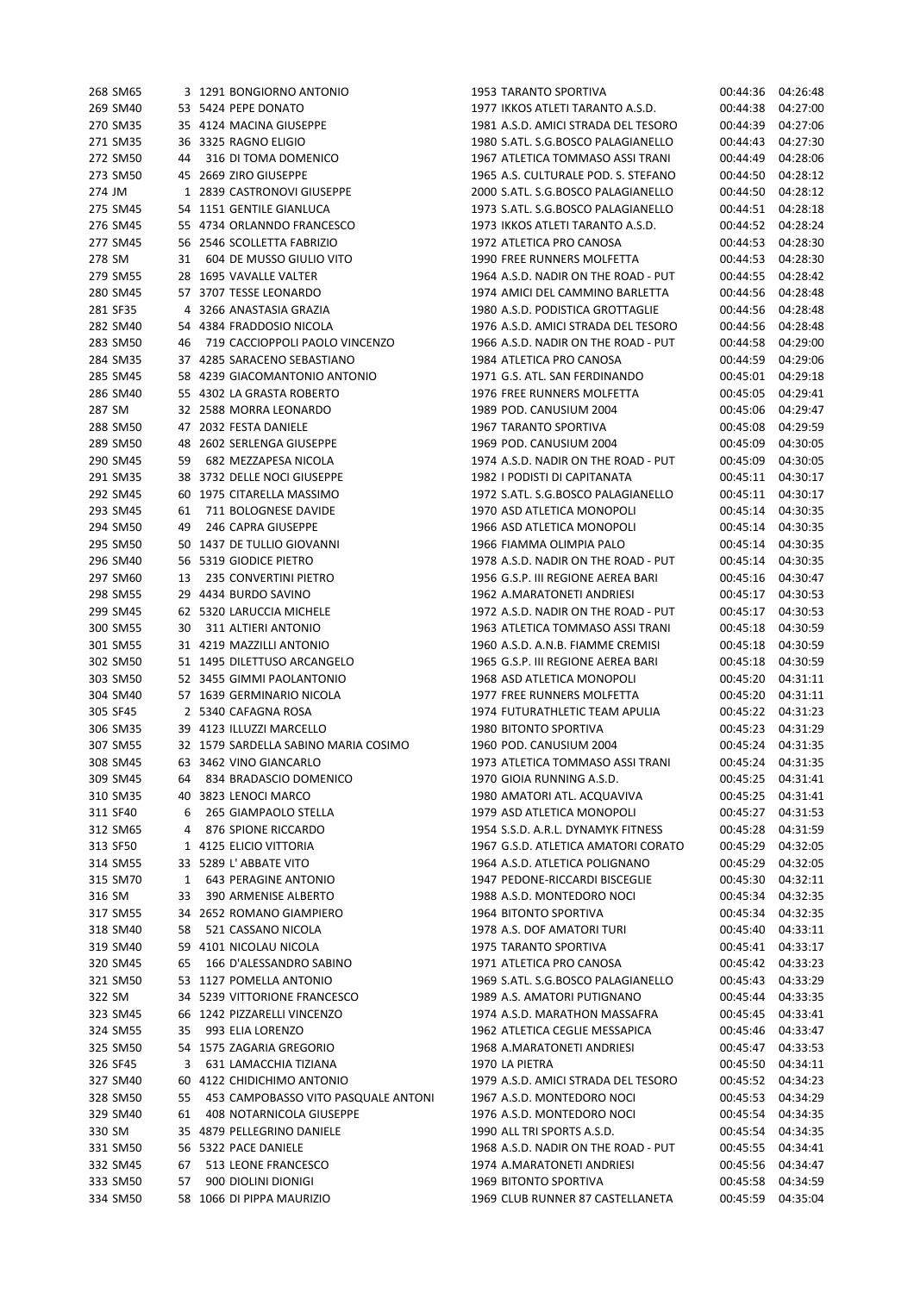| 268 SM65 |    | 3 1291 BONGIORNO ANTONIO                                 |  | 1953 TARANTO SPORTIVA               | 00:44:36 | 04:26:48 |
|----------|----|----------------------------------------------------------|--|-------------------------------------|----------|----------|
| 269 SM40 |    | 53 5424 PEPE DONATO                                      |  | 1977 IKKOS ATLETI TARANTO A.S.D.    | 00:44:38 | 04:27:00 |
| 270 SM35 |    | 35 4124 MACINA GIUSEPPE                                  |  | 1981 A.S.D. AMICI STRADA DEL TESORO | 00:44:39 | 04:27:06 |
| 271 SM35 |    | 36 3325 RAGNO ELIGIO                                     |  | 1980 S.ATL. S.G.BOSCO PALAGIANELLO  | 00:44:43 | 04:27:30 |
| 272 SM50 | 44 | 316 DI TOMA DOMENICO                                     |  | 1967 ATLETICA TOMMASO ASSI TRANI    | 00:44:49 | 04:28:06 |
| 273 SM50 |    | 45 2669 ZIRO GIUSEPPE                                    |  | 1965 A.S. CULTURALE POD. S. STEFANO | 00:44:50 | 04:28:12 |
| 274 JM   |    | 1 2839 CASTRONOVI GIUSEPPE                               |  | 2000 S.ATL. S.G.BOSCO PALAGIANELLO  | 00:44:50 | 04:28:12 |
| 275 SM45 |    | 54 1151 GENTILE GIANLUCA                                 |  | 1973 S.ATL. S.G.BOSCO PALAGIANELLO  | 00:44:51 | 04:28:18 |
| 276 SM45 |    | 55 4734 ORLANNDO FRANCESCO                               |  | 1973 IKKOS ATLETI TARANTO A.S.D.    | 00:44:52 | 04:28:24 |
| 277 SM45 |    | 56 2546 SCOLLETTA FABRIZIO                               |  | 1972 ATLETICA PRO CANOSA            | 00:44:53 | 04:28:30 |
| 278 SM   | 31 | 604 DE MUSSO GIULIO VITO                                 |  | 1990 FREE RUNNERS MOLFETTA          | 00:44:53 | 04:28:30 |
| 279 SM55 |    | 28 1695 VAVALLE VALTER                                   |  | 1964 A.S.D. NADIR ON THE ROAD - PUT | 00:44:55 | 04:28:42 |
| 280 SM45 |    | 57 3707 TESSE LEONARDO                                   |  | 1974 AMICI DEL CAMMINO BARLETTA     | 00:44:56 | 04:28:48 |
| 281 SF35 |    | 4 3266 ANASTASIA GRAZIA                                  |  | 1980 A.S.D. PODISTICA GROTTAGLIE    | 00:44:56 | 04:28:48 |
| 282 SM40 |    | 54 4384 FRADDOSIO NICOLA                                 |  | 1976 A.S.D. AMICI STRADA DEL TESORO | 00:44:56 | 04:28:48 |
| 283 SM50 | 46 | 719 CACCIOPPOLI PAOLO VINCENZO                           |  | 1966 A.S.D. NADIR ON THE ROAD - PUT | 00:44:58 | 04:29:00 |
| 284 SM35 |    | 37 4285 SARACENO SEBASTIANO                              |  | 1984 ATLETICA PRO CANOSA            | 00:44:59 | 04:29:06 |
| 285 SM45 |    | 58 4239 GIACOMANTONIO ANTONIO                            |  | 1971 G.S. ATL. SAN FERDINANDO       | 00:45:01 | 04:29:18 |
| 286 SM40 |    | 55 4302 LA GRASTA ROBERTO                                |  | 1976 FREE RUNNERS MOLFETTA          | 00:45:05 | 04:29:41 |
| 287 SM   |    | 32 2588 MORRA LEONARDO                                   |  | 1989 POD. CANUSIUM 2004             | 00:45:06 | 04:29:47 |
| 288 SM50 |    | 47 2032 FESTA DANIELE                                    |  | 1967 TARANTO SPORTIVA               | 00:45:08 | 04:29:59 |
| 289 SM50 |    | 48 2602 SERLENGA GIUSEPPE                                |  | 1969 POD. CANUSIUM 2004             | 00:45:09 | 04:30:05 |
| 290 SM45 |    | 59 682 MEZZAPESA NICOLA                                  |  | 1974 A.S.D. NADIR ON THE ROAD - PUT | 00:45:09 | 04:30:05 |
| 291 SM35 |    | 38 3732 DELLE NOCI GIUSEPPE                              |  | 1982 I PODISTI DI CAPITANATA        | 00:45:11 | 04:30:17 |
| 292 SM45 |    | 60 1975 CITARELLA MASSIMO                                |  | 1972 S.ATL. S.G.BOSCO PALAGIANELLO  | 00:45:11 | 04:30:17 |
| 293 SM45 | 61 | 711 BOLOGNESE DAVIDE                                     |  | 1970 ASD ATLETICA MONOPOLI          | 00:45:14 | 04:30:35 |
| 294 SM50 | 49 | 246 CAPRA GIUSEPPE                                       |  | 1966 ASD ATLETICA MONOPOLI          | 00:45:14 | 04:30:35 |
| 295 SM50 |    | 50 1437 DE TULLIO GIOVANNI                               |  | 1966 FIAMMA OLIMPIA PALO            | 00:45:14 | 04:30:35 |
| 296 SM40 |    | 56 5319 GIODICE PIETRO                                   |  | 1978 A.S.D. NADIR ON THE ROAD - PUT | 00:45:14 | 04:30:35 |
| 297 SM60 | 13 | 235 CONVERTINI PIETRO                                    |  | 1956 G.S.P. III REGIONE AEREA BARI  | 00:45:16 | 04:30:47 |
| 298 SM55 |    | 29 4434 BURDO SAVINO                                     |  | 1962 A.MARATONETI ANDRIESI          | 00:45:17 | 04:30:53 |
| 299 SM45 |    | 62 5320 LARUCCIA MICHELE                                 |  | 1972 A.S.D. NADIR ON THE ROAD - PUT | 00:45:17 | 04:30:53 |
| 300 SM55 | 30 | 311 ALTIERI ANTONIO                                      |  | 1963 ATLETICA TOMMASO ASSI TRANI    | 00:45:18 | 04:30:59 |
|          |    |                                                          |  | 1960 A.S.D. A.N.B. FIAMME CREMISI   |          |          |
| 301 SM55 |    | 31 4219 MAZZILLI ANTONIO                                 |  | 1965 G.S.P. III REGIONE AEREA BARI  | 00:45:18 | 04:30:59 |
| 302 SM50 |    | 51 1495 DILETTUSO ARCANGELO<br>52 3455 GIMMI PAOLANTONIO |  | 1968 ASD ATLETICA MONOPOLI          | 00:45:18 | 04:30:59 |
| 303 SM50 |    | 57 1639 GERMINARIO NICOLA                                |  | 1977 FREE RUNNERS MOLFETTA          | 00:45:20 | 04:31:11 |
| 304 SM40 |    |                                                          |  |                                     | 00:45:20 | 04:31:11 |
| 305 SF45 |    | 2 5340 CAFAGNA ROSA                                      |  | 1974 FUTURATHLETIC TEAM APULIA      | 00:45:22 | 04:31:23 |
| 306 SM35 |    | 39 4123 ILLUZZI MARCELLO                                 |  | 1980 BITONTO SPORTIVA               | 00:45:23 | 04:31:29 |
| 307 SM55 |    | 32 1579 SARDELLA SABINO MARIA COSIMO                     |  | 1960 POD. CANUSIUM 2004             | 00:45:24 | 04:31:35 |
| 308 SM45 |    | 63 3462 VINO GIANCARLO                                   |  | 1973 ATLETICA TOMMASO ASSI TRANI    | 00:45:24 | 04:31:35 |
| 309 SM45 |    | 64 834 BRADASCIO DOMENICO                                |  | 1970 GIOIA RUNNING A.S.D.           | 00:45:25 | 04:31:41 |
| 310 SM35 |    | 40 3823 LENOCI MARCO                                     |  | 1980 AMATORI ATL. ACQUAVIVA         | 00:45:25 | 04:31:41 |
| 311 SF40 | 6  | 265 GIAMPAOLO STELLA                                     |  | 1979 ASD ATLETICA MONOPOLI          | 00:45:27 | 04:31:53 |
| 312 SM65 | 4  | 876 SPIONE RICCARDO                                      |  | 1954 S.S.D. A.R.L. DYNAMYK FITNESS  | 00:45:28 | 04:31:59 |
| 313 SF50 |    | 1 4125 ELICIO VITTORIA                                   |  | 1967 G.S.D. ATLETICA AMATORI CORATO | 00:45:29 | 04:32:05 |
| 314 SM55 |    | 33 5289 L'ABBATE VITO                                    |  | 1964 A.S.D. ATLETICA POLIGNANO      | 00:45:29 | 04:32:05 |
| 315 SM70 | 1  | <b>643 PERAGINE ANTONIO</b>                              |  | 1947 PEDONE-RICCARDI BISCEGLIE      | 00:45:30 | 04:32:11 |
| 316 SM   | 33 | 390 ARMENISE ALBERTO                                     |  | 1988 A.S.D. MONTEDORO NOCI          | 00:45:34 | 04:32:35 |
| 317 SM55 |    | 34 2652 ROMANO GIAMPIERO                                 |  | 1964 BITONTO SPORTIVA               | 00:45:34 | 04:32:35 |
| 318 SM40 | 58 | 521 CASSANO NICOLA                                       |  | 1978 A.S. DOF AMATORI TURI          | 00:45:40 | 04:33:11 |
| 319 SM40 |    | 59 4101 NICOLAU NICOLA                                   |  | 1975 TARANTO SPORTIVA               | 00:45:41 | 04:33:17 |
| 320 SM45 | 65 | 166 D'ALESSANDRO SABINO                                  |  | 1971 ATLETICA PRO CANOSA            | 00:45:42 | 04:33:23 |
| 321 SM50 |    | 53 1127 POMELLA ANTONIO                                  |  | 1969 S.ATL. S.G.BOSCO PALAGIANELLO  | 00:45:43 | 04:33:29 |
| 322 SM   |    | 34 5239 VITTORIONE FRANCESCO                             |  | 1989 A.S. AMATORI PUTIGNANO         | 00:45:44 | 04:33:35 |
| 323 SM45 |    | 66 1242 PIZZARELLI VINCENZO                              |  | 1974 A.S.D. MARATHON MASSAFRA       | 00:45:45 | 04:33:41 |
| 324 SM55 | 35 | 993 ELIA LORENZO                                         |  | 1962 ATLETICA CEGLIE MESSAPICA      | 00:45:46 | 04:33:47 |
| 325 SM50 |    | 54 1575 ZAGARIA GREGORIO                                 |  | 1968 A.MARATONETI ANDRIESI          | 00:45:47 | 04:33:53 |
| 326 SF45 | 3  | 631 LAMACCHIA TIZIANA                                    |  | 1970 LA PIETRA                      | 00:45:50 | 04:34:11 |
| 327 SM40 |    | 60 4122 CHIDICHIMO ANTONIO                               |  | 1979 A.S.D. AMICI STRADA DEL TESORO | 00:45:52 | 04:34:23 |
| 328 SM50 | 55 | 453 CAMPOBASSO VITO PASQUALE ANTONI                      |  | 1967 A.S.D. MONTEDORO NOCI          | 00:45:53 | 04:34:29 |
| 329 SM40 | 61 | 408 NOTARNICOLA GIUSEPPE                                 |  | 1976 A.S.D. MONTEDORO NOCI          | 00:45:54 | 04:34:35 |
| 330 SM   |    | 35 4879 PELLEGRINO DANIELE                               |  | 1990 ALL TRI SPORTS A.S.D.          | 00:45:54 | 04:34:35 |
| 331 SM50 |    | 56 5322 PACE DANIELE                                     |  | 1968 A.S.D. NADIR ON THE ROAD - PUT | 00:45:55 | 04:34:41 |
| 332 SM45 | 67 | 513 LEONE FRANCESCO                                      |  | 1974 A.MARATONETI ANDRIESI          | 00:45:56 | 04:34:47 |
| 333 SM50 | 57 | 900 DIOLINI DIONIGI                                      |  | 1969 BITONTO SPORTIVA               | 00:45:58 | 04:34:59 |
| 334 SM50 |    | 58 1066 DI PIPPA MAURIZIO                                |  | 1969 CLUB RUNNER 87 CASTELLANETA    | 00:45:59 | 04:35:04 |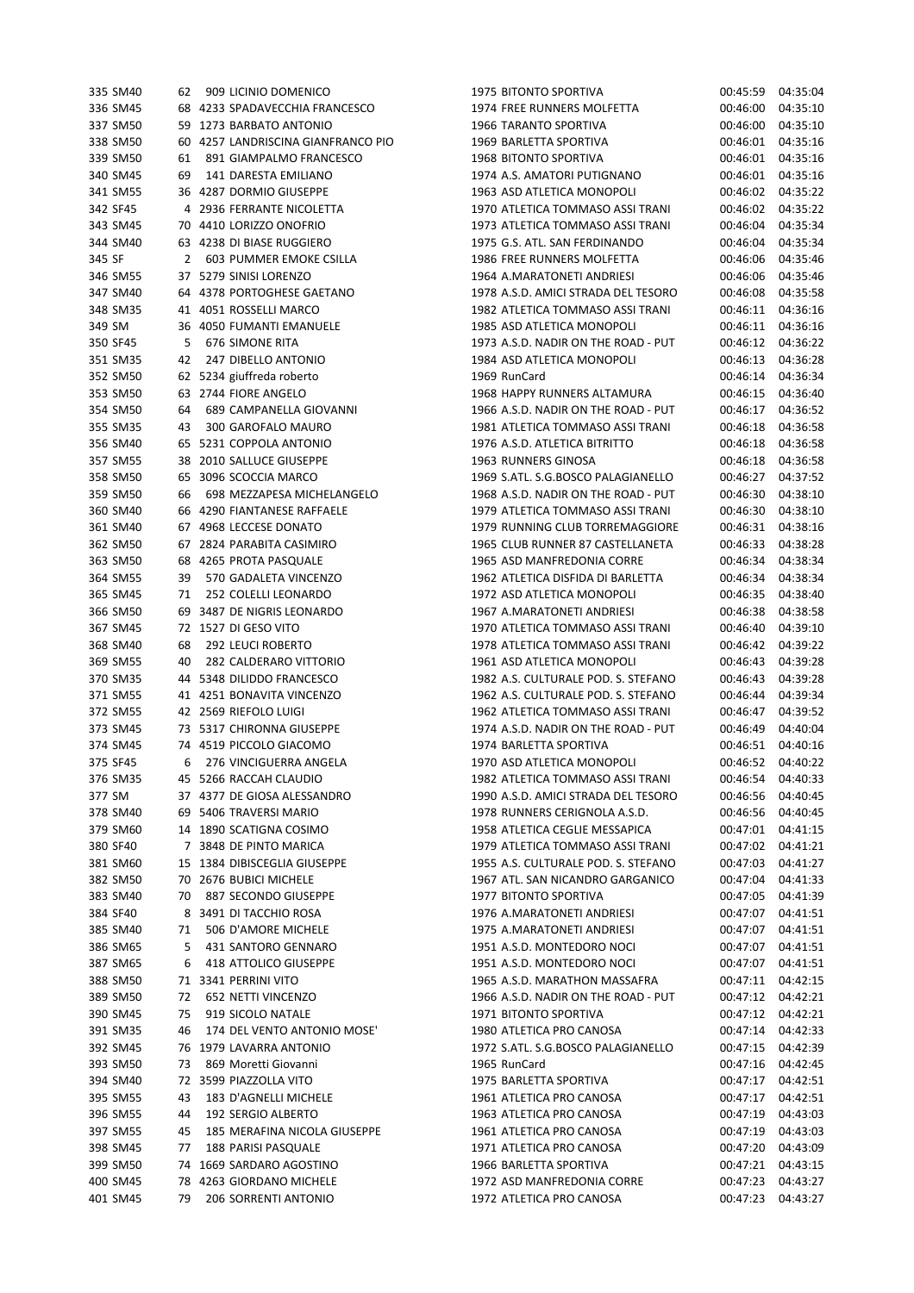| 335 SM40 |    | 62 909 LICINIO DOMENICO            | 1975 BITONTO SPORTIVA               | 00:45:59 | 04:35:04 |
|----------|----|------------------------------------|-------------------------------------|----------|----------|
| 336 SM45 |    | 68 4233 SPADAVECCHIA FRANCESCO     | 1974 FREE RUNNERS MOLFETTA          | 00:46:00 | 04:35:10 |
| 337 SM50 |    | 59 1273 BARBATO ANTONIO            | 1966 TARANTO SPORTIVA               | 00:46:00 | 04:35:10 |
| 338 SM50 |    | 60 4257 LANDRISCINA GIANFRANCO PIO | 1969 BARLETTA SPORTIVA              | 00:46:01 | 04:35:16 |
| 339 SM50 | 61 | 891 GIAMPALMO FRANCESCO            | 1968 BITONTO SPORTIVA               | 00:46:01 | 04:35:16 |
| 340 SM45 | 69 | 141 DARESTA EMILIANO               | 1974 A.S. AMATORI PUTIGNANO         | 00:46:01 | 04:35:16 |
| 341 SM55 |    | 36 4287 DORMIO GIUSEPPE            | 1963 ASD ATLETICA MONOPOLI          | 00:46:02 | 04:35:22 |
| 342 SF45 |    | 4 2936 FERRANTE NICOLETTA          | 1970 ATLETICA TOMMASO ASSI TRANI    | 00:46:02 | 04:35:22 |
| 343 SM45 |    | 70 4410 LORIZZO ONOFRIO            | 1973 ATLETICA TOMMASO ASSI TRANI    | 00:46:04 | 04:35:34 |
| 344 SM40 |    | 63 4238 DI BIASE RUGGIERO          | 1975 G.S. ATL. SAN FERDINANDO       | 00:46:04 | 04:35:34 |
| 345 SF   | 2  | 603 PUMMER EMOKE CSILLA            | 1986 FREE RUNNERS MOLFETTA          | 00:46:06 | 04:35:46 |
| 346 SM55 |    | 37 5279 SINISI LORENZO             | 1964 A.MARATONETI ANDRIESI          | 00:46:06 | 04:35:46 |
| 347 SM40 |    | 64 4378 PORTOGHESE GAETANO         | 1978 A.S.D. AMICI STRADA DEL TESORO | 00:46:08 | 04:35:58 |
| 348 SM35 |    | 41 4051 ROSSELLI MARCO             | 1982 ATLETICA TOMMASO ASSI TRANI    | 00:46:11 | 04:36:16 |
| 349 SM   |    | 36 4050 FUMANTI EMANUELE           | 1985 ASD ATLETICA MONOPOLI          | 00:46:11 | 04:36:16 |
| 350 SF45 | 5  | 676 SIMONE RITA                    | 1973 A.S.D. NADIR ON THE ROAD - PUT | 00:46:12 | 04:36:22 |
| 351 SM35 | 42 | 247 DIBELLO ANTONIO                | 1984 ASD ATLETICA MONOPOLI          | 00:46:13 | 04:36:28 |
| 352 SM50 |    | 62 5234 giuffreda roberto          | 1969 RunCard                        | 00:46:14 | 04:36:34 |
| 353 SM50 |    | 63 2744 FIORE ANGELO               | 1968 HAPPY RUNNERS ALTAMURA         | 00:46:15 | 04:36:40 |
| 354 SM50 | 64 | 689 CAMPANELLA GIOVANNI            | 1966 A.S.D. NADIR ON THE ROAD - PUT | 00:46:17 | 04:36:52 |
| 355 SM35 | 43 | 300 GAROFALO MAURO                 | 1981 ATLETICA TOMMASO ASSI TRANI    | 00:46:18 | 04:36:58 |
| 356 SM40 |    | 65 5231 COPPOLA ANTONIO            | 1976 A.S.D. ATLETICA BITRITTO       | 00:46:18 | 04:36:58 |
| 357 SM55 |    | 38 2010 SALLUCE GIUSEPPE           | 1963 RUNNERS GINOSA                 | 00:46:18 | 04:36:58 |
| 358 SM50 |    | 65 3096 SCOCCIA MARCO              | 1969 S.ATL. S.G.BOSCO PALAGIANELLO  | 00:46:27 | 04:37:52 |
| 359 SM50 | 66 | 698 MEZZAPESA MICHELANGELO         | 1968 A.S.D. NADIR ON THE ROAD - PUT | 00:46:30 | 04:38:10 |
| 360 SM40 |    | 66 4290 FIANTANESE RAFFAELE        | 1979 ATLETICA TOMMASO ASSI TRANI    | 00:46:30 | 04:38:10 |
| 361 SM40 |    | 67 4968 LECCESE DONATO             | 1979 RUNNING CLUB TORREMAGGIORE     | 00:46:31 | 04:38:16 |
| 362 SM50 |    | 67 2824 PARABITA CASIMIRO          | 1965 CLUB RUNNER 87 CASTELLANETA    | 00:46:33 | 04:38:28 |
| 363 SM50 |    | 68 4265 PROTA PASQUALE             | 1965 ASD MANFREDONIA CORRE          | 00:46:34 | 04:38:34 |
| 364 SM55 | 39 | 570 GADALETA VINCENZO              |                                     |          | 04:38:34 |
|          |    |                                    | 1962 ATLETICA DISFIDA DI BARLETTA   | 00:46:34 |          |
| 365 SM45 | 71 | 252 COLELLI LEONARDO               | 1972 ASD ATLETICA MONOPOLI          | 00:46:35 | 04:38:40 |
| 366 SM50 |    | 69 3487 DE NIGRIS LEONARDO         | 1967 A.MARATONETI ANDRIESI          | 00:46:38 | 04:38:58 |
| 367 SM45 |    | 72 1527 DI GESO VITO               | 1970 ATLETICA TOMMASO ASSI TRANI    | 00:46:40 | 04:39:10 |
| 368 SM40 | 68 | 292 LEUCI ROBERTO                  | 1978 ATLETICA TOMMASO ASSI TRANI    | 00:46:42 | 04:39:22 |
| 369 SM55 | 40 | 282 CALDERARO VITTORIO             | 1961 ASD ATLETICA MONOPOLI          | 00:46:43 | 04:39:28 |
| 370 SM35 |    | 44 5348 DILIDDO FRANCESCO          | 1982 A.S. CULTURALE POD. S. STEFANO | 00:46:43 | 04:39:28 |
| 371 SM55 |    | 41 4251 BONAVITA VINCENZO          | 1962 A.S. CULTURALE POD. S. STEFANO | 00:46:44 | 04:39:34 |
| 372 SM55 |    | 42 2569 RIEFOLO LUIGI              | 1962 ATLETICA TOMMASO ASSI TRANI    | 00:46:47 | 04:39:52 |
| 373 SM45 |    | 73 5317 CHIRONNA GIUSEPPE          | 1974 A.S.D. NADIR ON THE ROAD - PUT | 00:46:49 | 04:40:04 |
| 374 SM45 |    | 74 4519 PICCOLO GIACOMO            | 1974 BARLETTA SPORTIVA              | 00:46:51 | 04:40:16 |
| 375 SF45 | 6  | 276 VINCIGUERRA ANGELA             | 1970 ASD ATLETICA MONOPOLI          | 00:46:52 | 04:40:22 |
| 376 SM35 |    | 45 5266 RACCAH CLAUDIO             | 1982 ATLETICA TOMMASO ASSI TRANI    | 00:46:54 | 04:40:33 |
| 377 SM   |    | 37 4377 DE GIOSA ALESSANDRO        | 1990 A.S.D. AMICI STRADA DEL TESORO | 00:46:56 | 04:40:45 |
| 378 SM40 |    | 69 5406 TRAVERSI MARIO             | 1978 RUNNERS CERIGNOLA A.S.D.       | 00:46:56 | 04:40:45 |
| 379 SM60 |    | 14 1890 SCATIGNA COSIMO            | 1958 ATLETICA CEGLIE MESSAPICA      | 00:47:01 | 04:41:15 |
| 380 SF40 |    | 7 3848 DE PINTO MARICA             | 1979 ATLETICA TOMMASO ASSI TRANI    | 00:47:02 | 04:41:21 |
| 381 SM60 |    | 15 1384 DIBISCEGLIA GIUSEPPE       | 1955 A.S. CULTURALE POD. S. STEFANO | 00:47:03 | 04:41:27 |
| 382 SM50 |    | 70 2676 BUBICI MICHELE             | 1967 ATL. SAN NICANDRO GARGANICO    | 00:47:04 | 04:41:33 |
| 383 SM40 | 70 | 887 SECONDO GIUSEPPE               | <b>1977 BITONTO SPORTIVA</b>        | 00:47:05 | 04:41:39 |
| 384 SF40 |    | 8 3491 DI TACCHIO ROSA             | 1976 A.MARATONETI ANDRIESI          | 00:47:07 | 04:41:51 |
| 385 SM40 | 71 | 506 D'AMORE MICHELE                | 1975 A.MARATONETI ANDRIESI          | 00:47:07 | 04:41:51 |
| 386 SM65 | 5. | 431 SANTORO GENNARO                | 1951 A.S.D. MONTEDORO NOCI          | 00:47:07 | 04:41:51 |
| 387 SM65 | 6  | 418 ATTOLICO GIUSEPPE              | 1951 A.S.D. MONTEDORO NOCI          | 00:47:07 | 04:41:51 |
| 388 SM50 |    | 71 3341 PERRINI VITO               | 1965 A.S.D. MARATHON MASSAFRA       | 00:47:11 | 04:42:15 |
| 389 SM50 | 72 | 652 NETTI VINCENZO                 | 1966 A.S.D. NADIR ON THE ROAD - PUT | 00:47:12 | 04:42:21 |
| 390 SM45 | 75 | 919 SICOLO NATALE                  | 1971 BITONTO SPORTIVA               | 00:47:12 | 04:42:21 |
| 391 SM35 | 46 | 174 DEL VENTO ANTONIO MOSE'        | 1980 ATLETICA PRO CANOSA            | 00:47:14 | 04:42:33 |
| 392 SM45 |    | 76 1979 LAVARRA ANTONIO            | 1972 S.ATL. S.G.BOSCO PALAGIANELLO  | 00:47:15 | 04:42:39 |
| 393 SM50 | 73 | 869 Moretti Giovanni               | 1965 RunCard                        | 00:47:16 | 04:42:45 |
| 394 SM40 |    | 72 3599 PIAZZOLLA VITO             | 1975 BARLETTA SPORTIVA              | 00:47:17 | 04:42:51 |
| 395 SM55 | 43 | 183 D'AGNELLI MICHELE              | 1961 ATLETICA PRO CANOSA            | 00:47:17 | 04:42:51 |
| 396 SM55 | 44 | 192 SERGIO ALBERTO                 | 1963 ATLETICA PRO CANOSA            | 00:47:19 | 04:43:03 |
| 397 SM55 | 45 | 185 MERAFINA NICOLA GIUSEPPE       | 1961 ATLETICA PRO CANOSA            | 00:47:19 | 04:43:03 |
| 398 SM45 | 77 | <b>188 PARISI PASQUALE</b>         | 1971 ATLETICA PRO CANOSA            | 00:47:20 | 04:43:09 |
| 399 SM50 |    | 74 1669 SARDARO AGOSTINO           | 1966 BARLETTA SPORTIVA              | 00:47:21 | 04:43:15 |
| 400 SM45 |    | 78 4263 GIORDANO MICHELE           | 1972 ASD MANFREDONIA CORRE          | 00:47:23 | 04:43:27 |
| 401 SM45 | 79 | 206 SORRENTI ANTONIO               | 1972 ATLETICA PRO CANOSA            | 00:47:23 | 04:43:27 |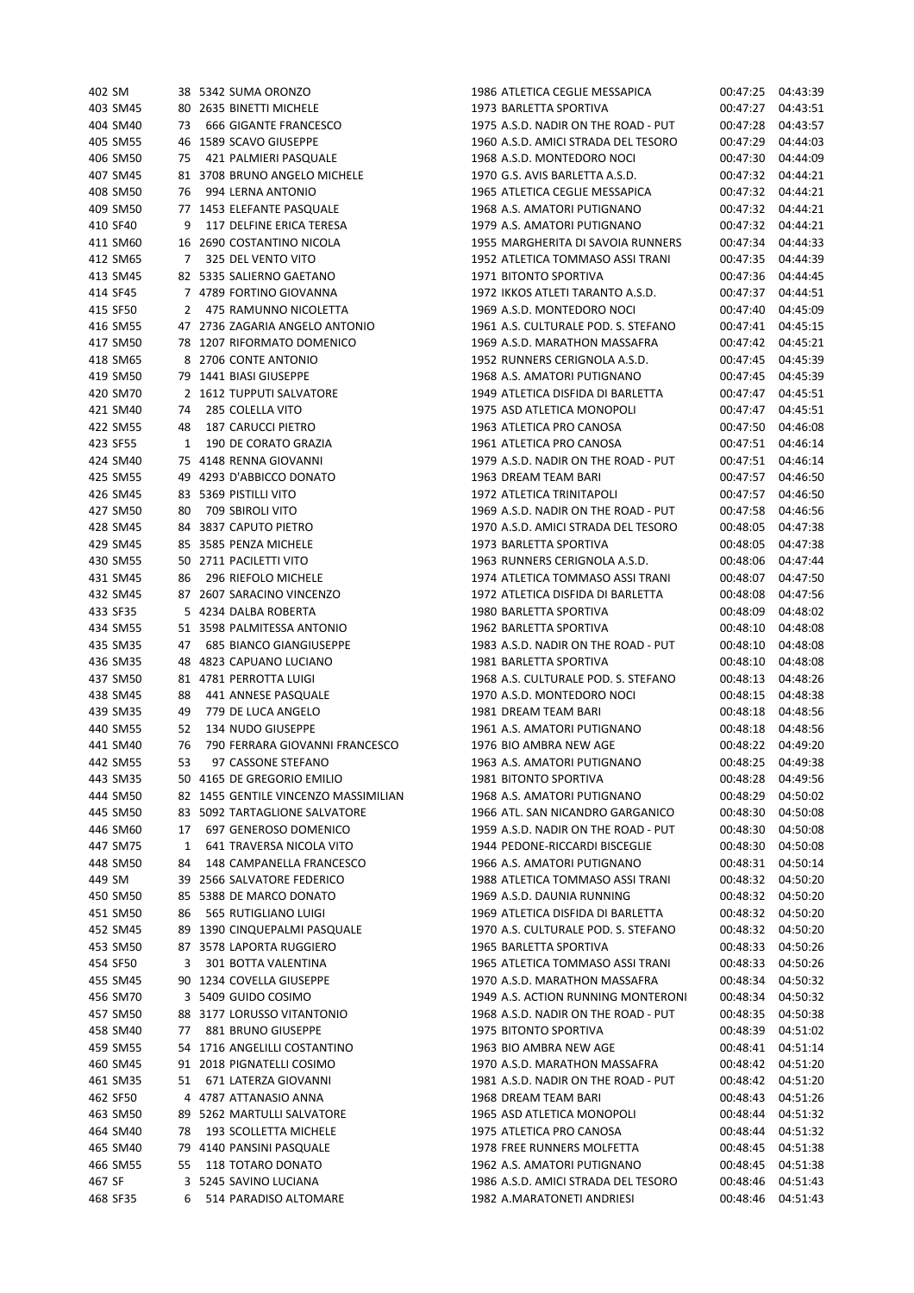| 402 SM   |              | 38 5342 SUMA ORONZO                  | 1986 ATLETICA CEGLIE MESSAPICA      | 00:47:25 | 04:43:39 |
|----------|--------------|--------------------------------------|-------------------------------------|----------|----------|
| 403 SM45 |              | 80 2635 BINETTI MICHELE              | 1973 BARLETTA SPORTIVA              | 00:47:27 | 04:43:51 |
| 404 SM40 | 73           | 666 GIGANTE FRANCESCO                | 1975 A.S.D. NADIR ON THE ROAD - PUT | 00:47:28 | 04:43:57 |
| 405 SM55 |              | 46 1589 SCAVO GIUSEPPE               | 1960 A.S.D. AMICI STRADA DEL TESORO | 00:47:29 | 04:44:03 |
| 406 SM50 | 75           | 421 PALMIERI PASQUALE                | 1968 A.S.D. MONTEDORO NOCI          | 00:47:30 | 04:44:09 |
| 407 SM45 |              | 81 3708 BRUNO ANGELO MICHELE         | 1970 G.S. AVIS BARLETTA A.S.D.      | 00:47:32 | 04:44:21 |
| 408 SM50 | 76           | 994 LERNA ANTONIO                    | 1965 ATLETICA CEGLIE MESSAPICA      | 00:47:32 | 04:44:21 |
| 409 SM50 |              | 77 1453 ELEFANTE PASQUALE            | 1968 A.S. AMATORI PUTIGNANO         | 00:47:32 | 04:44:21 |
| 410 SF40 | 9            | 117 DELFINE ERICA TERESA             | 1979 A.S. AMATORI PUTIGNANO         | 00:47:32 | 04:44:21 |
| 411 SM60 |              | 16 2690 COSTANTINO NICOLA            | 1955 MARGHERITA DI SAVOIA RUNNERS   | 00:47:34 | 04:44:33 |
|          |              |                                      | 1952 ATLETICA TOMMASO ASSI TRANI    |          |          |
| 412 SM65 | 7            | 325 DEL VENTO VITO                   |                                     | 00:47:35 | 04:44:39 |
| 413 SM45 |              | 82 5335 SALIERNO GAETANO             | 1971 BITONTO SPORTIVA               | 00:47:36 | 04:44:45 |
| 414 SF45 |              | 7 4789 FORTINO GIOVANNA              | 1972 IKKOS ATLETI TARANTO A.S.D.    | 00:47:37 | 04:44:51 |
| 415 SF50 |              | 2 475 RAMUNNO NICOLETTA              | 1969 A.S.D. MONTEDORO NOCI          | 00:47:40 | 04:45:09 |
| 416 SM55 |              | 47 2736 ZAGARIA ANGELO ANTONIO       | 1961 A.S. CULTURALE POD. S. STEFANO | 00:47:41 | 04:45:15 |
| 417 SM50 |              | 78 1207 RIFORMATO DOMENICO           | 1969 A.S.D. MARATHON MASSAFRA       | 00:47:42 | 04:45:21 |
| 418 SM65 |              | 8 2706 CONTE ANTONIO                 | 1952 RUNNERS CERIGNOLA A.S.D.       | 00:47:45 | 04:45:39 |
| 419 SM50 |              | 79 1441 BIASI GIUSEPPE               | 1968 A.S. AMATORI PUTIGNANO         | 00:47:45 | 04:45:39 |
| 420 SM70 |              | 2 1612 TUPPUTI SALVATORE             | 1949 ATLETICA DISFIDA DI BARLETTA   | 00:47:47 | 04:45:51 |
| 421 SM40 | 74           | 285 COLELLA VITO                     | 1975 ASD ATLETICA MONOPOLI          | 00:47:47 | 04:45:51 |
| 422 SM55 | 48           | <b>187 CARUCCI PIETRO</b>            | 1963 ATLETICA PRO CANOSA            | 00:47:50 | 04:46:08 |
| 423 SF55 | $\mathbf{1}$ | 190 DE CORATO GRAZIA                 | 1961 ATLETICA PRO CANOSA            | 00:47:51 | 04:46:14 |
| 424 SM40 |              | 75 4148 RENNA GIOVANNI               | 1979 A.S.D. NADIR ON THE ROAD - PUT | 00:47:51 | 04:46:14 |
| 425 SM55 |              | 49 4293 D'ABBICCO DONATO             | 1963 DREAM TEAM BARI                | 00:47:57 | 04:46:50 |
| 426 SM45 |              | 83 5369 PISTILLI VITO                | <b>1972 ATLETICA TRINITAPOLI</b>    | 00:47:57 | 04:46:50 |
| 427 SM50 | 80           | 709 SBIROLI VITO                     | 1969 A.S.D. NADIR ON THE ROAD - PUT | 00:47:58 | 04:46:56 |
| 428 SM45 |              | 84 3837 CAPUTO PIETRO                | 1970 A.S.D. AMICI STRADA DEL TESORO | 00:48:05 | 04:47:38 |
| 429 SM45 |              | 85 3585 PENZA MICHELE                | 1973 BARLETTA SPORTIVA              | 00:48:05 | 04:47:38 |
| 430 SM55 |              | 50 2711 PACILETTI VITO               | 1963 RUNNERS CERIGNOLA A.S.D.       | 00:48:06 | 04:47:44 |
| 431 SM45 | 86           | 296 RIEFOLO MICHELE                  | 1974 ATLETICA TOMMASO ASSI TRANI    | 00:48:07 | 04:47:50 |
| 432 SM45 |              | 87 2607 SARACINO VINCENZO            | 1972 ATLETICA DISFIDA DI BARLETTA   | 00:48:08 | 04:47:56 |
| 433 SF35 |              | 5 4234 DALBA ROBERTA                 | 1980 BARLETTA SPORTIVA              | 00:48:09 | 04:48:02 |
| 434 SM55 |              | 51 3598 PALMITESSA ANTONIO           | 1962 BARLETTA SPORTIVA              | 00:48:10 | 04:48:08 |
| 435 SM35 | 47           | <b>685 BIANCO GIANGIUSEPPE</b>       | 1983 A.S.D. NADIR ON THE ROAD - PUT | 00:48:10 | 04:48:08 |
| 436 SM35 |              | 48 4823 CAPUANO LUCIANO              | 1981 BARLETTA SPORTIVA              | 00:48:10 | 04:48:08 |
|          |              | 81 4781 PERROTTA LUIGI               | 1968 A.S. CULTURALE POD. S. STEFANO |          |          |
| 437 SM50 |              |                                      |                                     | 00:48:13 | 04:48:26 |
| 438 SM45 | 88           | 441 ANNESE PASQUALE                  | 1970 A.S.D. MONTEDORO NOCI          | 00:48:15 | 04:48:38 |
| 439 SM35 | 49           | 779 DE LUCA ANGELO                   | 1981 DREAM TEAM BARI                | 00:48:18 | 04:48:56 |
| 440 SM55 | 52           | 134 NUDO GIUSEPPE                    | 1961 A.S. AMATORI PUTIGNANO         | 00:48:18 | 04:48:56 |
| 441 SM40 | 76           | 790 FERRARA GIOVANNI FRANCESCO       | 1976 BIO AMBRA NEW AGE              | 00:48:22 | 04:49:20 |
| 442 SM55 | 53           | 97 CASSONE STEFANO                   | 1963 A.S. AMATORI PUTIGNANO         | 00:48:25 | 04:49:38 |
| 443 SM35 |              | 50 4165 DE GREGORIO EMILIO           | 1981 BITONTO SPORTIVA               | 00:48:28 | 04:49:56 |
| 444 SM50 |              | 82 1455 GENTILE VINCENZO MASSIMILIAN | 1968 A.S. AMATORI PUTIGNANO         | 00:48:29 | 04:50:02 |
| 445 SM50 |              | 83 5092 TARTAGLIONE SALVATORE        | 1966 ATL. SAN NICANDRO GARGANICO    | 00:48:30 | 04:50:08 |
| 446 SM60 | 17           | 697 GENEROSO DOMENICO                | 1959 A.S.D. NADIR ON THE ROAD - PUT | 00:48:30 | 04:50:08 |
| 447 SM75 | 1            | 641 TRAVERSA NICOLA VITO             | 1944 PEDONE-RICCARDI BISCEGLIE      | 00:48:30 | 04:50:08 |
| 448 SM50 | 84           | 148 CAMPANELLA FRANCESCO             | 1966 A.S. AMATORI PUTIGNANO         | 00:48:31 | 04:50:14 |
| 449 SM   |              | 39 2566 SALVATORE FEDERICO           | 1988 ATLETICA TOMMASO ASSI TRANI    | 00:48:32 | 04:50:20 |
| 450 SM50 |              | 85 5388 DE MARCO DONATO              | 1969 A.S.D. DAUNIA RUNNING          | 00:48:32 | 04:50:20 |
| 451 SM50 | 86           | 565 RUTIGLIANO LUIGI                 | 1969 ATLETICA DISFIDA DI BARLETTA   | 00:48:32 | 04:50:20 |
| 452 SM45 |              | 89 1390 CINQUEPALMI PASQUALE         | 1970 A.S. CULTURALE POD. S. STEFANO | 00:48:32 | 04:50:20 |
| 453 SM50 |              | 87 3578 LAPORTA RUGGIERO             | 1965 BARLETTA SPORTIVA              | 00:48:33 | 04:50:26 |
| 454 SF50 | 3            | 301 BOTTA VALENTINA                  | 1965 ATLETICA TOMMASO ASSI TRANI    | 00:48:33 | 04:50:26 |
| 455 SM45 |              | 90 1234 COVELLA GIUSEPPE             | 1970 A.S.D. MARATHON MASSAFRA       | 00:48:34 | 04:50:32 |
| 456 SM70 |              | 3 5409 GUIDO COSIMO                  | 1949 A.S. ACTION RUNNING MONTERONI  | 00:48:34 | 04:50:32 |
| 457 SM50 |              | 88 3177 LORUSSO VITANTONIO           | 1968 A.S.D. NADIR ON THE ROAD - PUT | 00:48:35 | 04:50:38 |
| 458 SM40 | 77           | 881 BRUNO GIUSEPPE                   | 1975 BITONTO SPORTIVA               | 00:48:39 | 04:51:02 |
| 459 SM55 |              | 54 1716 ANGELILLI COSTANTINO         | 1963 BIO AMBRA NEW AGE              | 00:48:41 | 04:51:14 |
| 460 SM45 |              | 91 2018 PIGNATELLI COSIMO            | 1970 A.S.D. MARATHON MASSAFRA       | 00:48:42 | 04:51:20 |
| 461 SM35 | 51           | 671 LATERZA GIOVANNI                 | 1981 A.S.D. NADIR ON THE ROAD - PUT | 00:48:42 | 04:51:20 |
| 462 SF50 |              | 4 4787 ATTANASIO ANNA                | 1968 DREAM TEAM BARI                | 00:48:43 | 04:51:26 |
| 463 SM50 |              | 89 5262 MARTULLI SALVATORE           | 1965 ASD ATLETICA MONOPOLI          | 00:48:44 | 04:51:32 |
| 464 SM40 | 78           | 193 SCOLLETTA MICHELE                | 1975 ATLETICA PRO CANOSA            | 00:48:44 | 04:51:32 |
| 465 SM40 |              | 79 4140 PANSINI PASQUALE             | 1978 FREE RUNNERS MOLFETTA          | 00:48:45 | 04:51:38 |
| 466 SM55 | 55           | 118 TOTARO DONATO                    | 1962 A.S. AMATORI PUTIGNANO         | 00:48:45 | 04:51:38 |
| 467 SF   |              | 3 5245 SAVINO LUCIANA                | 1986 A.S.D. AMICI STRADA DEL TESORO | 00:48:46 | 04:51:43 |
| 468 SF35 | 6            | 514 PARADISO ALTOMARE                | 1982 A.MARATONETI ANDRIESI          | 00:48:46 | 04:51:43 |
|          |              |                                      |                                     |          |          |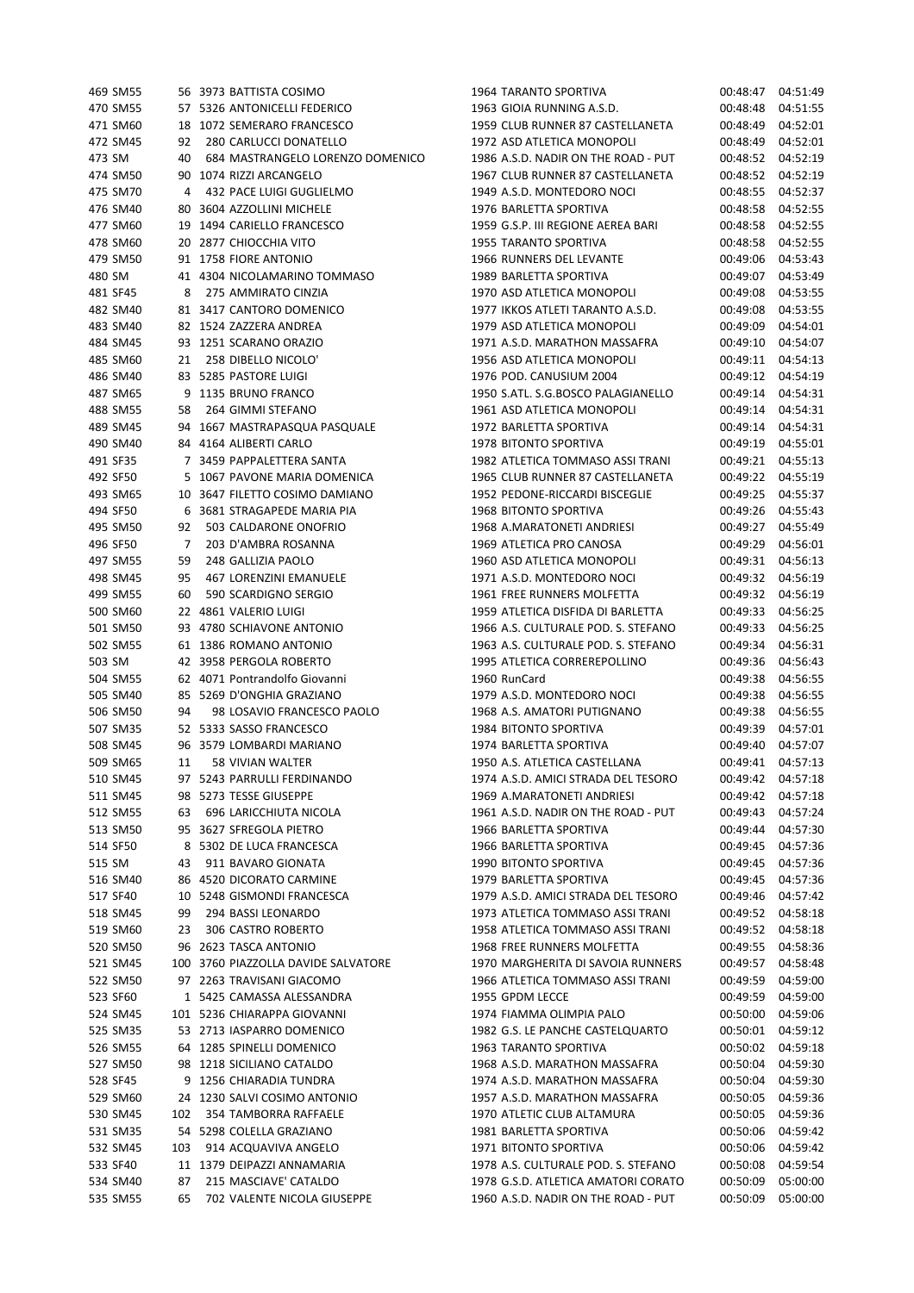| 469 SM55 |                | 56 3973 BATTISTA COSIMO             | 1964 TARA        |
|----------|----------------|-------------------------------------|------------------|
| 470 SM55 |                | 57 5326 ANTONICELLI FEDERICO        | 1963 GIOI        |
| 471 SM60 |                | 18 1072 SEMERARO FRANCESCO          | <b>1959 CLUE</b> |
| 472 SM45 | 92             | 280 CARLUCCI DONATELLO              | 1972 ASD         |
| 473 SM   |                | 40 684 MASTRANGELO LORENZO DOMENICO | 1986 A.S.D       |
| 474 SM50 |                | 90 1074 RIZZI ARCANGELO             | <b>1967 CLUE</b> |
| 475 SM70 | $\overline{4}$ | 432 PACE LUIGI GUGLIELMO            | 1949 A.S.D       |
| 476 SM40 |                | 80 3604 AZZOLLINI MICHELE           | <b>1976 BARL</b> |
| 477 SM60 |                | 19 1494 CARIELLO FRANCESCO          | 1959 G.S.F       |
|          |                |                                     |                  |
| 478 SM60 |                | 20 2877 CHIOCCHIA VITO              | 1955 TARA        |
| 479 SM50 |                | 91 1758 FIORE ANTONIO               | 1966 RUN         |
| 480 SM   |                | 41 4304 NICOLAMARINO TOMMASO        | <b>1989 BARL</b> |
| 481 SF45 | 8              | 275 AMMIRATO CINZIA                 | 1970 ASD.        |
| 482 SM40 |                | 81 3417 CANTORO DOMENICO            | <b>1977 IKKO</b> |
| 483 SM40 |                | 82 1524 ZAZZERA ANDREA              | 1979 ASD.        |
| 484 SM45 |                | 93 1251 SCARANO ORAZIO              | 1971 A.S.D       |
| 485 SM60 |                | 21 258 DIBELLO NICOLO'              | 1956 ASD         |
| 486 SM40 |                | 83 5285 PASTORE LUIGI               | 1976 POD.        |
| 487 SM65 |                | 9 1135 BRUNO FRANCO                 | 1950 S.ATI       |
| 488 SM55 |                | 58 264 GIMMI STEFANO                | 1961 ASD         |
| 489 SM45 |                | 94 1667 MASTRAPASQUA PASQUALE       | 1972 BARL        |
| 490 SM40 |                | 84 4164 ALIBERTI CARLO              | <b>1978 BITO</b> |
| 491 SF35 |                | 7 3459 PAPPALETTERA SANTA           | <b>1982 ATLE</b> |
| 492 SF50 |                | 5 1067 PAVONE MARIA DOMENICA        | <b>1965 CLUE</b> |
| 493 SM65 |                | 10 3647 FILETTO COSIMO DAMIANO      | 1952 PEDO        |
|          |                |                                     |                  |
| 494 SF50 |                | 6 3681 STRAGAPEDE MARIA PIA         | <b>1968 BITO</b> |
| 495 SM50 |                | 92 503 CALDARONE ONOFRIO            | 1968 A.M/        |
| 496 SF50 | $\overline{7}$ | 203 D'AMBRA ROSANNA                 | <b>1969 ATLE</b> |
| 497 SM55 | 59             | 248 GALLIZIA PAOLO                  | 1960 ASD         |
| 498 SM45 | 95             | 467 LORENZINI EMANUELE              | 1971 A.S.D       |
| 499 SM55 | 60             | 590 SCARDIGNO SERGIO                | <b>1961 FREE</b> |
| 500 SM60 |                | 22 4861 VALERIO LUIGI               | <b>1959 ATLE</b> |
| 501 SM50 |                | 93 4780 SCHIAVONE ANTONIO           | 1966 A.S.        |
| 502 SM55 |                | 61 1386 ROMANO ANTONIO              | 1963 A.S.        |
| 503 SM   |                | 42 3958 PERGOLA ROBERTO             | <b>1995 ATLE</b> |
| 504 SM55 |                | 62 4071 Pontrandolfo Giovanni       | 1960 Run0        |
| 505 SM40 |                | 85 5269 D'ONGHIA GRAZIANO           | 1979 A.S.D       |
| 506 SM50 | 94             | 98 LOSAVIO FRANCESCO PAOLO          | 1968 A.S.        |
| 507 SM35 |                | 52 5333 SASSO FRANCESCO             | 1984 BITO        |
| 508 SM45 |                | 96 3579 LOMBARDI MARIANO            | 1974 BARL        |
| 509 SM65 |                | 11 58 VIVIAN WALTER                 | 1950 A.S.        |
| 510 SM45 |                | 97 5243 PARRULLI FERDINANDO         | 1974 A.S.D       |
| 511 SM45 |                | 98 5273 TESSE GIUSEPPE              | 1969 A.M/        |
|          |                |                                     |                  |
| 512 SM55 | 63             | 696 LARICCHIUTA NICOLA              | 1961 A.S.D       |
| 513 SM50 |                | 95 3627 SFREGOLA PIETRO             | 1966 BARL        |
| 514 SF50 |                | 8 5302 DE LUCA FRANCESCA            | 1966 BARL        |
| 515 SM   | 43             | 911 BAVARO GIONATA                  | <b>1990 BITO</b> |
| 516 SM40 |                | 86 4520 DICORATO CARMINE            | 1979 BARL        |
| 517 SF40 |                | 10 5248 GISMONDI FRANCESCA          | 1979 A.S.D       |
| 518 SM45 | 99             | 294 BASSI LEONARDO                  | <b>1973 ATLE</b> |
| 519 SM60 |                | 23 306 CASTRO ROBERTO               | <b>1958 ATLE</b> |
| 520 SM50 |                | 96 2623 TASCA ANTONIO               | <b>1968 FREE</b> |
| 521 SM45 |                | 100 3760 PIAZZOLLA DAVIDE SALVATORE | 1970 MAR         |
| 522 SM50 |                | 97 2263 TRAVISANI GIACOMO           | <b>1966 ATLE</b> |
| 523 SF60 |                | 1 5425 CAMASSA ALESSANDRA           | 1955 GPDI        |
| 524 SM45 |                | 101 5236 CHIARAPPA GIOVANNI         | <b>1974 FIAN</b> |
| 525 SM35 |                | 53 2713 IASPARRO DOMENICO           | 1982 G.S.        |
| 526 SM55 |                | 64 1285 SPINELLI DOMENICO           | 1963 TARA        |
| 527 SM50 |                | 98 1218 SICILIANO CATALDO           | 1968 A.S.D       |
| 528 SF45 |                | 9 1256 CHIARADIA TUNDRA             | 1974 A.S.D       |
| 529 SM60 |                | 24 1230 SALVI COSIMO ANTONIO        | 1957 A.S.D       |
|          |                |                                     |                  |
| 530 SM45 | 102            | 354 TAMBORRA RAFFAELE               | <b>1970 ATLE</b> |
| 531 SM35 |                | 54 5298 COLELLA GRAZIANO            | 1981 BARL        |
| 532 SM45 | 103            | 914 ACQUAVIVA ANGELO                | 1971 BITO        |
| 533 SF40 |                | 11 1379 DEIPAZZI ANNAMARIA          | 1978 A.S.        |
| 534 SM40 | 87             | 215 MASCIAVE' CATALDO               | 1978 G.S.D       |
| 535 SM55 | 65             | 702 VALENTE NICOLA GIUSEPPE         | 1960 A.S.D       |

ANTO SPORTIVA 00:48:47 04:51:49 A RUNNING A.S.D. 00:48:48 04:51:55 471 SM60 18 1072 SEMERARO FRANCESCO 1959 CLUB RUNNER 87 CASTELLANETA 00:48:49 04:52:01 ATLETICA MONOPOLI 00:48:49 04:52:01 0. NADIR ON THE ROAD - PUT 00:48:52 04:52:19 474 SM50 90 1074 RIZZI ARCANGELO 1967 CLUB RUNNER 87 CASTELLANETA 00:48:52 04:52:19 0. MONTEDORO NOCI 00:48:55 04:52:37 476 SM40 80 3604 AZZOLLINI MICHELE 1976 BARLETTA SPORTIVA 00:48:58 04:52:55 P. III REGIONE AEREA BARI 00:48:58 04:52:55 444 ANTO SPORTIVA 00:48:58 04:52:55 NERS DEL LEVANTE 00:49:06 04:53:43 480 SM 41 4304 NICOLAMARINO TOMMASO 1989 BARLETTA SPORTIVA 00:49:07 04:53:49 481 SF45 8 275 AMMIRATO CINZIA 1970 ASD ATLETICA MONOPOLI 00:49:08 04:53:55 8 ATLETI TARANTO A.S.D. 00:49:08 04:53:55 ATLETICA MONOPOLI 00:49:09 04:54:01 00:49:10 04:54:07 0. MARATHON MASSAFRA 00:49:10 ATLETICA MONOPOLI 00:49:11 04:54:13  $CANII SI I IM 2004$   $00.49.12$   $04.54.19$ L. S.G.BOSCO PALAGIANELLO 00:49:14 04:54:31 ATLETICA MONOPOLI 00:49:14 04:54:31 489 SM45 94 1667 MASTRAPASQUA PASQUALE 1972 BARLETTA SPORTIVA 00:49:14 04:54:31 1490 MTO SPORTIVA 84:55:01 FTICA TOMMASO ASSI TRANI 00:49:21 04:55:13 B RUNNER 87 CASTELLANETA 00:49:22 04:55:19 ONE-RICCARDI BISCEGLIE 00:49:25 04:55:37 1491 MTO SPORTIVA 600:49:26 04:55:43 ARATONETI ANDRIESI 00:49:27 04:55:49 FICA PRO CANOSA 00:49:29 04:56:01 ATLETICA MONOPOLI 00:49:31 04:56:13 00:49:32 04:56:19 499 SM55 60 590 SCARDIGNO SERGIO 1961 FREE RUNNERS MOLFETTA 00:49:32 04:56:19 500 SM60 22 4861 VALERIO LUIGI 1959 ATLETICA DISFIDA DI BARLETTA 00:49:33 04:56:25 501 SM50 93 4780 SCHIAVONE ANTONIO 1966 A.S. CULTURALE POD. S. STEFANO 00:49:33 04:56:25 CULTURALE POD. S. STEFANO 00:49:34 04:56:31  $5503$   $50336$   $60336$   $6049:36$   $60456:43$  $Sard$   $00.49.38$   $04.56.55$ 505 SM40 85 5269 D'ONGHIA GRAZIANO 1979 A.S.D. MONTEDORO NOCI 00:49:38 04:56:55 506 SM50 94 98 LOSAVIO FRANCESCO PAOLO 1968 A.S. AMATORI PUTIGNANO 00:49:38 04:56:55 1995 62:57 NORTIVA 52 52 52 5341 52 534:57:01 508 SM45 96 3579 LOMBARDI MARIANO 1974 BARLETTA SPORTIVA 00:49:40 04:57:07 ATLETICA CASTELLANA 00:49:41 04:57:13 51 AMICI STRADA DEL TESORO 00:49:42 04:57:18 511 SM45 98 5273 TESSE GIUSEPPE 1969 A.MARATONETI ANDRIESI 00:49:42 04:57:18 512 NADIR ON THE ROAD - PUT 00:49:43 04:57:24 513 SM50 95 3627 SFREGOLA PIETRO 1966 BARLETTA SPORTIVA 00:49:44 04:57:30 514 SF50 8 5302 DE LUCA FRANCESCA 1966 BARLETTA SPORTIVA 00:49:45 04:57:36 515 SM 43 911 BAVARO GIONATA 1990 BITONTO SPORTIVA 00:49:45 04:57:36 ETTA SPORTIVA 86 60:49:45 04:57:36 51 AMICI STRADA DEL TESORO 00:49:46 04:57:42 518 SM45 99 294 BASSI LEONARDO 1973 ATLETICA TOMMASO ASSI TRANI 00:49:52 04:58:18 519 SM60 23 306 CASTRO ROBERTO 1958 ATLETICA TOMMASO ASSI TRANI 00:49:52 04:58:18 520 SM50 96 2623 TASCA ANTONIO 1968 FREE RUNNERS MOLFETTA 00:49:55 04:58:36 GHERITA DI SAVOIA RUNNERS 00:49:57 04:58:48  $ETICA TOMMASO ASSI TRANI$   $00:49:59$   $04:59:00$ 523 SF60 1 5425 CAMASSA ALESSANDRA 1955 GPDM LECCE 00:49:59 04:59:00 524 SM45 101 5236 CHIARAPPA GIOVANNI 1974 FIAMMA OLIMPIA PALO 00:50:00 04:59:06 LE PANCHE CASTELQUARTO 00:50:01 04:59:12 526 SM55 64 1285 SPINELLI DOMENICO 1963 TARANTO SPORTIVA 00:50:02 04:59:18 02. MARATHON MASSAFRA 00:50:04 04:59:30 528 SF45 9 1256 CHIARADIA TUNDRA 1974 A.S.D. MARATHON MASSAFRA 00:50:04 04:59:30 00:50:05 04:59:36 D. MARATHON MASSAFRA 00:50:05 FIC CLUB ALTAMURA 00:50:05 04:59:36 531 SM35 54 5298 COLELLA GRAZIANO 1981 BARLETTA SPORTIVA 00:50:06 04:59:42  $\overline{0}$  SPORTIVA  $\overline{0}$   $\overline{0}$ :50:06  $\overline{0}$ 4:59:42  $\overline{0}$ CULTURALE POD. S. STEFANO  $\overline{00}$ :50:08 04:59:54 534 D. ATLETICA AMATORI CORATO 100:50:09 05:00:00 5355 05:00:00 D. NADIR ON THE ROAD - PUT 00:50:09 05:00:00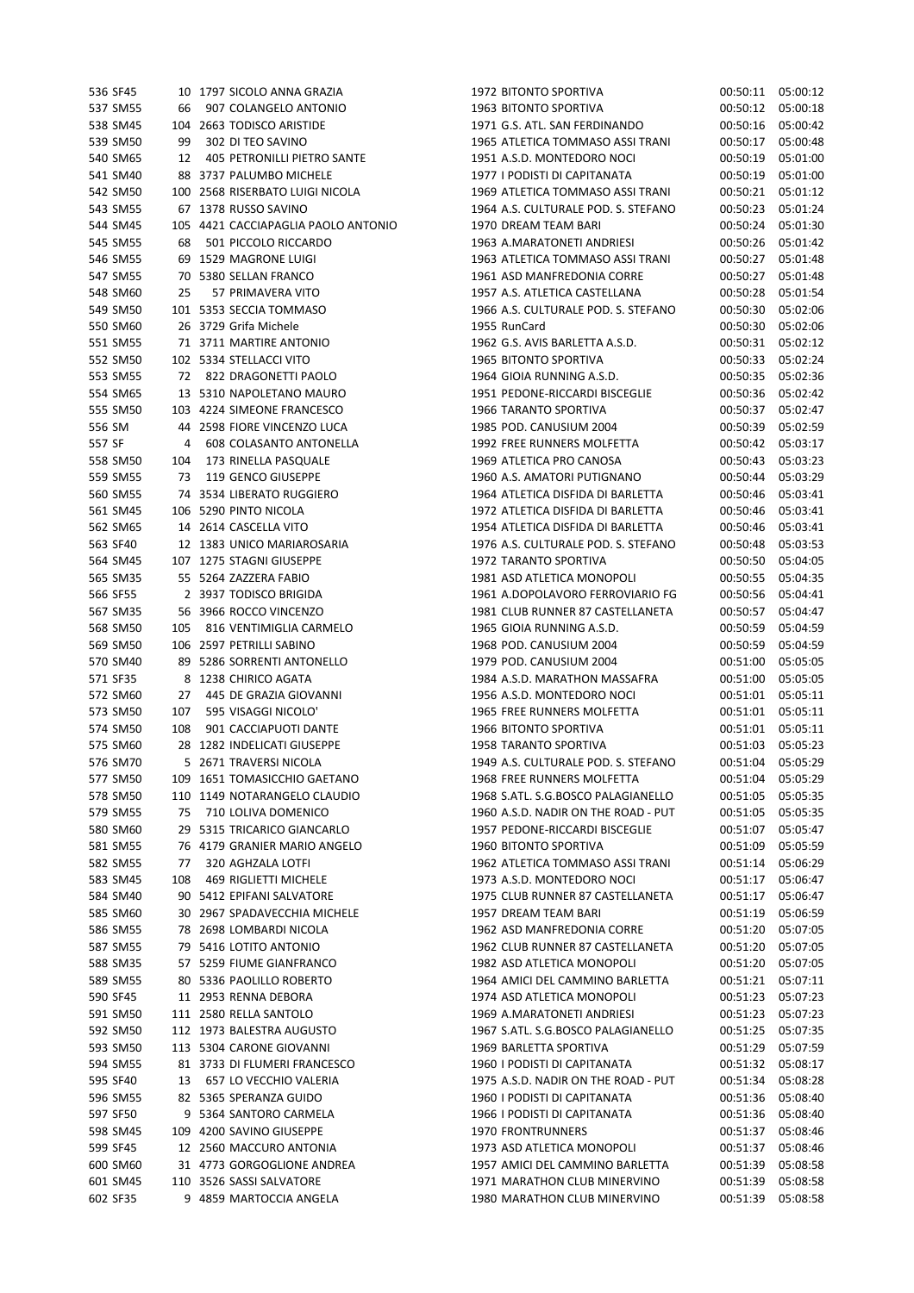| 536 SF45 |     | 10 1797 SICOLO ANNA GRAZIA          | 1972 BITONTO SPORTIVA               | 00:50:11 | 05:00:12 |
|----------|-----|-------------------------------------|-------------------------------------|----------|----------|
| 537 SM55 | 66  | 907 COLANGELO ANTONIO               | 1963 BITONTO SPORTIVA               | 00:50:12 | 05:00:18 |
| 538 SM45 |     | 104 2663 TODISCO ARISTIDE           | 1971 G.S. ATL. SAN FERDINANDO       | 00:50:16 | 05:00:42 |
| 539 SM50 | 99  | 302 DI TEO SAVINO                   | 1965 ATLETICA TOMMASO ASSI TRANI    | 00:50:17 | 05:00:48 |
| 540 SM65 | 12  | 405 PETRONILLI PIETRO SANTE         | 1951 A.S.D. MONTEDORO NOCI          | 00:50:19 | 05:01:00 |
| 541 SM40 |     | 88 3737 PALUMBO MICHELE             | 1977 I PODISTI DI CAPITANATA        | 00:50:19 | 05:01:00 |
| 542 SM50 |     | 100 2568 RISERBATO LUIGI NICOLA     | 1969 ATLETICA TOMMASO ASSI TRANI    | 00:50:21 | 05:01:12 |
| 543 SM55 |     | 67 1378 RUSSO SAVINO                | 1964 A.S. CULTURALE POD. S. STEFANO | 00:50:23 | 05:01:24 |
| 544 SM45 |     | 105 4421 CACCIAPAGLIA PAOLO ANTONIO | 1970 DREAM TEAM BARI                | 00:50:24 | 05:01:30 |
| 545 SM55 | 68  | 501 PICCOLO RICCARDO                | 1963 A.MARATONETI ANDRIESI          | 00:50:26 | 05:01:42 |
| 546 SM55 |     | 69 1529 MAGRONE LUIGI               | 1963 ATLETICA TOMMASO ASSI TRANI    | 00:50:27 | 05:01:48 |
| 547 SM55 |     | 70 5380 SELLAN FRANCO               | 1961 ASD MANFREDONIA CORRE          | 00:50:27 | 05:01:48 |
| 548 SM60 | 25  | 57 PRIMAVERA VITO                   | 1957 A.S. ATLETICA CASTELLANA       | 00:50:28 | 05:01:54 |
| 549 SM50 |     | 101 5353 SECCIA TOMMASO             | 1966 A.S. CULTURALE POD. S. STEFANO | 00:50:30 | 05:02:06 |
| 550 SM60 |     | 26 3729 Grifa Michele               | 1955 RunCard                        | 00:50:30 | 05:02:06 |
| 551 SM55 |     | 71 3711 MARTIRE ANTONIO             | 1962 G.S. AVIS BARLETTA A.S.D.      | 00:50:31 | 05:02:12 |
|          |     |                                     |                                     |          |          |
| 552 SM50 |     | 102 5334 STELLACCI VITO             | 1965 BITONTO SPORTIVA               | 00:50:33 | 05:02:24 |
| 553 SM55 |     | 72 822 DRAGONETTI PAOLO             | 1964 GIOIA RUNNING A.S.D.           | 00:50:35 | 05:02:36 |
| 554 SM65 |     | 13 5310 NAPOLETANO MAURO            | 1951 PEDONE-RICCARDI BISCEGLIE      | 00:50:36 | 05:02:42 |
| 555 SM50 |     | 103 4224 SIMEONE FRANCESCO          | 1966 TARANTO SPORTIVA               | 00:50:37 | 05:02:47 |
| 556 SM   |     | 44 2598 FIORE VINCENZO LUCA         | 1985 POD. CANUSIUM 2004             | 00:50:39 | 05:02:59 |
| 557 SF   | 4   | 608 COLASANTO ANTONELLA             | 1992 FREE RUNNERS MOLFETTA          | 00:50:42 | 05:03:17 |
| 558 SM50 | 104 | 173 RINELLA PASQUALE                | 1969 ATLETICA PRO CANOSA            | 00:50:43 | 05:03:23 |
| 559 SM55 | 73  | 119 GENCO GIUSEPPE                  | 1960 A.S. AMATORI PUTIGNANO         | 00:50:44 | 05:03:29 |
| 560 SM55 |     | 74 3534 LIBERATO RUGGIERO           | 1964 ATLETICA DISFIDA DI BARLETTA   | 00:50:46 | 05:03:41 |
| 561 SM45 |     | 106 5290 PINTO NICOLA               | 1972 ATLETICA DISFIDA DI BARLETTA   | 00:50:46 | 05:03:41 |
| 562 SM65 |     | 14 2614 CASCELLA VITO               | 1954 ATLETICA DISFIDA DI BARLETTA   | 00:50:46 | 05:03:41 |
| 563 SF40 |     | 12 1383 UNICO MARIAROSARIA          | 1976 A.S. CULTURALE POD. S. STEFANO | 00:50:48 | 05:03:53 |
| 564 SM45 |     | 107 1275 STAGNI GIUSEPPE            | 1972 TARANTO SPORTIVA               | 00:50:50 | 05:04:05 |
| 565 SM35 |     | 55 5264 ZAZZERA FABIO               | 1981 ASD ATLETICA MONOPOLI          | 00:50:55 | 05:04:35 |
| 566 SF55 |     | 2 3937 TODISCO BRIGIDA              | 1961 A.DOPOLAVORO FERROVIARIO FG    | 00:50:56 | 05:04:41 |
| 567 SM35 |     | 56 3966 ROCCO VINCENZO              | 1981 CLUB RUNNER 87 CASTELLANETA    | 00:50:57 | 05:04:47 |
|          |     |                                     |                                     |          |          |
| 568 SM50 | 105 | 816 VENTIMIGLIA CARMELO             | 1965 GIOIA RUNNING A.S.D.           | 00:50:59 | 05:04:59 |
| 569 SM50 |     | 106 2597 PETRILLI SABINO            | 1968 POD. CANUSIUM 2004             | 00:50:59 | 05:04:59 |
| 570 SM40 |     | 89 5286 SORRENTI ANTONELLO          | 1979 POD. CANUSIUM 2004             | 00:51:00 | 05:05:05 |
| 571 SF35 |     | 8 1238 CHIRICO AGATA                | 1984 A.S.D. MARATHON MASSAFRA       | 00:51:00 | 05:05:05 |
| 572 SM60 | 27  | 445 DE GRAZIA GIOVANNI              | 1956 A.S.D. MONTEDORO NOCI          | 00:51:01 | 05:05:11 |
| 573 SM50 | 107 | 595 VISAGGI NICOLO'                 | 1965 FREE RUNNERS MOLFETTA          | 00:51:01 | 05:05:11 |
| 574 SM50 | 108 | 901 CACCIAPUOTI DANTE               | 1966 BITONTO SPORTIVA               | 00:51:01 | 05:05:11 |
| 575 SM60 |     | 28 1282 INDELICATI GIUSEPPE         | 1958 TARANTO SPORTIVA               | 00:51:03 | 05:05:23 |
| 576 SM70 |     | 5 2671 TRAVERSI NICOLA              | 1949 A.S. CULTURALE POD. S. STEFANO | 00:51:04 | 05:05:29 |
| 577 SM50 |     | 109 1651 TOMASICCHIO GAETANO        | 1968 FREE RUNNERS MOLFETTA          | 00:51:04 | 05:05:29 |
| 578 SM50 |     | 110 1149 NOTARANGELO CLAUDIO        | 1968 S.ATL. S.G.BOSCO PALAGIANELLO  | 00:51:05 | 05:05:35 |
| 579 SM55 | 75  | 710 LOLIVA DOMENICO                 | 1960 A.S.D. NADIR ON THE ROAD - PUT | 00:51:05 | 05:05:35 |
| 580 SM60 |     | 29 5315 TRICARICO GIANCARLO         | 1957 PEDONE-RICCARDI BISCEGLIE      | 00:51:07 | 05:05:47 |
| 581 SM55 |     | 76 4179 GRANIER MARIO ANGELO        | 1960 BITONTO SPORTIVA               | 00:51:09 | 05:05:59 |
| 582 SM55 | 77  | 320 AGHZALA LOTFI                   | 1962 ATLETICA TOMMASO ASSI TRANI    | 00:51:14 | 05:06:29 |
| 583 SM45 | 108 | 469 RIGLIETTI MICHELE               | 1973 A.S.D. MONTEDORO NOCI          | 00:51:17 | 05:06:47 |
| 584 SM40 |     | 90 5412 EPIFANI SALVATORE           | 1975 CLUB RUNNER 87 CASTELLANETA    | 00:51:17 | 05:06:47 |
| 585 SM60 |     | 30 2967 SPADAVECCHIA MICHELE        | 1957 DREAM TEAM BARI                | 00:51:19 | 05:06:59 |
|          |     |                                     | 1962 ASD MANFREDONIA CORRE          |          | 05:07:05 |
| 586 SM55 |     | 78 2698 LOMBARDI NICOLA             |                                     | 00:51:20 |          |
| 587 SM55 |     | 79 5416 LOTITO ANTONIO              | 1962 CLUB RUNNER 87 CASTELLANETA    | 00:51:20 | 05:07:05 |
| 588 SM35 |     | 57 5259 FIUME GIANFRANCO            | 1982 ASD ATLETICA MONOPOLI          | 00:51:20 | 05:07:05 |
| 589 SM55 |     | 80 5336 PAOLILLO ROBERTO            | 1964 AMICI DEL CAMMINO BARLETTA     | 00:51:21 | 05:07:11 |
| 590 SF45 |     | 11 2953 RENNA DEBORA                | 1974 ASD ATLETICA MONOPOLI          | 00:51:23 | 05:07:23 |
| 591 SM50 |     | 111 2580 RELLA SANTOLO              | 1969 A.MARATONETI ANDRIESI          | 00:51:23 | 05:07:23 |
| 592 SM50 |     | 112 1973 BALESTRA AUGUSTO           | 1967 S.ATL. S.G.BOSCO PALAGIANELLO  | 00:51:25 | 05:07:35 |
| 593 SM50 |     | 113 5304 CARONE GIOVANNI            | 1969 BARLETTA SPORTIVA              | 00:51:29 | 05:07:59 |
| 594 SM55 |     | 81 3733 DI FLUMERI FRANCESCO        | 1960 I PODISTI DI CAPITANATA        | 00:51:32 | 05:08:17 |
| 595 SF40 | 13  | 657 LO VECCHIO VALERIA              | 1975 A.S.D. NADIR ON THE ROAD - PUT | 00:51:34 | 05:08:28 |
| 596 SM55 |     | 82 5365 SPERANZA GUIDO              | 1960 I PODISTI DI CAPITANATA        | 00:51:36 | 05:08:40 |
| 597 SF50 |     | 9 5364 SANTORO CARMELA              | 1966 I PODISTI DI CAPITANATA        | 00:51:36 | 05:08:40 |
| 598 SM45 |     | 109 4200 SAVINO GIUSEPPE            | <b>1970 FRONTRUNNERS</b>            | 00:51:37 | 05:08:46 |
| 599 SF45 |     | 12 2560 MACCURO ANTONIA             | 1973 ASD ATLETICA MONOPOLI          | 00:51:37 | 05:08:46 |
| 600 SM60 |     | 31 4773 GORGOGLIONE ANDREA          | 1957 AMICI DEL CAMMINO BARLETTA     | 00:51:39 | 05:08:58 |
| 601 SM45 |     | 110 3526 SASSI SALVATORE            | 1971 MARATHON CLUB MINERVINO        | 00:51:39 | 05:08:58 |
| 602 SF35 |     | 9 4859 MARTOCCIA ANGELA             | 1980 MARATHON CLUB MINERVINO        | 00:51:39 | 05:08:58 |
|          |     |                                     |                                     |          |          |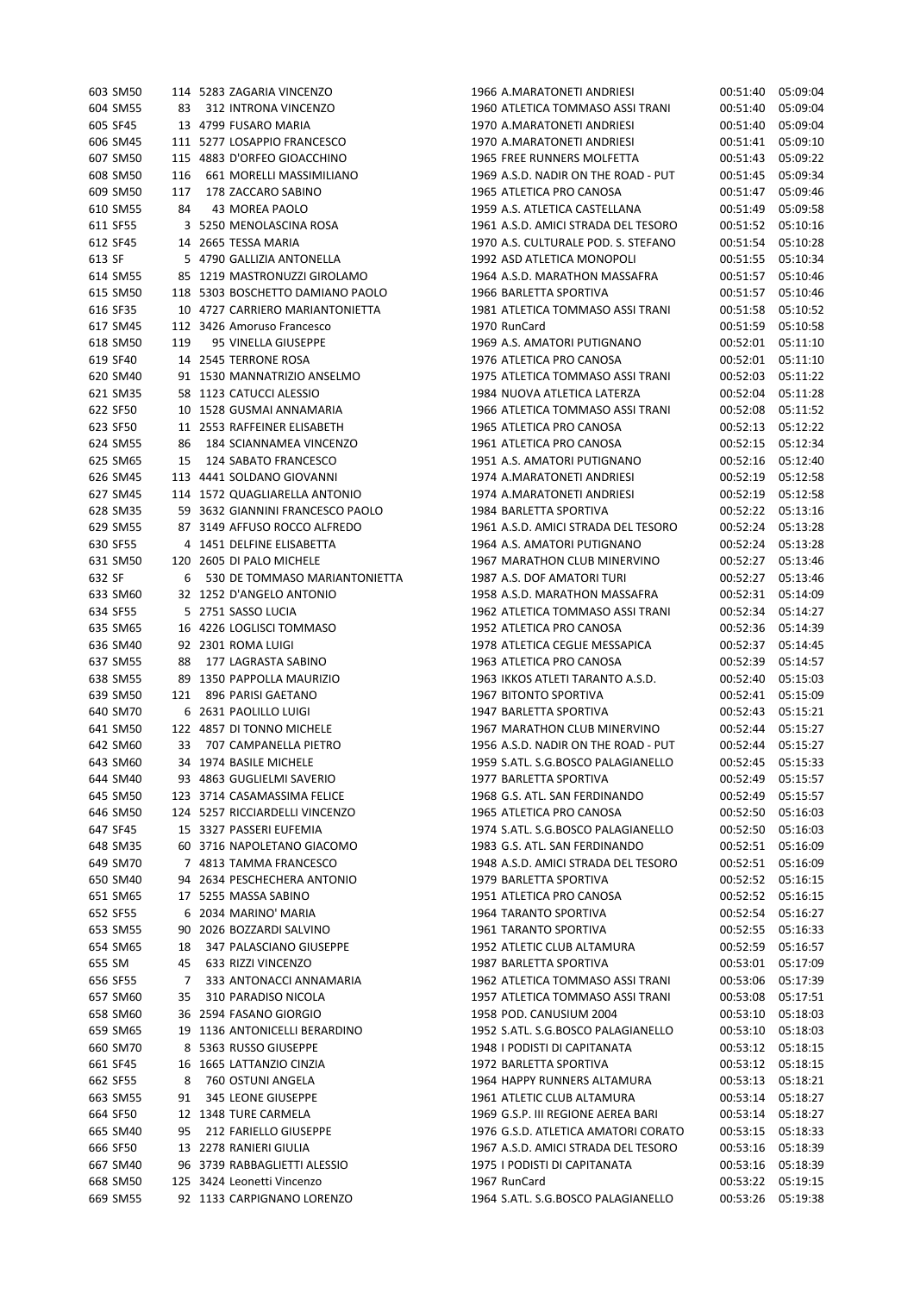| 603 SM50 |     | 114 5283 ZAGARIA VINCENZO        | 1966 A.MARATONETI ANDRIESI          | 00:51:40 | 05:09:04 |
|----------|-----|----------------------------------|-------------------------------------|----------|----------|
| 604 SM55 | 83  | 312 INTRONA VINCENZO             | 1960 ATLETICA TOMMASO ASSI TRANI    | 00:51:40 | 05:09:04 |
| 605 SF45 |     | 13 4799 FUSARO MARIA             | 1970 A.MARATONETI ANDRIESI          | 00:51:40 | 05:09:04 |
| 606 SM45 |     | 111 5277 LOSAPPIO FRANCESCO      | 1970 A.MARATONETI ANDRIESI          | 00:51:41 | 05:09:10 |
| 607 SM50 |     | 115 4883 D'ORFEO GIOACCHINO      | 1965 FREE RUNNERS MOLFETTA          | 00:51:43 | 05:09:22 |
| 608 SM50 | 116 | 661 MORELLI MASSIMILIANO         | 1969 A.S.D. NADIR ON THE ROAD - PUT | 00:51:45 | 05:09:34 |
| 609 SM50 | 117 | 178 ZACCARO SABINO               | 1965 ATLETICA PRO CANOSA            | 00:51:47 | 05:09:46 |
| 610 SM55 | 84  | 43 MOREA PAOLO                   | 1959 A.S. ATLETICA CASTELLANA       | 00:51:49 | 05:09:58 |
|          |     |                                  |                                     |          |          |
| 611 SF55 |     | 3 5250 MENOLASCINA ROSA          | 1961 A.S.D. AMICI STRADA DEL TESORO | 00:51:52 | 05:10:16 |
| 612 SF45 |     | 14 2665 TESSA MARIA              | 1970 A.S. CULTURALE POD. S. STEFANO | 00:51:54 | 05:10:28 |
| 613 SF   |     | 5 4790 GALLIZIA ANTONELLA        | 1992 ASD ATLETICA MONOPOLI          | 00:51:55 | 05:10:34 |
| 614 SM55 |     | 85 1219 MASTRONUZZI GIROLAMO     | 1964 A.S.D. MARATHON MASSAFRA       | 00:51:57 | 05:10:46 |
| 615 SM50 |     | 118 5303 BOSCHETTO DAMIANO PAOLO | 1966 BARLETTA SPORTIVA              | 00:51:57 | 05:10:46 |
| 616 SF35 |     | 10 4727 CARRIERO MARIANTONIETTA  | 1981 ATLETICA TOMMASO ASSI TRANI    | 00:51:58 | 05:10:52 |
| 617 SM45 |     | 112 3426 Amoruso Francesco       | 1970 RunCard                        | 00:51:59 | 05:10:58 |
| 618 SM50 | 119 | 95 VINELLA GIUSEPPE              | 1969 A.S. AMATORI PUTIGNANO         | 00:52:01 | 05:11:10 |
| 619 SF40 |     | 14 2545 TERRONE ROSA             | 1976 ATLETICA PRO CANOSA            | 00:52:01 | 05:11:10 |
| 620 SM40 |     | 91 1530 MANNATRIZIO ANSELMO      | 1975 ATLETICA TOMMASO ASSI TRANI    | 00:52:03 | 05:11:22 |
| 621 SM35 |     | 58 1123 CATUCCI ALESSIO          | 1984 NUOVA ATLETICA LATERZA         | 00:52:04 | 05:11:28 |
| 622 SF50 |     | 10 1528 GUSMAI ANNAMARIA         | 1966 ATLETICA TOMMASO ASSI TRANI    | 00:52:08 | 05:11:52 |
| 623 SF50 |     | 11 2553 RAFFEINER ELISABETH      | 1965 ATLETICA PRO CANOSA            | 00:52:13 | 05:12:22 |
| 624 SM55 | 86  | 184 SCIANNAMEA VINCENZO          | 1961 ATLETICA PRO CANOSA            | 00:52:15 | 05:12:34 |
| 625 SM65 | 15  | 124 SABATO FRANCESCO             | 1951 A.S. AMATORI PUTIGNANO         | 00:52:16 | 05:12:40 |
| 626 SM45 |     | 113 4441 SOLDANO GIOVANNI        | 1974 A.MARATONETI ANDRIESI          | 00:52:19 | 05:12:58 |
| 627 SM45 |     | 114 1572 QUAGLIARELLA ANTONIO    | 1974 A.MARATONETI ANDRIESI          | 00:52:19 | 05:12:58 |
| 628 SM35 |     | 59 3632 GIANNINI FRANCESCO PAOLO | 1984 BARLETTA SPORTIVA              | 00:52:22 | 05:13:16 |
|          |     |                                  |                                     |          |          |
| 629 SM55 |     | 87 3149 AFFUSO ROCCO ALFREDO     | 1961 A.S.D. AMICI STRADA DEL TESORO | 00:52:24 | 05:13:28 |
| 630 SF55 |     | 4 1451 DELFINE ELISABETTA        | 1964 A.S. AMATORI PUTIGNANO         | 00:52:24 | 05:13:28 |
| 631 SM50 |     | 120 2605 DI PALO MICHELE         | 1967 MARATHON CLUB MINERVINO        | 00:52:27 | 05:13:46 |
| 632 SF   | 6   | 530 DE TOMMASO MARIANTONIETTA    | 1987 A.S. DOF AMATORI TURI          | 00:52:27 | 05:13:46 |
| 633 SM60 |     | 32 1252 D'ANGELO ANTONIO         | 1958 A.S.D. MARATHON MASSAFRA       | 00:52:31 | 05:14:09 |
| 634 SF55 |     | 5 2751 SASSO LUCIA               | 1962 ATLETICA TOMMASO ASSI TRANI    | 00:52:34 | 05:14:27 |
| 635 SM65 |     | 16 4226 LOGLISCI TOMMASO         | 1952 ATLETICA PRO CANOSA            | 00:52:36 | 05:14:39 |
| 636 SM40 |     | 92 2301 ROMA LUIGI               | 1978 ATLETICA CEGLIE MESSAPICA      | 00:52:37 | 05:14:45 |
| 637 SM55 | 88  | 177 LAGRASTA SABINO              | 1963 ATLETICA PRO CANOSA            | 00:52:39 | 05:14:57 |
| 638 SM55 |     | 89 1350 PAPPOLLA MAURIZIO        | 1963 IKKOS ATLETI TARANTO A.S.D.    | 00:52:40 | 05:15:03 |
| 639 SM50 | 121 | 896 PARISI GAETANO               | 1967 BITONTO SPORTIVA               | 00:52:41 | 05:15:09 |
| 640 SM70 |     | 6 2631 PAOLILLO LUIGI            | 1947 BARLETTA SPORTIVA              | 00:52:43 | 05:15:21 |
| 641 SM50 |     | 122 4857 DI TONNO MICHELE        | 1967 MARATHON CLUB MINERVINO        | 00:52:44 | 05:15:27 |
| 642 SM60 | 33  | 707 CAMPANELLA PIETRO            | 1956 A.S.D. NADIR ON THE ROAD - PUT | 00:52:44 | 05:15:27 |
| 643 SM60 |     | 34 1974 BASILE MICHELE           | 1959 S.ATL. S.G.BOSCO PALAGIANELLO  | 00:52:45 | 05:15:33 |
| 644 SM40 |     | 93 4863 GUGLIELMI SAVERIO        | 1977 BARLETTA SPORTIVA              | 00:52:49 | 05:15:57 |
| 645 SM50 |     | 123 3714 CASAMASSIMA FELICE      | 1968 G.S. ATL. SAN FERDINANDO       | 00:52:49 | 05:15:57 |
| 646 SM50 |     | 124 5257 RICCIARDELLI VINCENZO   | 1965 ATLETICA PRO CANOSA            | 00:52:50 | 05:16:03 |
| 647 SF45 |     | 15 3327 PASSERI EUFEMIA          | 1974 S.ATL. S.G.BOSCO PALAGIANELLO  | 00:52:50 | 05:16:03 |
|          |     | 60 3716 NAPOLETANO GIACOMO       |                                     | 00:52:51 | 05:16:09 |
| 648 SM35 |     |                                  | 1983 G.S. ATL. SAN FERDINANDO       |          |          |
| 649 SM70 |     | 7 4813 TAMMA FRANCESCO           | 1948 A.S.D. AMICI STRADA DEL TESORO | 00:52:51 | 05:16:09 |
| 650 SM40 |     | 94 2634 PESCHECHERA ANTONIO      | 1979 BARLETTA SPORTIVA              | 00:52:52 | 05:16:15 |
| 651 SM65 |     | 17 5255 MASSA SABINO             | 1951 ATLETICA PRO CANOSA            | 00:52:52 | 05:16:15 |
| 652 SF55 |     | 6 2034 MARINO' MARIA             | 1964 TARANTO SPORTIVA               | 00:52:54 | 05:16:27 |
| 653 SM55 |     | 90 2026 BOZZARDI SALVINO         | 1961 TARANTO SPORTIVA               | 00:52:55 | 05:16:33 |
| 654 SM65 | 18  | 347 PALASCIANO GIUSEPPE          | 1952 ATLETIC CLUB ALTAMURA          | 00:52:59 | 05:16:57 |
| 655 SM   | 45  | 633 RIZZI VINCENZO               | 1987 BARLETTA SPORTIVA              | 00:53:01 | 05:17:09 |
| 656 SF55 | 7   | 333 ANTONACCI ANNAMARIA          | 1962 ATLETICA TOMMASO ASSI TRANI    | 00:53:06 | 05:17:39 |
| 657 SM60 | 35  | 310 PARADISO NICOLA              | 1957 ATLETICA TOMMASO ASSI TRANI    | 00:53:08 | 05:17:51 |
| 658 SM60 |     | 36 2594 FASANO GIORGIO           | 1958 POD. CANUSIUM 2004             | 00:53:10 | 05:18:03 |
| 659 SM65 |     | 19 1136 ANTONICELLI BERARDINO    | 1952 S.ATL. S.G.BOSCO PALAGIANELLO  | 00:53:10 | 05:18:03 |
| 660 SM70 |     | 8 5363 RUSSO GIUSEPPE            | 1948   PODISTI DI CAPITANATA        | 00:53:12 | 05:18:15 |
| 661 SF45 |     | 16 1665 LATTANZIO CINZIA         | 1972 BARLETTA SPORTIVA              | 00:53:12 | 05:18:15 |
| 662 SF55 | 8   | 760 OSTUNI ANGELA                | 1964 HAPPY RUNNERS ALTAMURA         | 00:53:13 | 05:18:21 |
| 663 SM55 | 91  | 345 LEONE GIUSEPPE               | 1961 ATLETIC CLUB ALTAMURA          | 00:53:14 | 05:18:27 |
| 664 SF50 |     | 12 1348 TURE CARMELA             | 1969 G.S.P. III REGIONE AEREA BARI  | 00:53:14 | 05:18:27 |
| 665 SM40 | 95  | 212 FARIELLO GIUSEPPE            | 1976 G.S.D. ATLETICA AMATORI CORATO | 00:53:15 | 05:18:33 |
| 666 SF50 |     | 13 2278 RANIERI GIULIA           | 1967 A.S.D. AMICI STRADA DEL TESORO | 00:53:16 | 05:18:39 |
| 667 SM40 |     | 96 3739 RABBAGLIETTI ALESSIO     | 1975 I PODISTI DI CAPITANATA        | 00:53:16 | 05:18:39 |
| 668 SM50 |     | 125 3424 Leonetti Vincenzo       | 1967 RunCard                        | 00:53:22 | 05:19:15 |
|          |     |                                  |                                     |          |          |
| 669 SM55 |     | 92 1133 CARPIGNANO LORENZO       | 1964 S.ATL. S.G.BOSCO PALAGIANELLO  | 00:53:26 | 05:19:38 |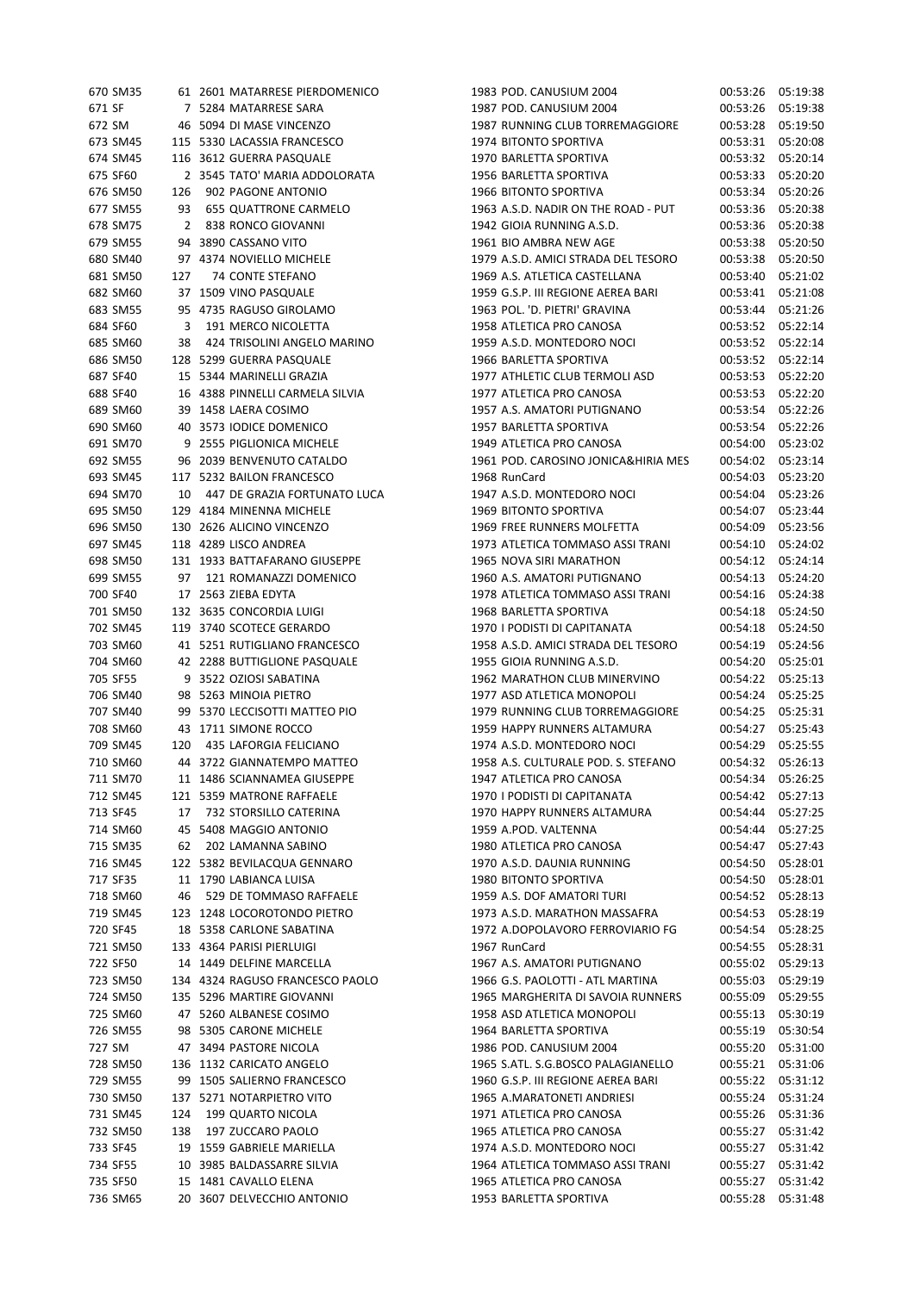| 670 SM35 |     | 61 2601 MATARRESE PIERDOMENICO  | 1983 POD. CANUSIUM 2004             | 00:53:26 | 05:19:38 |
|----------|-----|---------------------------------|-------------------------------------|----------|----------|
| 671 SF   |     | 7 5284 MATARRESE SARA           | 1987 POD. CANUSIUM 2004             | 00:53:26 | 05:19:38 |
| 672 SM   |     | 46 5094 DI MASE VINCENZO        | 1987 RUNNING CLUB TORREMAGGIORE     | 00:53:28 | 05:19:50 |
| 673 SM45 |     | 115 5330 LACASSIA FRANCESCO     | 1974 BITONTO SPORTIVA               | 00:53:31 | 05:20:08 |
| 674 SM45 |     | 116 3612 GUERRA PASQUALE        | 1970 BARLETTA SPORTIVA              | 00:53:32 | 05:20:14 |
| 675 SF60 |     | 2 3545 TATO' MARIA ADDOLORATA   | 1956 BARLETTA SPORTIVA              | 00:53:33 | 05:20:20 |
| 676 SM50 | 126 | 902 PAGONE ANTONIO              | 1966 BITONTO SPORTIVA               | 00:53:34 | 05:20:26 |
| 677 SM55 | 93  | 655 QUATTRONE CARMELO           | 1963 A.S.D. NADIR ON THE ROAD - PUT | 00:53:36 | 05:20:38 |
| 678 SM75 | 2   | 838 RONCO GIOVANNI              | 1942 GIOIA RUNNING A.S.D.           | 00:53:36 | 05:20:38 |
|          |     |                                 |                                     |          |          |
| 679 SM55 |     | 94 3890 CASSANO VITO            | 1961 BIO AMBRA NEW AGE              | 00:53:38 | 05:20:50 |
| 680 SM40 |     | 97 4374 NOVIELLO MICHELE        | 1979 A.S.D. AMICI STRADA DEL TESORO | 00:53:38 | 05:20:50 |
| 681 SM50 | 127 | 74 CONTE STEFANO                | 1969 A.S. ATLETICA CASTELLANA       | 00:53:40 | 05:21:02 |
| 682 SM60 |     | 37 1509 VINO PASQUALE           | 1959 G.S.P. III REGIONE AEREA BARI  | 00:53:41 | 05:21:08 |
| 683 SM55 |     | 95 4735 RAGUSO GIROLAMO         | 1963 POL. 'D. PIETRI' GRAVINA       | 00:53:44 | 05:21:26 |
| 684 SF60 | 3   | 191 MERCO NICOLETTA             | 1958 ATLETICA PRO CANOSA            | 00:53:52 | 05:22:14 |
| 685 SM60 | 38  | 424 TRISOLINI ANGELO MARINO     | 1959 A.S.D. MONTEDORO NOCI          | 00:53:52 | 05:22:14 |
| 686 SM50 |     | 128 5299 GUERRA PASQUALE        | 1966 BARLETTA SPORTIVA              | 00:53:52 | 05:22:14 |
| 687 SF40 |     | 15 5344 MARINELLI GRAZIA        | 1977 ATHLETIC CLUB TERMOLI ASD      | 00:53:53 | 05:22:20 |
| 688 SF40 |     | 16 4388 PINNELLI CARMELA SILVIA | 1977 ATLETICA PRO CANOSA            | 00:53:53 | 05:22:20 |
| 689 SM60 |     | 39 1458 LAERA COSIMO            | 1957 A.S. AMATORI PUTIGNANO         | 00:53:54 | 05:22:26 |
| 690 SM60 |     | 40 3573 IODICE DOMENICO         | 1957 BARLETTA SPORTIVA              | 00:53:54 | 05:22:26 |
| 691 SM70 |     | 9 2555 PIGLIONICA MICHELE       | 1949 ATLETICA PRO CANOSA            | 00:54:00 | 05:23:02 |
| 692 SM55 |     | 96 2039 BENVENUTO CATALDO       | 1961 POD. CAROSINO JONICA&HIRIA MES | 00:54:02 | 05:23:14 |
| 693 SM45 |     | 117 5232 BAILON FRANCESCO       | 1968 RunCard                        | 00:54:03 | 05:23:20 |
| 694 SM70 | 10  | 447 DE GRAZIA FORTUNATO LUCA    | 1947 A.S.D. MONTEDORO NOCI          | 00:54:04 | 05:23:26 |
| 695 SM50 |     | 129 4184 MINENNA MICHELE        | 1969 BITONTO SPORTIVA               | 00:54:07 | 05:23:44 |
|          |     |                                 |                                     |          |          |
| 696 SM50 |     | 130 2626 ALICINO VINCENZO       | 1969 FREE RUNNERS MOLFETTA          | 00:54:09 | 05:23:56 |
| 697 SM45 |     | 118 4289 LISCO ANDREA           | 1973 ATLETICA TOMMASO ASSI TRANI    | 00:54:10 | 05:24:02 |
| 698 SM50 |     | 131 1933 BATTAFARANO GIUSEPPE   | 1965 NOVA SIRI MARATHON             | 00:54:12 | 05:24:14 |
| 699 SM55 | 97  | 121 ROMANAZZI DOMENICO          | 1960 A.S. AMATORI PUTIGNANO         | 00:54:13 | 05:24:20 |
| 700 SF40 |     | 17 2563 ZIEBA EDYTA             | 1978 ATLETICA TOMMASO ASSI TRANI    | 00:54:16 | 05:24:38 |
| 701 SM50 |     | 132 3635 CONCORDIA LUIGI        | 1968 BARLETTA SPORTIVA              | 00:54:18 | 05:24:50 |
| 702 SM45 |     | 119 3740 SCOTECE GERARDO        | 1970   PODISTI DI CAPITANATA        | 00:54:18 | 05:24:50 |
| 703 SM60 |     | 41 5251 RUTIGLIANO FRANCESCO    | 1958 A.S.D. AMICI STRADA DEL TESORO | 00:54:19 | 05:24:56 |
| 704 SM60 |     | 42 2288 BUTTIGLIONE PASQUALE    | 1955 GIOIA RUNNING A.S.D.           | 00:54:20 | 05:25:01 |
| 705 SF55 |     | 9 3522 OZIOSI SABATINA          | 1962 MARATHON CLUB MINERVINO        | 00:54:22 | 05:25:13 |
| 706 SM40 |     | 98 5263 MINOIA PIETRO           | 1977 ASD ATLETICA MONOPOLI          | 00:54:24 | 05:25:25 |
| 707 SM40 |     | 99 5370 LECCISOTTI MATTEO PIO   | 1979 RUNNING CLUB TORREMAGGIORE     | 00:54:25 | 05:25:31 |
| 708 SM60 |     | 43 1711 SIMONE ROCCO            | 1959 HAPPY RUNNERS ALTAMURA         | 00:54:27 | 05:25:43 |
| 709 SM45 | 120 | 435 LAFORGIA FELICIANO          | 1974 A.S.D. MONTEDORO NOCI          | 00:54:29 | 05:25:55 |
| 710 SM60 |     | 44 3722 GIANNATEMPO MATTEO      | 1958 A.S. CULTURALE POD. S. STEFANO | 00:54:32 | 05:26:13 |
| 711 SM70 |     | 11 1486 SCIANNAMEA GIUSEPPE     | 1947 ATLETICA PRO CANOSA            | 00:54:34 | 05:26:25 |
| 712 SM45 |     | 121 5359 MATRONE RAFFAELE       | 1970   PODISTI DI CAPITANATA        | 00:54:42 | 05:27:13 |
| 713 SF45 | 17  | 732 STORSILLO CATERINA          | 1970 HAPPY RUNNERS ALTAMURA         | 00:54:44 | 05:27:25 |
| 714 SM60 |     | 45 5408 MAGGIO ANTONIO          | 1959 A.POD. VALTENNA                | 00:54:44 | 05:27:25 |
| 715 SM35 | 62  | 202 LAMANNA SABINO              | 1980 ATLETICA PRO CANOSA            | 00:54:47 | 05:27:43 |
| 716 SM45 |     | 122 5382 BEVILACQUA GENNARO     | 1970 A.S.D. DAUNIA RUNNING          | 00:54:50 | 05:28:01 |
| 717 SF35 |     | 11 1790 LABIANCA LUISA          | 1980 BITONTO SPORTIVA               | 00:54:50 | 05:28:01 |
|          |     | 529 DE TOMMASO RAFFAELE         |                                     |          |          |
| 718 SM60 | 46  |                                 | 1959 A.S. DOF AMATORI TURI          | 00:54:52 | 05:28:13 |
| 719 SM45 |     | 123 1248 LOCOROTONDO PIETRO     | 1973 A.S.D. MARATHON MASSAFRA       | 00:54:53 | 05:28:19 |
| 720 SF45 |     | 18 5358 CARLONE SABATINA        | 1972 A.DOPOLAVORO FERROVIARIO FG    | 00:54:54 | 05:28:25 |
| 721 SM50 |     | 133 4364 PARISI PIERLUIGI       | 1967 RunCard                        | 00:54:55 | 05:28:31 |
| 722 SF50 |     | 14 1449 DELFINE MARCELLA        | 1967 A.S. AMATORI PUTIGNANO         | 00:55:02 | 05:29:13 |
| 723 SM50 |     | 134 4324 RAGUSO FRANCESCO PAOLO | 1966 G.S. PAOLOTTI - ATL MARTINA    | 00:55:03 | 05:29:19 |
| 724 SM50 |     | 135 5296 MARTIRE GIOVANNI       | 1965 MARGHERITA DI SAVOIA RUNNERS   | 00:55:09 | 05:29:55 |
| 725 SM60 |     | 47 5260 ALBANESE COSIMO         | 1958 ASD ATLETICA MONOPOLI          | 00:55:13 | 05:30:19 |
| 726 SM55 |     | 98 5305 CARONE MICHELE          | 1964 BARLETTA SPORTIVA              | 00:55:19 | 05:30:54 |
| 727 SM   |     | 47 3494 PASTORE NICOLA          | 1986 POD. CANUSIUM 2004             | 00:55:20 | 05:31:00 |
| 728 SM50 |     | 136 1132 CARICATO ANGELO        | 1965 S.ATL. S.G.BOSCO PALAGIANELLO  | 00:55:21 | 05:31:06 |
| 729 SM55 |     | 99 1505 SALIERNO FRANCESCO      | 1960 G.S.P. III REGIONE AEREA BARI  | 00:55:22 | 05:31:12 |
| 730 SM50 |     | 137 5271 NOTARPIETRO VITO       | 1965 A.MARATONETI ANDRIESI          | 00:55:24 | 05:31:24 |
| 731 SM45 | 124 | 199 QUARTO NICOLA               | 1971 ATLETICA PRO CANOSA            | 00:55:26 | 05:31:36 |
| 732 SM50 | 138 | 197 ZUCCARO PAOLO               | 1965 ATLETICA PRO CANOSA            | 00:55:27 | 05:31:42 |
| 733 SF45 |     | 19 1559 GABRIELE MARIELLA       | 1974 A.S.D. MONTEDORO NOCI          | 00:55:27 | 05:31:42 |
| 734 SF55 |     | 10 3985 BALDASSARRE SILVIA      | 1964 ATLETICA TOMMASO ASSI TRANI    | 00:55:27 | 05:31:42 |
| 735 SF50 |     | 15 1481 CAVALLO ELENA           | 1965 ATLETICA PRO CANOSA            | 00:55:27 | 05:31:42 |
| 736 SM65 |     | 20 3607 DELVECCHIO ANTONIO      | 1953 BARLETTA SPORTIVA              | 00:55:28 | 05:31:48 |
|          |     |                                 |                                     |          |          |

00:53:26 05:19:38 00:53:26 05:19:38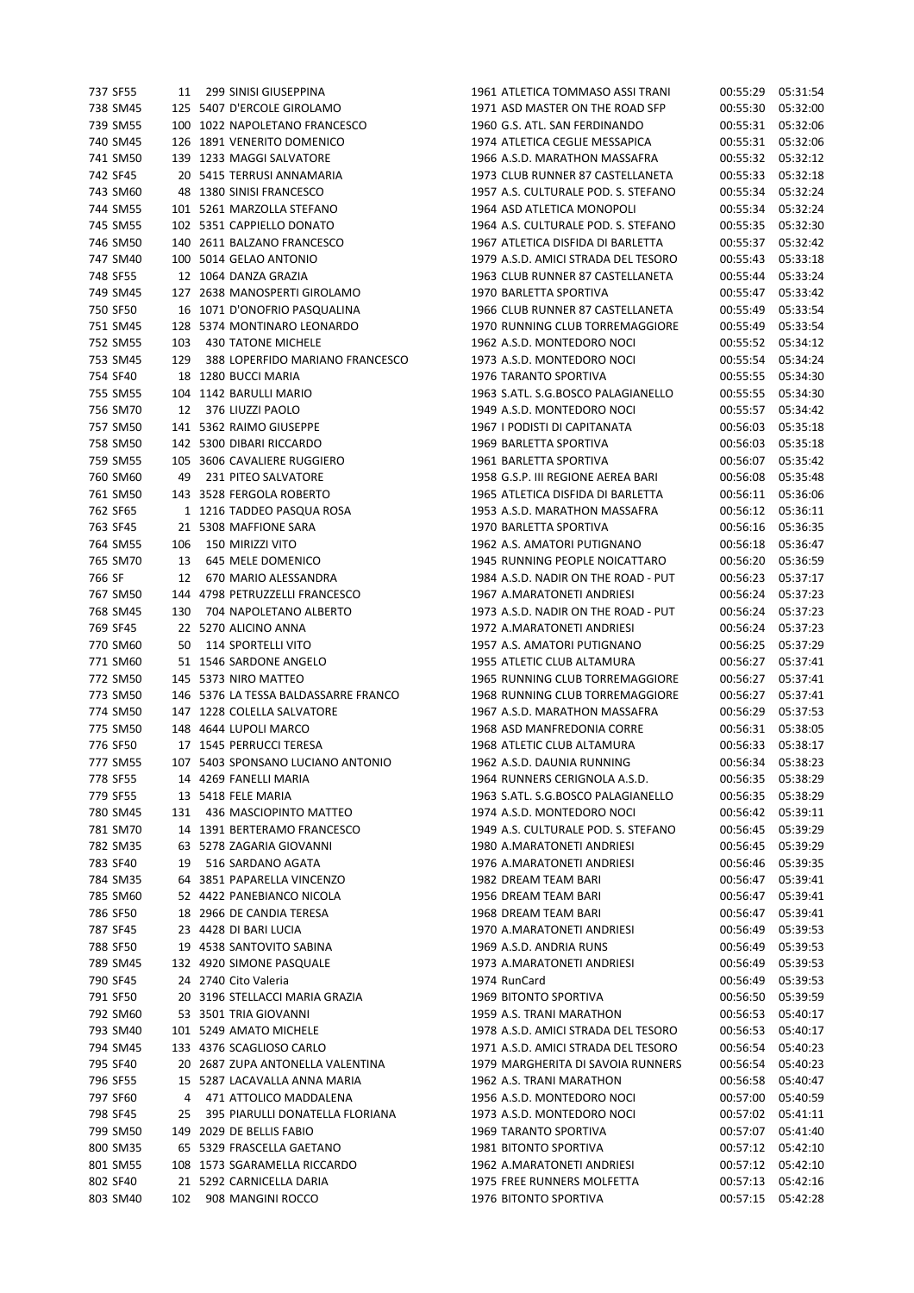| 737 SF55 |     | 11 299 SINISI GIUSEPPINA             |  | 1961 ATLETICA TOMMASO ASSI TRANI    | 00:55:29 | 05:31:54          |
|----------|-----|--------------------------------------|--|-------------------------------------|----------|-------------------|
| 738 SM45 |     | 125 5407 D'ERCOLE GIROLAMO           |  | 1971 ASD MASTER ON THE ROAD SFP     | 00:55:30 | 05:32:00          |
| 739 SM55 |     | 100 1022 NAPOLETANO FRANCESCO        |  | 1960 G.S. ATL. SAN FERDINANDO       | 00:55:31 | 05:32:06          |
| 740 SM45 |     | 126 1891 VENERITO DOMENICO           |  | 1974 ATLETICA CEGLIE MESSAPICA      | 00:55:31 | 05:32:06          |
|          |     |                                      |  |                                     |          |                   |
| 741 SM50 |     | 139 1233 MAGGI SALVATORE             |  | 1966 A.S.D. MARATHON MASSAFRA       | 00:55:32 | 05:32:12          |
| 742 SF45 |     | 20 5415 TERRUSI ANNAMARIA            |  | 1973 CLUB RUNNER 87 CASTELLANETA    | 00:55:33 | 05:32:18          |
| 743 SM60 |     | 48 1380 SINISI FRANCESCO             |  | 1957 A.S. CULTURALE POD. S. STEFANO | 00:55:34 | 05:32:24          |
| 744 SM55 |     | 101 5261 MARZOLLA STEFANO            |  | 1964 ASD ATLETICA MONOPOLI          | 00:55:34 | 05:32:24          |
| 745 SM55 |     | 102 5351 CAPPIELLO DONATO            |  | 1964 A.S. CULTURALE POD. S. STEFANO | 00:55:35 | 05:32:30          |
| 746 SM50 |     | 140 2611 BALZANO FRANCESCO           |  | 1967 ATLETICA DISFIDA DI BARLETTA   | 00:55:37 | 05:32:42          |
| 747 SM40 |     | 100 5014 GELAO ANTONIO               |  | 1979 A.S.D. AMICI STRADA DEL TESORO | 00:55:43 | 05:33:18          |
| 748 SF55 |     | 12 1064 DANZA GRAZIA                 |  | 1963 CLUB RUNNER 87 CASTELLANETA    | 00:55:44 | 05:33:24          |
|          |     |                                      |  |                                     |          |                   |
| 749 SM45 |     | 127 2638 MANOSPERTI GIROLAMO         |  | 1970 BARLETTA SPORTIVA              | 00:55:47 | 05:33:42          |
| 750 SF50 |     | 16 1071 D'ONOFRIO PASQUALINA         |  | 1966 CLUB RUNNER 87 CASTELLANETA    | 00:55:49 | 05:33:54          |
| 751 SM45 |     | 128 5374 MONTINARO LEONARDO          |  | 1970 RUNNING CLUB TORREMAGGIORE     | 00:55:49 | 05:33:54          |
| 752 SM55 |     | 103 430 TATONE MICHELE               |  | 1962 A.S.D. MONTEDORO NOCI          | 00:55:52 | 05:34:12          |
| 753 SM45 | 129 | 388 LOPERFIDO MARIANO FRANCESCO      |  | 1973 A.S.D. MONTEDORO NOCI          | 00:55:54 | 05:34:24          |
| 754 SF40 |     | 18 1280 BUCCI MARIA                  |  | 1976 TARANTO SPORTIVA               | 00:55:55 | 05:34:30          |
| 755 SM55 |     | 104 1142 BARULLI MARIO               |  | 1963 S.ATL. S.G.BOSCO PALAGIANELLO  | 00:55:55 | 05:34:30          |
|          |     |                                      |  |                                     |          |                   |
| 756 SM70 |     | 12 376 LIUZZI PAOLO                  |  | 1949 A.S.D. MONTEDORO NOCI          | 00:55:57 | 05:34:42          |
| 757 SM50 |     | 141 5362 RAIMO GIUSEPPE              |  | 1967 I PODISTI DI CAPITANATA        | 00:56:03 | 05:35:18          |
| 758 SM50 |     | 142 5300 DIBARI RICCARDO             |  | 1969 BARLETTA SPORTIVA              | 00:56:03 | 05:35:18          |
| 759 SM55 |     | 105 3606 CAVALIERE RUGGIERO          |  | 1961 BARLETTA SPORTIVA              | 00:56:07 | 05:35:42          |
| 760 SM60 | 49  | 231 PITEO SALVATORE                  |  | 1958 G.S.P. III REGIONE AEREA BARI  | 00:56:08 | 05:35:48          |
| 761 SM50 |     | 143 3528 FERGOLA ROBERTO             |  | 1965 ATLETICA DISFIDA DI BARLETTA   | 00:56:11 | 05:36:06          |
| 762 SF65 |     | 1 1216 TADDEO PASQUA ROSA            |  | 1953 A.S.D. MARATHON MASSAFRA       | 00:56:12 | 05:36:11          |
|          |     |                                      |  |                                     |          |                   |
| 763 SF45 |     | 21 5308 MAFFIONE SARA                |  | 1970 BARLETTA SPORTIVA              | 00:56:16 | 05:36:35          |
| 764 SM55 | 106 | 150 MIRIZZI VITO                     |  | 1962 A.S. AMATORI PUTIGNANO         | 00:56:18 | 05:36:47          |
| 765 SM70 | 13  | 645 MELE DOMENICO                    |  | 1945 RUNNING PEOPLE NOICATTARO      | 00:56:20 | 05:36:59          |
| 766 SF   | 12  | 670 MARIO ALESSANDRA                 |  | 1984 A.S.D. NADIR ON THE ROAD - PUT | 00:56:23 | 05:37:17          |
| 767 SM50 |     | 144 4798 PETRUZZELLI FRANCESCO       |  | 1967 A.MARATONETI ANDRIESI          | 00:56:24 | 05:37:23          |
| 768 SM45 | 130 | 704 NAPOLETANO ALBERTO               |  | 1973 A.S.D. NADIR ON THE ROAD - PUT | 00:56:24 | 05:37:23          |
| 769 SF45 |     | 22 5270 ALICINO ANNA                 |  | 1972 A.MARATONETI ANDRIESI          | 00:56:24 | 05:37:23          |
| 770 SM60 | 50  | 114 SPORTELLI VITO                   |  | 1957 A.S. AMATORI PUTIGNANO         | 00:56:25 | 05:37:29          |
|          |     |                                      |  |                                     |          |                   |
| 771 SM60 |     | 51 1546 SARDONE ANGELO               |  | 1955 ATLETIC CLUB ALTAMURA          | 00:56:27 | 05:37:41          |
| 772 SM50 |     | 145 5373 NIRO MATTEO                 |  | 1965 RUNNING CLUB TORREMAGGIORE     | 00:56:27 | 05:37:41          |
| 773 SM50 |     | 146 5376 LA TESSA BALDASSARRE FRANCO |  | 1968 RUNNING CLUB TORREMAGGIORE     | 00:56:27 | 05:37:41          |
| 774 SM50 |     | 147 1228 COLELLA SALVATORE           |  | 1967 A.S.D. MARATHON MASSAFRA       | 00:56:29 | 05:37:53          |
| 775 SM50 |     | 148 4644 LUPOLI MARCO                |  | 1968 ASD MANFREDONIA CORRE          | 00:56:31 | 05:38:05          |
| 776 SF50 |     | 17 1545 PERRUCCI TERESA              |  | 1968 ATLETIC CLUB ALTAMURA          | 00:56:33 | 05:38:17          |
| 777 SM55 |     | 107 5403 SPONSANO LUCIANO ANTONIO    |  | 1962 A.S.D. DAUNIA RUNNING          |          | 00:56:34 05:38:23 |
| 778 SF55 |     | 14 4269 FANELLI MARIA                |  | 1964 RUNNERS CERIGNOLA A.S.D.       | 00:56:35 | 05:38:29          |
|          |     |                                      |  |                                     |          |                   |
| 779 SF55 |     | 13 5418 FELE MARIA                   |  | 1963 S.ATL. S.G.BOSCO PALAGIANELLO  | 00:56:35 | 05:38:29          |
| 780 SM45 |     | 131 436 MASCIOPINTO MATTEO           |  | 1974 A.S.D. MONTEDORO NOCI          | 00:56:42 | 05:39:11          |
| 781 SM70 |     | 14 1391 BERTERAMO FRANCESCO          |  | 1949 A.S. CULTURALE POD. S. STEFANO | 00:56:45 | 05:39:29          |
| 782 SM35 |     | 63 5278 ZAGARIA GIOVANNI             |  | 1980 A.MARATONETI ANDRIESI          | 00:56:45 | 05:39:29          |
| 783 SF40 |     | 19 516 SARDANO AGATA                 |  | 1976 A.MARATONETI ANDRIESI          | 00:56:46 | 05:39:35          |
| 784 SM35 |     | 64 3851 PAPARELLA VINCENZO           |  | 1982 DREAM TEAM BARI                | 00:56:47 | 05:39:41          |
| 785 SM60 |     | 52 4422 PANEBIANCO NICOLA            |  | 1956 DREAM TEAM BARI                | 00:56:47 | 05:39:41          |
|          |     |                                      |  |                                     |          |                   |
| 786 SF50 |     | 18 2966 DE CANDIA TERESA             |  | 1968 DREAM TEAM BARI                | 00:56:47 | 05:39:41          |
| 787 SF45 |     | 23 4428 DI BARI LUCIA                |  | 1970 A.MARATONETI ANDRIESI          | 00:56:49 | 05:39:53          |
| 788 SF50 |     | 19 4538 SANTOVITO SABINA             |  | 1969 A.S.D. ANDRIA RUNS             | 00:56:49 | 05:39:53          |
| 789 SM45 |     | 132 4920 SIMONE PASQUALE             |  | 1973 A.MARATONETI ANDRIESI          | 00:56:49 | 05:39:53          |
| 790 SF45 |     | 24 2740 Cito Valeria                 |  | 1974 RunCard                        | 00:56:49 | 05:39:53          |
| 791 SF50 |     | 20 3196 STELLACCI MARIA GRAZIA       |  | 1969 BITONTO SPORTIVA               | 00:56:50 | 05:39:59          |
| 792 SM60 |     | 53 3501 TRIA GIOVANNI                |  | 1959 A.S. TRANI MARATHON            | 00:56:53 | 05:40:17          |
|          |     |                                      |  |                                     |          |                   |
| 793 SM40 |     | 101 5249 AMATO MICHELE               |  | 1978 A.S.D. AMICI STRADA DEL TESORO | 00:56:53 | 05:40:17          |
| 794 SM45 |     | 133 4376 SCAGLIOSO CARLO             |  | 1971 A.S.D. AMICI STRADA DEL TESORO | 00:56:54 | 05:40:23          |
| 795 SF40 |     | 20 2687 ZUPA ANTONELLA VALENTINA     |  | 1979 MARGHERITA DI SAVOIA RUNNERS   | 00:56:54 | 05:40:23          |
| 796 SF55 |     | 15 5287 LACAVALLA ANNA MARIA         |  | 1962 A.S. TRANI MARATHON            | 00:56:58 | 05:40:47          |
| 797 SF60 |     | 4 471 ATTOLICO MADDALENA             |  | 1956 A.S.D. MONTEDORO NOCI          | 00:57:00 | 05:40:59          |
| 798 SF45 | 25  | 395 PIARULLI DONATELLA FLORIANA      |  | 1973 A.S.D. MONTEDORO NOCI          | 00:57:02 | 05:41:11          |
| 799 SM50 |     | 149 2029 DE BELLIS FABIO             |  | 1969 TARANTO SPORTIVA               | 00:57:07 | 05:41:40          |
|          |     |                                      |  |                                     |          |                   |
| 800 SM35 |     | 65 5329 FRASCELLA GAETANO            |  | 1981 BITONTO SPORTIVA               | 00:57:12 | 05:42:10          |
| 801 SM55 |     | 108 1573 SGARAMELLA RICCARDO         |  | 1962 A.MARATONETI ANDRIESI          | 00:57:12 | 05:42:10          |
| 802 SF40 |     | 21 5292 CARNICELLA DARIA             |  | 1975 FREE RUNNERS MOLFETTA          | 00:57:13 | 05:42:16          |
| 803 SM40 | 102 | 908 MANGINI ROCCO                    |  | 1976 BITONTO SPORTIVA               | 00:57:15 | 05:42:28          |
|          |     |                                      |  |                                     |          |                   |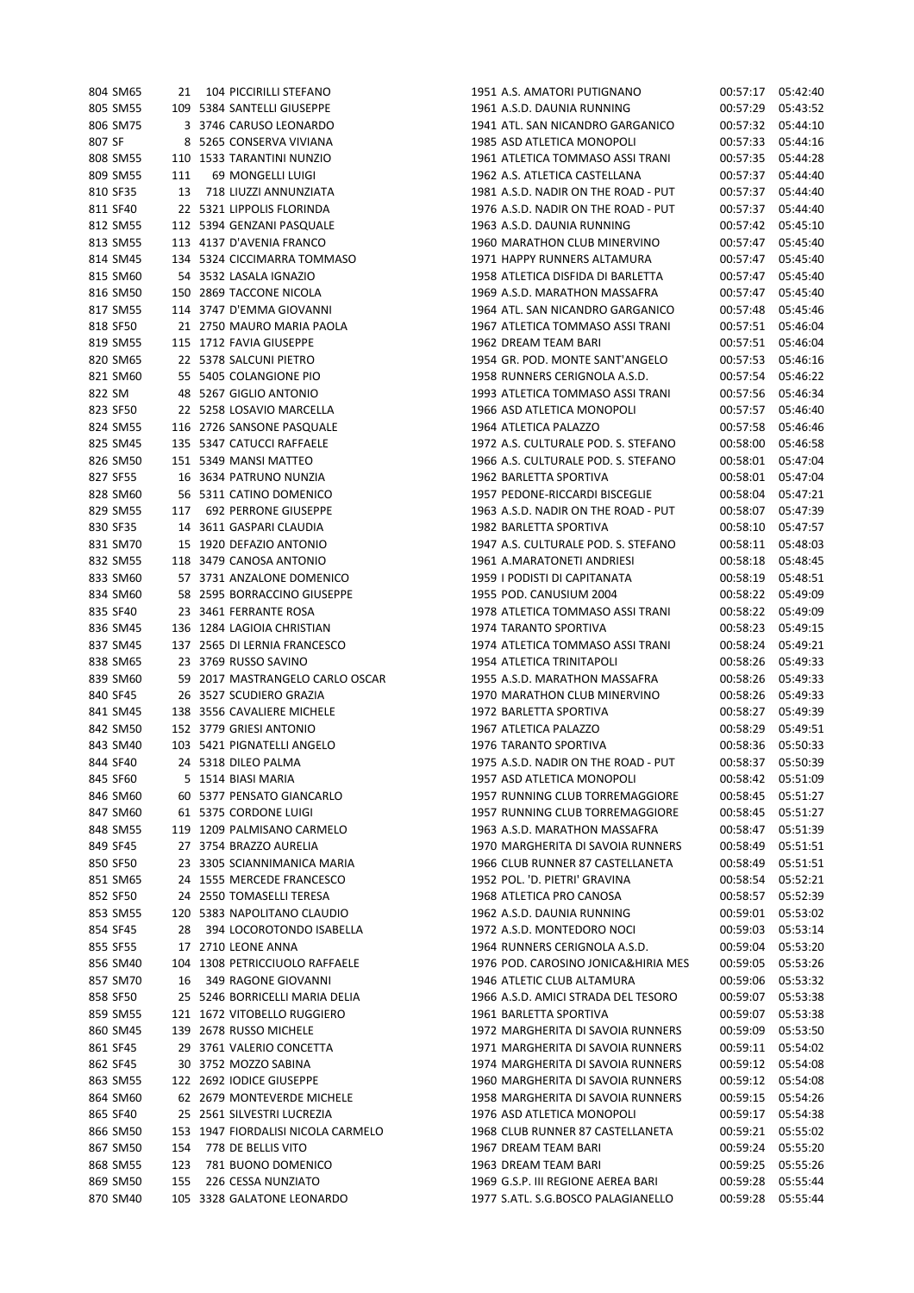| 804 SM65 | 21       | 104 PICCIRILLI STEFANO             | 1951 A.S. AMATORI PUTIGNANO         | 00:57:17 | 05:42:40 |
|----------|----------|------------------------------------|-------------------------------------|----------|----------|
| 805 SM55 |          | 109 5384 SANTELLI GIUSEPPE         | 1961 A.S.D. DAUNIA RUNNING          | 00:57:29 | 05:43:52 |
| 806 SM75 |          | 3 3746 CARUSO LEONARDO             | 1941 ATL. SAN NICANDRO GARGANICO    | 00:57:32 | 05:44:10 |
| 807 SF   |          | 8 5265 CONSERVA VIVIANA            | 1985 ASD ATLETICA MONOPOLI          | 00:57:33 | 05:44:16 |
| 808 SM55 |          | 110 1533 TARANTINI NUNZIO          | 1961 ATLETICA TOMMASO ASSI TRANI    | 00:57:35 | 05:44:28 |
| 809 SM55 | 111      | 69 MONGELLI LUIGI                  | 1962 A.S. ATLETICA CASTELLANA       | 00:57:37 | 05:44:40 |
| 810 SF35 | 13       | 718 LIUZZI ANNUNZIATA              | 1981 A.S.D. NADIR ON THE ROAD - PUT | 00:57:37 | 05:44:40 |
| 811 SF40 |          | 22 5321 LIPPOLIS FLORINDA          | 1976 A.S.D. NADIR ON THE ROAD - PUT | 00:57:37 | 05:44:40 |
|          |          |                                    |                                     |          |          |
| 812 SM55 |          | 112 5394 GENZANI PASQUALE          | 1963 A.S.D. DAUNIA RUNNING          | 00:57:42 | 05:45:10 |
| 813 SM55 |          | 113 4137 D'AVENIA FRANCO           | 1960 MARATHON CLUB MINERVINO        | 00:57:47 | 05:45:40 |
| 814 SM45 |          | 134 5324 CICCIMARRA TOMMASO        | 1971 HAPPY RUNNERS ALTAMURA         | 00:57:47 | 05:45:40 |
| 815 SM60 |          | 54 3532 LASALA IGNAZIO             | 1958 ATLETICA DISFIDA DI BARLETTA   | 00:57:47 | 05:45:40 |
| 816 SM50 |          | 150 2869 TACCONE NICOLA            | 1969 A.S.D. MARATHON MASSAFRA       | 00:57:47 | 05:45:40 |
| 817 SM55 |          | 114 3747 D'EMMA GIOVANNI           | 1964 ATL. SAN NICANDRO GARGANICO    | 00:57:48 | 05:45:46 |
| 818 SF50 |          | 21 2750 MAURO MARIA PAOLA          | 1967 ATLETICA TOMMASO ASSI TRANI    | 00:57:51 | 05:46:04 |
| 819 SM55 |          | 115 1712 FAVIA GIUSEPPE            | 1962 DREAM TEAM BARI                | 00:57:51 | 05:46:04 |
| 820 SM65 |          | 22 5378 SALCUNI PIETRO             | 1954 GR. POD. MONTE SANT'ANGELO     | 00:57:53 | 05:46:16 |
| 821 SM60 |          | 55 5405 COLANGIONE PIO             | 1958 RUNNERS CERIGNOLA A.S.D.       | 00:57:54 | 05:46:22 |
| 822 SM   |          | 48 5267 GIGLIO ANTONIO             | 1993 ATLETICA TOMMASO ASSI TRANI    | 00:57:56 | 05:46:34 |
| 823 SF50 |          | 22 5258 LOSAVIO MARCELLA           | 1966 ASD ATLETICA MONOPOLI          | 00:57:57 | 05:46:40 |
| 824 SM55 |          | 116 2726 SANSONE PASQUALE          | 1964 ATLETICA PALAZZO               | 00:57:58 | 05:46:46 |
| 825 SM45 |          | 135 5347 CATUCCI RAFFAELE          | 1972 A.S. CULTURALE POD. S. STEFANO | 00:58:00 | 05:46:58 |
| 826 SM50 |          | 151 5349 MANSI MATTEO              | 1966 A.S. CULTURALE POD. S. STEFANO | 00:58:01 | 05:47:04 |
|          |          |                                    |                                     |          |          |
| 827 SF55 |          | 16 3634 PATRUNO NUNZIA             | 1962 BARLETTA SPORTIVA              | 00:58:01 | 05:47:04 |
| 828 SM60 |          | 56 5311 CATINO DOMENICO            | 1957 PEDONE-RICCARDI BISCEGLIE      | 00:58:04 | 05:47:21 |
| 829 SM55 | 117      | <b>692 PERRONE GIUSEPPE</b>        | 1963 A.S.D. NADIR ON THE ROAD - PUT | 00:58:07 | 05:47:39 |
| 830 SF35 |          | 14 3611 GASPARI CLAUDIA            | 1982 BARLETTA SPORTIVA              | 00:58:10 | 05:47:57 |
| 831 SM70 |          | 15 1920 DEFAZIO ANTONIO            | 1947 A.S. CULTURALE POD. S. STEFANO | 00:58:11 | 05:48:03 |
| 832 SM55 |          | 118 3479 CANOSA ANTONIO            | 1961 A.MARATONETI ANDRIESI          | 00:58:18 | 05:48:45 |
| 833 SM60 |          | 57 3731 ANZALONE DOMENICO          | 1959 I PODISTI DI CAPITANATA        | 00:58:19 | 05:48:51 |
| 834 SM60 |          | 58 2595 BORRACCINO GIUSEPPE        | 1955 POD. CANUSIUM 2004             | 00:58:22 | 05:49:09 |
| 835 SF40 |          | 23 3461 FERRANTE ROSA              | 1978 ATLETICA TOMMASO ASSI TRANI    | 00:58:22 | 05:49:09 |
| 836 SM45 |          | 136 1284 LAGIOIA CHRISTIAN         | 1974 TARANTO SPORTIVA               | 00:58:23 | 05:49:15 |
| 837 SM45 |          | 137 2565 DI LERNIA FRANCESCO       | 1974 ATLETICA TOMMASO ASSI TRANI    | 00:58:24 | 05:49:21 |
| 838 SM65 |          | 23 3769 RUSSO SAVINO               | 1954 ATLETICA TRINITAPOLI           | 00:58:26 | 05:49:33 |
| 839 SM60 |          | 59 2017 MASTRANGELO CARLO OSCAR    | 1955 A.S.D. MARATHON MASSAFRA       | 00:58:26 | 05:49:33 |
| 840 SF45 |          | 26 3527 SCUDIERO GRAZIA            | 1970 MARATHON CLUB MINERVINO        | 00:58:26 | 05:49:33 |
| 841 SM45 |          | 138 3556 CAVALIERE MICHELE         | 1972 BARLETTA SPORTIVA              | 00:58:27 | 05:49:39 |
| 842 SM50 |          | 152 3779 GRIESI ANTONIO            | 1967 ATLETICA PALAZZO               | 00:58:29 | 05:49:51 |
|          |          |                                    |                                     |          |          |
| 843 SM40 |          | 103 5421 PIGNATELLI ANGELO         | 1976 TARANTO SPORTIVA               | 00:58:36 | 05:50:33 |
| 844 SF40 |          | 24 5318 DILEO PALMA                | 1975 A.S.D. NADIR ON THE ROAD - PUT | 00:58:37 | 05:50:39 |
| 845 SF60 |          | 5 1514 BIASI MARIA                 | 1957 ASD ATLETICA MONOPOLI          | 00:58:42 | 05:51:09 |
| 846 SM60 |          | 60 5377 PENSATO GIANCARLO          | 1957 RUNNING CLUB TORREMAGGIORE     | 00:58:45 | 05:51:27 |
| 847 SM60 |          | 61 5375 CORDONE LUIGI              | 1957 RUNNING CLUB TORREMAGGIORE     | 00:58:45 | 05:51:27 |
| 848 SM55 |          | 119 1209 PALMISANO CARMELO         | 1963 A.S.D. MARATHON MASSAFRA       | 00:58:47 | 05:51:39 |
| 849 SF45 |          | 27 3754 BRAZZO AURELIA             | 1970 MARGHERITA DI SAVOIA RUNNERS   | 00:58:49 | 05:51:51 |
| 850 SF50 |          | 23 3305 SCIANNIMANICA MARIA        | 1966 CLUB RUNNER 87 CASTELLANETA    | 00:58:49 | 05:51:51 |
| 851 SM65 |          | 24 1555 MERCEDE FRANCESCO          | 1952 POL. 'D. PIETRI' GRAVINA       | 00:58:54 | 05:52:21 |
| 852 SF50 |          | 24 2550 TOMASELLI TERESA           | 1968 ATLETICA PRO CANOSA            | 00:58:57 | 05:52:39 |
| 853 SM55 |          | 120 5383 NAPOLITANO CLAUDIO        | 1962 A.S.D. DAUNIA RUNNING          | 00:59:01 | 05:53:02 |
| 854 SF45 | 28       | 394 LOCOROTONDO ISABELLA           | 1972 A.S.D. MONTEDORO NOCI          | 00:59:03 | 05:53:14 |
| 855 SF55 |          | 17 2710 LEONE ANNA                 | 1964 RUNNERS CERIGNOLA A.S.D.       | 00:59:04 | 05:53:20 |
| 856 SM40 |          | 104 1308 PETRICCIUOLO RAFFAELE     | 1976 POD. CAROSINO JONICA&HIRIA MES | 00:59:05 | 05:53:26 |
| 857 SM70 | 16       | 349 RAGONE GIOVANNI                | 1946 ATLETIC CLUB ALTAMURA          | 00:59:06 | 05:53:32 |
| 858 SF50 |          | 25 5246 BORRICELLI MARIA DELIA     | 1966 A.S.D. AMICI STRADA DEL TESORO | 00:59:07 | 05:53:38 |
|          |          |                                    |                                     |          | 05:53:38 |
| 859 SM55 |          | 121 1672 VITOBELLO RUGGIERO        | 1961 BARLETTA SPORTIVA              | 00:59:07 |          |
| 860 SM45 |          | 139 2678 RUSSO MICHELE             | 1972 MARGHERITA DI SAVOIA RUNNERS   | 00:59:09 | 05:53:50 |
| 861 SF45 |          | 29 3761 VALERIO CONCETTA           | 1971 MARGHERITA DI SAVOIA RUNNERS   | 00:59:11 | 05:54:02 |
| 862 SF45 |          | 30 3752 MOZZO SABINA               | 1974 MARGHERITA DI SAVOIA RUNNERS   | 00:59:12 | 05:54:08 |
| 863 SM55 |          | 122 2692 IODICE GIUSEPPE           | 1960 MARGHERITA DI SAVOIA RUNNERS   | 00:59:12 | 05:54:08 |
| 864 SM60 |          | 62 2679 MONTEVERDE MICHELE         | 1958 MARGHERITA DI SAVOIA RUNNERS   | 00:59:15 | 05:54:26 |
| 865 SF40 |          | 25 2561 SILVESTRI LUCREZIA         | 1976 ASD ATLETICA MONOPOLI          | 00:59:17 | 05:54:38 |
| 866 SM50 |          | 153 1947 FIORDALISI NICOLA CARMELO | 1968 CLUB RUNNER 87 CASTELLANETA    | 00:59:21 | 05:55:02 |
| 867 SM50 | 154      | 778 DE BELLIS VITO                 | 1967 DREAM TEAM BARI                | 00:59:24 | 05:55:20 |
| 868 SM55 | 123      | 781 BUONO DOMENICO                 | 1963 DREAM TEAM BARI                | 00:59:25 | 05:55:26 |
| 869 SM50 | 155      | 226 CESSA NUNZIATO                 | 1969 G.S.P. III REGIONE AEREA BARI  | 00:59:28 | 05:55:44 |
|          | 870 SM40 | 105 3328 GALATONE LEONARDO         | 1977 S.ATL. S.G.BOSCO PALAGIANELLO  | 00:59:28 | 05:55:44 |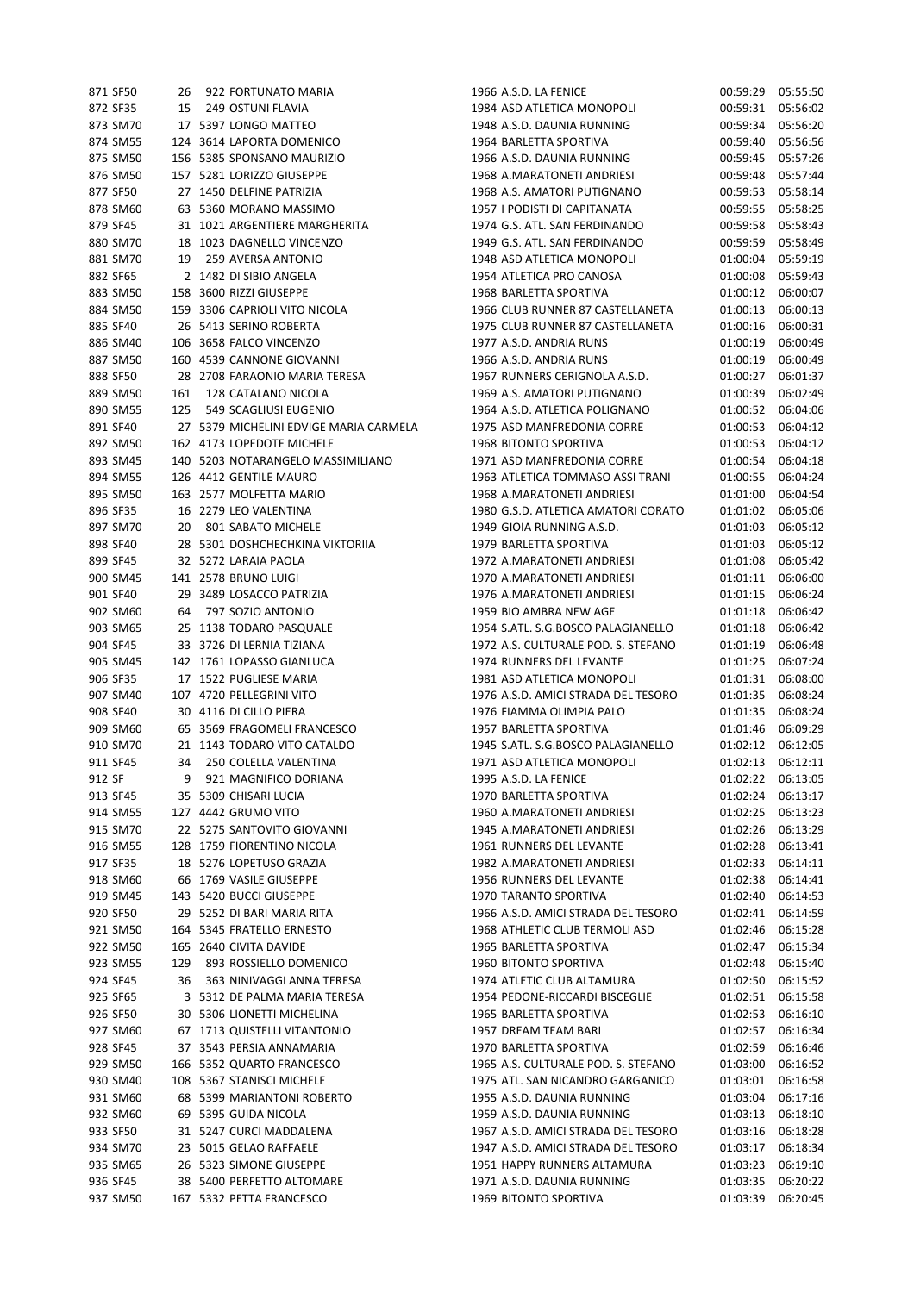| 871 SF50 |     | 26 922 FORTUNATO MARIA                 | 1966 A.S.D. LA FENICE               | 00:59:29 | 05:55:50 |
|----------|-----|----------------------------------------|-------------------------------------|----------|----------|
| 872 SF35 | 15  | 249 OSTUNI FLAVIA                      | 1984 ASD ATLETICA MONOPOLI          | 00:59:31 | 05:56:02 |
| 873 SM70 |     | 17 5397 LONGO MATTEO                   | 1948 A.S.D. DAUNIA RUNNING          | 00:59:34 | 05:56:20 |
| 874 SM55 |     | 124 3614 LAPORTA DOMENICO              | 1964 BARLETTA SPORTIVA              | 00:59:40 | 05:56:56 |
| 875 SM50 |     | 156 5385 SPONSANO MAURIZIO             | 1966 A.S.D. DAUNIA RUNNING          | 00:59:45 | 05:57:26 |
| 876 SM50 |     | 157 5281 LORIZZO GIUSEPPE              | 1968 A.MARATONETI ANDRIESI          | 00:59:48 | 05:57:44 |
| 877 SF50 |     | 27 1450 DELFINE PATRIZIA               | 1968 A.S. AMATORI PUTIGNANO         | 00:59:53 | 05:58:14 |
| 878 SM60 |     | 63 5360 MORANO MASSIMO                 | 1957 I PODISTI DI CAPITANATA        | 00:59:55 | 05:58:25 |
| 879 SF45 |     | 31 1021 ARGENTIERE MARGHERITA          | 1974 G.S. ATL. SAN FERDINANDO       | 00:59:58 | 05:58:43 |
| 880 SM70 |     | 18 1023 DAGNELLO VINCENZO              | 1949 G.S. ATL. SAN FERDINANDO       | 00:59:59 | 05:58:49 |
| 881 SM70 | 19  | 259 AVERSA ANTONIO                     | 1948 ASD ATLETICA MONOPOLI          | 01:00:04 | 05:59:19 |
| 882 SF65 |     | 2 1482 DI SIBIO ANGELA                 | 1954 ATLETICA PRO CANOSA            | 01:00:08 | 05:59:43 |
| 883 SM50 |     | 158 3600 RIZZI GIUSEPPE                | 1968 BARLETTA SPORTIVA              | 01:00:12 | 06:00:07 |
| 884 SM50 |     | 159 3306 CAPRIOLI VITO NICOLA          | 1966 CLUB RUNNER 87 CASTELLANETA    | 01:00:13 | 06:00:13 |
| 885 SF40 |     | 26 5413 SERINO ROBERTA                 | 1975 CLUB RUNNER 87 CASTELLANETA    | 01:00:16 | 06:00:31 |
| 886 SM40 |     | 106 3658 FALCO VINCENZO                | 1977 A.S.D. ANDRIA RUNS             | 01:00:19 | 06:00:49 |
| 887 SM50 |     | 160 4539 CANNONE GIOVANNI              | 1966 A.S.D. ANDRIA RUNS             | 01:00:19 | 06:00:49 |
| 888 SF50 |     | 28 2708 FARAONIO MARIA TERESA          | 1967 RUNNERS CERIGNOLA A.S.D.       | 01:00:27 | 06:01:37 |
| 889 SM50 | 161 | 128 CATALANO NICOLA                    | 1969 A.S. AMATORI PUTIGNANO         | 01:00:39 | 06:02:49 |
| 890 SM55 | 125 | 549 SCAGLIUSI EUGENIO                  | 1964 A.S.D. ATLETICA POLIGNANO      | 01:00:52 | 06:04:06 |
| 891 SF40 |     | 27 5379 MICHELINI EDVIGE MARIA CARMELA | 1975 ASD MANFREDONIA CORRE          | 01:00:53 | 06:04:12 |
| 892 SM50 |     | 162 4173 LOPEDOTE MICHELE              | 1968 BITONTO SPORTIVA               | 01:00:53 | 06:04:12 |
| 893 SM45 |     | 140 5203 NOTARANGELO MASSIMILIANO      | 1971 ASD MANFREDONIA CORRE          | 01:00:54 | 06:04:18 |
| 894 SM55 |     | 126 4412 GENTILE MAURO                 | 1963 ATLETICA TOMMASO ASSI TRANI    | 01:00:55 | 06:04:24 |
| 895 SM50 |     | 163 2577 MOLFETTA MARIO                | 1968 A.MARATONETI ANDRIESI          | 01:01:00 | 06:04:54 |
| 896 SF35 |     | 16 2279 LEO VALENTINA                  | 1980 G.S.D. ATLETICA AMATORI CORATO | 01:01:02 | 06:05:06 |
| 897 SM70 |     | 20 801 SABATO MICHELE                  | 1949 GIOIA RUNNING A.S.D.           | 01:01:03 | 06:05:12 |
| 898 SF40 |     | 28 5301 DOSHCHECHKINA VIKTORIIA        | 1979 BARLETTA SPORTIVA              | 01:01:03 | 06:05:12 |
| 899 SF45 |     | 32 5272 LARAIA PAOLA                   | 1972 A.MARATONETI ANDRIESI          | 01:01:08 | 06:05:42 |
| 900 SM45 |     | 141 2578 BRUNO LUIGI                   | 1970 A.MARATONETI ANDRIESI          | 01:01:11 | 06:06:00 |
| 901 SF40 |     | 29 3489 LOSACCO PATRIZIA               | 1976 A.MARATONETI ANDRIESI          | 01:01:15 | 06:06:24 |
| 902 SM60 | 64  | 797 SOZIO ANTONIO                      | 1959 BIO AMBRA NEW AGE              | 01:01:18 | 06:06:42 |
|          |     |                                        |                                     |          |          |
| 903 SM65 |     | 25 1138 TODARO PASQUALE                | 1954 S.ATL. S.G.BOSCO PALAGIANELLO  | 01:01:18 | 06:06:42 |
| 904 SF45 |     | 33 3726 DI LERNIA TIZIANA              | 1972 A.S. CULTURALE POD. S. STEFANO | 01:01:19 | 06:06:48 |
| 905 SM45 |     | 142 1761 LOPASSO GIANLUCA              | 1974 RUNNERS DEL LEVANTE            | 01:01:25 | 06:07:24 |
| 906 SF35 |     | 17 1522 PUGLIESE MARIA                 | 1981 ASD ATLETICA MONOPOLI          | 01:01:31 | 06:08:00 |
| 907 SM40 |     | 107 4720 PELLEGRINI VITO               | 1976 A.S.D. AMICI STRADA DEL TESORO | 01:01:35 | 06:08:24 |
| 908 SF40 |     | 30 4116 DI CILLO PIERA                 | 1976 FIAMMA OLIMPIA PALO            | 01:01:35 | 06:08:24 |
| 909 SM60 |     | 65 3569 FRAGOMELI FRANCESCO            | 1957 BARLETTA SPORTIVA              | 01:01:46 | 06:09:29 |
| 910 SM70 |     | 21 1143 TODARO VITO CATALDO            | 1945 S.ATL. S.G.BOSCO PALAGIANELLO  | 01:02:12 | 06:12:05 |
| 911 SF45 |     | 34 250 COLELLA VALENTINA               | 1971 ASD ATLETICA MONOPOLI          | 01:02:13 | 06:12:11 |
| 912 SF   | 9   | 921 MAGNIFICO DORIANA                  | 1995 A.S.D. LA FENICE               | 01:02:22 | 06:13:05 |
| 913 SF45 |     | 35 5309 CHISARI LUCIA                  | 1970 BARLETTA SPORTIVA              | 01:02:24 | 06:13:17 |
| 914 SM55 |     | 127 4442 GRUMO VITO                    | 1960 A.MARATONETI ANDRIESI          | 01:02:25 | 06:13:23 |
| 915 SM70 |     | 22 5275 SANTOVITO GIOVANNI             | 1945 A.MARATONETI ANDRIESI          | 01:02:26 | 06:13:29 |
| 916 SM55 |     | 128 1759 FIORENTINO NICOLA             | 1961 RUNNERS DEL LEVANTE            | 01:02:28 | 06:13:41 |
| 917 SF35 |     | 18 5276 LOPETUSO GRAZIA                | 1982 A.MARATONETI ANDRIESI          | 01:02:33 | 06:14:11 |
| 918 SM60 |     | 66 1769 VASILE GIUSEPPE                | 1956 RUNNERS DEL LEVANTE            | 01:02:38 | 06:14:41 |
| 919 SM45 |     | 143 5420 BUCCI GIUSEPPE                | 1970 TARANTO SPORTIVA               | 01:02:40 | 06:14:53 |
| 920 SF50 |     | 29 5252 DI BARI MARIA RITA             | 1966 A.S.D. AMICI STRADA DEL TESORO | 01:02:41 | 06:14:59 |
| 921 SM50 |     | 164 5345 FRATELLO ERNESTO              | 1968 ATHLETIC CLUB TERMOLI ASD      | 01:02:46 | 06:15:28 |
| 922 SM50 |     | 165 2640 CIVITA DAVIDE                 | 1965 BARLETTA SPORTIVA              | 01:02:47 | 06:15:34 |
| 923 SM55 | 129 | 893 ROSSIELLO DOMENICO                 | <b>1960 BITONTO SPORTIVA</b>        | 01:02:48 | 06:15:40 |
| 924 SF45 | 36  | 363 NINIVAGGI ANNA TERESA              | 1974 ATLETIC CLUB ALTAMURA          | 01:02:50 | 06:15:52 |
| 925 SF65 |     | 3 5312 DE PALMA MARIA TERESA           | 1954 PEDONE-RICCARDI BISCEGLIE      | 01:02:51 | 06:15:58 |
| 926 SF50 |     | 30 5306 LIONETTI MICHELINA             | 1965 BARLETTA SPORTIVA              | 01:02:53 | 06:16:10 |
| 927 SM60 |     | 67 1713 QUISTELLI VITANTONIO           | 1957 DREAM TEAM BARI                | 01:02:57 | 06:16:34 |
| 928 SF45 |     | 37 3543 PERSIA ANNAMARIA               | 1970 BARLETTA SPORTIVA              | 01:02:59 | 06:16:46 |
| 929 SM50 |     | 166 5352 QUARTO FRANCESCO              | 1965 A.S. CULTURALE POD. S. STEFANO | 01:03:00 | 06:16:52 |
| 930 SM40 |     | 108 5367 STANISCI MICHELE              | 1975 ATL. SAN NICANDRO GARGANICO    | 01:03:01 | 06:16:58 |
| 931 SM60 |     | 68 5399 MARIANTONI ROBERTO             | 1955 A.S.D. DAUNIA RUNNING          | 01:03:04 | 06:17:16 |
| 932 SM60 |     | 69 5395 GUIDA NICOLA                   | 1959 A.S.D. DAUNIA RUNNING          | 01:03:13 | 06:18:10 |
| 933 SF50 |     | 31 5247 CURCI MADDALENA                | 1967 A.S.D. AMICI STRADA DEL TESORO | 01:03:16 | 06:18:28 |
| 934 SM70 |     | 23 5015 GELAO RAFFAELE                 | 1947 A.S.D. AMICI STRADA DEL TESORO | 01:03:17 | 06:18:34 |
| 935 SM65 |     | 26 5323 SIMONE GIUSEPPE                | 1951 HAPPY RUNNERS ALTAMURA         | 01:03:23 | 06:19:10 |
| 936 SF45 |     | 38 5400 PERFETTO ALTOMARE              | 1971 A.S.D. DAUNIA RUNNING          | 01:03:35 | 06:20:22 |
| 937 SM50 |     | 167 5332 PETTA FRANCESCO               | 1969 BITONTO SPORTIVA               | 01:03:39 | 06:20:45 |
|          |     |                                        |                                     |          |          |

| 166 A.S.D. LA FENICE               | 00:59:29          | 05:55:50 |
|------------------------------------|-------------------|----------|
| 184 ASD ATLETICA MONOPOLI          | 00:59:31          | 05:56:02 |
| 48 A.S.D. DAUNIA RUNNING           | 00:59:34          | 05:56:20 |
| 164 BARLETTA SPORTIVA              | 00:59:40          | 05:56:56 |
| 166 A.S.D. DAUNIA RUNNING          | 00:59:45          | 05:57:26 |
| <b>968 A.MARATONETI ANDRIESI</b>   | 00:59:48 05:57:44 |          |
| <b>968 A.S. AMATORI PUTIGNANO</b>  | 00:59:53          | 05:58:14 |
| 157 I PODISTI DI CAPITANATA        | 00:59:55          | 05:58:25 |
| 74 G.S. ATL. SAN FERDINANDO        | 00:59:58          | 05:58:43 |
| 49 G.S. ATL. SAN FERDINANDO        | 00:59:59 05:58:49 |          |
| 48 ASD ATLETICA MONOPOLI           | 01:00:04          | 05:59:19 |
| 154 ATLETICA PRO CANOSA            | 01:00:08          | 05:59:43 |
| 168 BARLETTA SPORTIVA              | 01:00:12          | 06:00:07 |
| 66 CLUB RUNNER 87 CASTELLANETA     | 01:00:13          | 06:00:13 |
| 75 CLUB RUNNER 87 CASTELLANETA     | 01:00:16          | 06:00:31 |
| 177 A.S.D. ANDRIA RUNS             | 01:00:19          | 06:00:49 |
| <b>966 A.S.D. ANDRIA RUNS</b>      | 01:00:19          | 06:00:49 |
| 167 RUNNERS CERIGNOLA A.S.D.       | 01:00:27          | 06:01:37 |
| <b>969 A.S. AMATORI PUTIGNANO</b>  | 01:00:39          | 06:02:49 |
| 164 A.S.D. ATLETICA POLIGNANO      | 01:00:52          | 06:04:06 |
| 75 ASD MANFREDONIA CORRE           | 01:00:53          | 06:04:12 |
| 168 BITONTO SPORTIVA               | 01:00:53          | 06:04:12 |
| 71 ASD MANFREDONIA CORRE           | 01:00:54          | 06:04:18 |
| 163 ATLETICA TOMMASO ASSI TRANI    | 01:00:55          | 06:04:24 |
| <b>68 A.MARATONETI ANDRIESI</b>    | 01:01:00          | 06:04:54 |
| 180 G.S.D. ATLETICA AMATORI CORATO | 01:01:02          | 06:05:06 |
| 149 GIOIA RUNNING A.S.D.           | 01:01:03          | 06:05:12 |
| 179 BARLETTA SPORTIVA              | 01:01:03          | 06:05:12 |
|                                    |                   |          |
| 172 A.MARATONETI ANDRIESI          | 01:01:08          | 06:05:42 |
| 70 A.MARATONETI ANDRIESI           | 01:01:11          | 06:06:00 |
| 76 A.MARATONETI ANDRIESI           | 01:01:15          | 06:06:24 |
| 959 BIO AMBRA NEW AGE              | 01:01:18          | 06:06:42 |
| 354 S.ATL. S.G.BOSCO PALAGIANELLO  | 01:01:18          | 06:06:42 |
| 72 A.S. CULTURALE POD. S. STEFANO  | 01:01:19          | 06:06:48 |
| 74 RUNNERS DEL LEVANTE             | 01:01:25          | 06:07:24 |
| 81 ASD ATLETICA MONOPOLI           | 01:01:31          | 06:08:00 |
| 76 A.S.D. AMICI STRADA DEL TESORO  | 01:01:35          | 06:08:24 |
| 76 FIAMMA OLIMPIA PALO             | 01:01:35          | 06:08:24 |
| <b>957 BARLETTA SPORTIVA</b>       | 01:01:46          | 06:09:29 |
| 45 S.ATL. S.G.BOSCO PALAGIANELLO   | 01:02:12          | 06:12:05 |
| 71 ASD ATLETICA MONOPOLI           | 01:02:13          | 06:12:11 |
| 995 A.S.D. LA FENICE               | 01:02:22          | 06:13:05 |
| 70 BARLETTA SPORTIVA               | 01:02:24          | 06:13:17 |
| 160 A.MARATONETI ANDRIESI          | 01:02:25          | 06:13:23 |
| 45 A.MARATONETI ANDRIESI           | 01:02:26          | 06:13:29 |
| 061 RUNNERS DEL LEVANTE            | 01:02:28          | 06:13:41 |
| 182 A.MARATONETI ANDRIESI          | 01:02:33          | 06:14:11 |
| 956 RUNNERS DEL LEVANTE            | 01:02:38          | 06:14:41 |
| 170 TARANTO SPORTIVA               | 01:02:40          | 06:14:53 |
| 66 A.S.D. AMICI STRADA DEL TESORO  | 01:02:41          | 06:14:59 |
| 168 ATHLETIC CLUB TERMOLI ASD      | 01:02:46          | 06:15:28 |
| 165 BARLETTA SPORTIVA              | 01:02:47          | 06:15:34 |
| <b>160 BITONTO SPORTIVA</b>        | 01:02:48          | 06:15:40 |
| 174 ATLETIC CLUB ALTAMURA          | 01:02:50          | 06:15:52 |
| 354 PEDONE-RICCARDI BISCEGLIE      | 01:02:51          | 06:15:58 |
| 165 BARLETTA SPORTIVA              | 01:02:53          | 06:16:10 |
| <b>957 DREAM TEAM BARI</b>         | 01:02:57          | 06:16:34 |
|                                    |                   |          |
| 170 BARLETTA SPORTIVA              | 01:02:59          | 06:16:46 |
| 165 A.S. CULTURALE POD. S. STEFANO | 01:03:00          | 06:16:52 |
| 75 ATL. SAN NICANDRO GARGANICO     | 01:03:01          | 06:16:58 |
| 355 A.S.D. DAUNIA RUNNING          | 01:03:04          | 06:17:16 |
| 159 A.S.D. DAUNIA RUNNING          | 01:03:13          | 06:18:10 |
| 167 A.S.D. AMICI STRADA DEL TESORO | 01:03:16          | 06:18:28 |
| 47 A.S.D. AMICI STRADA DEL TESORO  | 01:03:17          | 06:18:34 |
| 351 HAPPY RUNNERS ALTAMURA         | 01:03:23          | 06:19:10 |
| 71 A.S.D. DAUNIA RUNNING           | 01:03:35          | 06:20:22 |
| 169 BITONTO SPORTIVA               | 01:03:39          | 06:20:45 |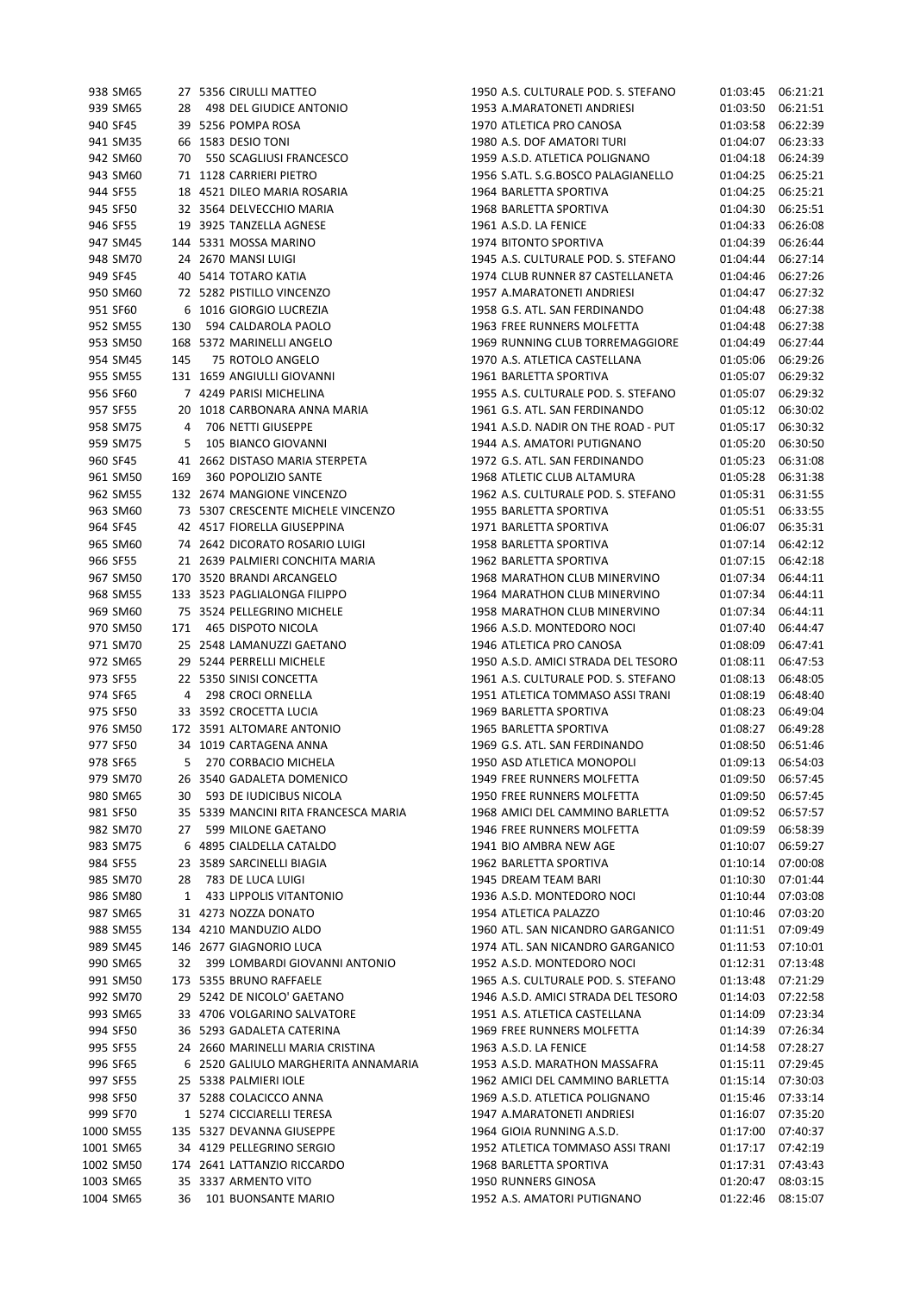| 938 SM65  |     | 27 5356 CIRULLI MATTEO               | 1950 A.S. CULTURALE POD. S. STEFANO | 01:03:45 | 06:21:21 |
|-----------|-----|--------------------------------------|-------------------------------------|----------|----------|
| 939 SM65  | 28  | <b>498 DEL GIUDICE ANTONIO</b>       | 1953 A.MARATONETI ANDRIESI          | 01:03:50 | 06:21:51 |
| 940 SF45  |     | 39 5256 POMPA ROSA                   | 1970 ATLETICA PRO CANOSA            | 01:03:58 | 06:22:39 |
| 941 SM35  |     | 66 1583 DESIO TONI                   | 1980 A.S. DOF AMATORI TURI          | 01:04:07 | 06:23:33 |
| 942 SM60  | 70  | 550 SCAGLIUSI FRANCESCO              | 1959 A.S.D. ATLETICA POLIGNANO      | 01:04:18 | 06:24:39 |
| 943 SM60  |     | 71 1128 CARRIERI PIETRO              | 1956 S.ATL. S.G.BOSCO PALAGIANELLO  | 01:04:25 | 06:25:21 |
| 944 SF55  |     | 18 4521 DILEO MARIA ROSARIA          | 1964 BARLETTA SPORTIVA              | 01:04:25 | 06:25:21 |
| 945 SF50  |     | 32 3564 DELVECCHIO MARIA             | 1968 BARLETTA SPORTIVA              | 01:04:30 | 06:25:51 |
|           |     |                                      |                                     |          |          |
| 946 SF55  |     | 19 3925 TANZELLA AGNESE              | 1961 A.S.D. LA FENICE               | 01:04:33 | 06:26:08 |
| 947 SM45  |     | 144 5331 MOSSA MARINO                | 1974 BITONTO SPORTIVA               | 01:04:39 | 06:26:44 |
| 948 SM70  |     | 24 2670 MANSI LUIGI                  | 1945 A.S. CULTURALE POD. S. STEFANO | 01:04:44 | 06:27:14 |
| 949 SF45  |     | 40 5414 TOTARO KATIA                 | 1974 CLUB RUNNER 87 CASTELLANETA    | 01:04:46 | 06:27:26 |
| 950 SM60  |     | 72 5282 PISTILLO VINCENZO            | 1957 A.MARATONETI ANDRIESI          | 01:04:47 | 06:27:32 |
| 951 SF60  |     | 6 1016 GIORGIO LUCREZIA              | 1958 G.S. ATL. SAN FERDINANDO       | 01:04:48 | 06:27:38 |
| 952 SM55  | 130 | 594 CALDAROLA PAOLO                  | 1963 FREE RUNNERS MOLFETTA          | 01:04:48 | 06:27:38 |
| 953 SM50  |     | 168 5372 MARINELLI ANGELO            | 1969 RUNNING CLUB TORREMAGGIORE     | 01:04:49 | 06:27:44 |
| 954 SM45  | 145 | 75 ROTOLO ANGELO                     | 1970 A.S. ATLETICA CASTELLANA       | 01:05:06 | 06:29:26 |
| 955 SM55  |     | 131 1659 ANGIULLI GIOVANNI           | 1961 BARLETTA SPORTIVA              | 01:05:07 | 06:29:32 |
| 956 SF60  |     | 7 4249 PARISI MICHELINA              | 1955 A.S. CULTURALE POD. S. STEFANO | 01:05:07 | 06:29:32 |
| 957 SF55  |     | 20 1018 CARBONARA ANNA MARIA         | 1961 G.S. ATL. SAN FERDINANDO       | 01:05:12 | 06:30:02 |
| 958 SM75  | 4   | 706 NETTI GIUSEPPE                   | 1941 A.S.D. NADIR ON THE ROAD - PUT | 01:05:17 | 06:30:32 |
| 959 SM75  | 5   | 105 BIANCO GIOVANNI                  | 1944 A.S. AMATORI PUTIGNANO         | 01:05:20 | 06:30:50 |
| 960 SF45  |     | 41 2662 DISTASO MARIA STERPETA       | 1972 G.S. ATL. SAN FERDINANDO       | 01:05:23 | 06:31:08 |
| 961 SM50  | 169 | 360 POPOLIZIO SANTE                  | 1968 ATLETIC CLUB ALTAMURA          | 01:05:28 | 06:31:38 |
| 962 SM55  |     | 132 2674 MANGIONE VINCENZO           | 1962 A.S. CULTURALE POD. S. STEFANO | 01:05:31 | 06:31:55 |
| 963 SM60  |     | 73 5307 CRESCENTE MICHELE VINCENZO   | 1955 BARLETTA SPORTIVA              | 01:05:51 | 06:33:55 |
| 964 SF45  |     | 42 4517 FIORELLA GIUSEPPINA          | 1971 BARLETTA SPORTIVA              | 01:06:07 | 06:35:31 |
|           |     |                                      |                                     |          |          |
| 965 SM60  |     | 74 2642 DICORATO ROSARIO LUIGI       | 1958 BARLETTA SPORTIVA              | 01:07:14 | 06:42:12 |
| 966 SF55  |     | 21 2639 PALMIERI CONCHITA MARIA      | 1962 BARLETTA SPORTIVA              | 01:07:15 | 06:42:18 |
| 967 SM50  |     | 170 3520 BRANDI ARCANGELO            | 1968 MARATHON CLUB MINERVINO        | 01:07:34 | 06:44:11 |
| 968 SM55  |     | 133 3523 PAGLIALONGA FILIPPO         | 1964 MARATHON CLUB MINERVINO        | 01:07:34 | 06:44:11 |
| 969 SM60  |     | 75 3524 PELLEGRINO MICHELE           | 1958 MARATHON CLUB MINERVINO        | 01:07:34 | 06:44:11 |
| 970 SM50  | 171 | 465 DISPOTO NICOLA                   | 1966 A.S.D. MONTEDORO NOCI          | 01:07:40 | 06:44:47 |
| 971 SM70  |     | 25 2548 LAMANUZZI GAETANO            | 1946 ATLETICA PRO CANOSA            | 01:08:09 | 06:47:41 |
| 972 SM65  |     | 29 5244 PERRELLI MICHELE             | 1950 A.S.D. AMICI STRADA DEL TESORO | 01:08:11 | 06:47:53 |
| 973 SF55  |     | 22 5350 SINISI CONCETTA              | 1961 A.S. CULTURALE POD. S. STEFANO | 01:08:13 | 06:48:05 |
| 974 SF65  | 4   | 298 CROCI ORNELLA                    | 1951 ATLETICA TOMMASO ASSI TRANI    | 01:08:19 | 06:48:40 |
| 975 SF50  |     | 33 3592 CROCETTA LUCIA               | 1969 BARLETTA SPORTIVA              | 01:08:23 | 06:49:04 |
| 976 SM50  |     | 172 3591 ALTOMARE ANTONIO            | 1965 BARLETTA SPORTIVA              | 01:08:27 | 06:49:28 |
| 977 SF50  |     | 34 1019 CARTAGENA ANNA               | 1969 G.S. ATL. SAN FERDINANDO       | 01:08:50 | 06:51:46 |
| 978 SF65  | 5   | 270 CORBACIO MICHELA                 | 1950 ASD ATLETICA MONOPOLI          | 01:09:13 | 06:54:03 |
| 979 SM70  |     | 26 3540 GADALETA DOMENICO            | 1949 FREE RUNNERS MOLFETTA          | 01:09:50 | 06:57:45 |
| 980 SM65  | 30  | 593 DE IUDICIBUS NICOLA              | 1950 FREE RUNNERS MOLFETTA          | 01:09:50 | 06:57:45 |
| 981 SF50  |     | 35 5339 MANCINI RITA FRANCESCA MARIA | 1968 AMICI DEL CAMMINO BARLETTA     | 01:09:52 | 06:57:57 |
| 982 SM70  | 27  | 599 MILONE GAETANO                   | 1946 FREE RUNNERS MOLFETTA          | 01:09:59 | 06:58:39 |
| 983 SM75  |     | 6 4895 CIALDELLA CATALDO             | 1941 BIO AMBRA NEW AGE              | 01:10:07 | 06:59:27 |
| 984 SF55  |     | 23 3589 SARCINELLI BIAGIA            | 1962 BARLETTA SPORTIVA              | 01:10:14 | 07:00:08 |
| 985 SM70  | 28  | 783 DE LUCA LUIGI                    | 1945 DREAM TEAM BARI                | 01:10:30 | 07:01:44 |
| 986 SM80  | 1   | 433 LIPPOLIS VITANTONIO              | 1936 A.S.D. MONTEDORO NOCI          | 01:10:44 | 07:03:08 |
| 987 SM65  |     | 31 4273 NOZZA DONATO                 | 1954 ATLETICA PALAZZO               |          | 07:03:20 |
|           |     |                                      |                                     | 01:10:46 |          |
| 988 SM55  |     | 134 4210 MANDUZIO ALDO               | 1960 ATL. SAN NICANDRO GARGANICO    | 01:11:51 | 07:09:49 |
| 989 SM45  |     | 146 2677 GIAGNORIO LUCA              | 1974 ATL. SAN NICANDRO GARGANICO    | 01:11:53 | 07:10:01 |
| 990 SM65  | 32  | 399 LOMBARDI GIOVANNI ANTONIO        | 1952 A.S.D. MONTEDORO NOCI          | 01:12:31 | 07:13:48 |
| 991 SM50  |     | 173 5355 BRUNO RAFFAELE              | 1965 A.S. CULTURALE POD. S. STEFANO | 01:13:48 | 07:21:29 |
| 992 SM70  |     | 29 5242 DE NICOLO' GAETANO           | 1946 A.S.D. AMICI STRADA DEL TESORO | 01:14:03 | 07:22:58 |
| 993 SM65  |     | 33 4706 VOLGARINO SALVATORE          | 1951 A.S. ATLETICA CASTELLANA       | 01:14:09 | 07:23:34 |
| 994 SF50  |     | 36 5293 GADALETA CATERINA            | 1969 FREE RUNNERS MOLFETTA          | 01:14:39 | 07:26:34 |
| 995 SF55  |     | 24 2660 MARINELLI MARIA CRISTINA     | 1963 A.S.D. LA FENICE               | 01:14:58 | 07:28:27 |
| 996 SF65  |     | 6 2520 GALIULO MARGHERITA ANNAMARIA  | 1953 A.S.D. MARATHON MASSAFRA       | 01:15:11 | 07:29:45 |
| 997 SF55  |     | 25 5338 PALMIERI IOLE                | 1962 AMICI DEL CAMMINO BARLETTA     | 01:15:14 | 07:30:03 |
| 998 SF50  |     | 37 5288 COLACICCO ANNA               | 1969 A.S.D. ATLETICA POLIGNANO      | 01:15:46 | 07:33:14 |
| 999 SF70  |     | 1 5274 CICCIARELLI TERESA            | 1947 A.MARATONETI ANDRIESI          | 01:16:07 | 07:35:20 |
| 1000 SM55 |     | 135 5327 DEVANNA GIUSEPPE            | 1964 GIOIA RUNNING A.S.D.           | 01:17:00 | 07:40:37 |
| 1001 SM65 |     | 34 4129 PELLEGRINO SERGIO            | 1952 ATLETICA TOMMASO ASSI TRANI    | 01:17:17 | 07:42:19 |
| 1002 SM50 |     | 174 2641 LATTANZIO RICCARDO          | 1968 BARLETTA SPORTIVA              | 01:17:31 | 07:43:43 |
| 1003 SM65 |     | 35 3337 ARMENTO VITO                 | 1950 RUNNERS GINOSA                 | 01:20:47 | 08:03:15 |
| 1004 SM65 | 36  | 101 BUONSANTE MARIO                  | 1952 A.S. AMATORI PUTIGNANO         | 01:22:46 | 08:15:07 |
|           |     |                                      |                                     |          |          |